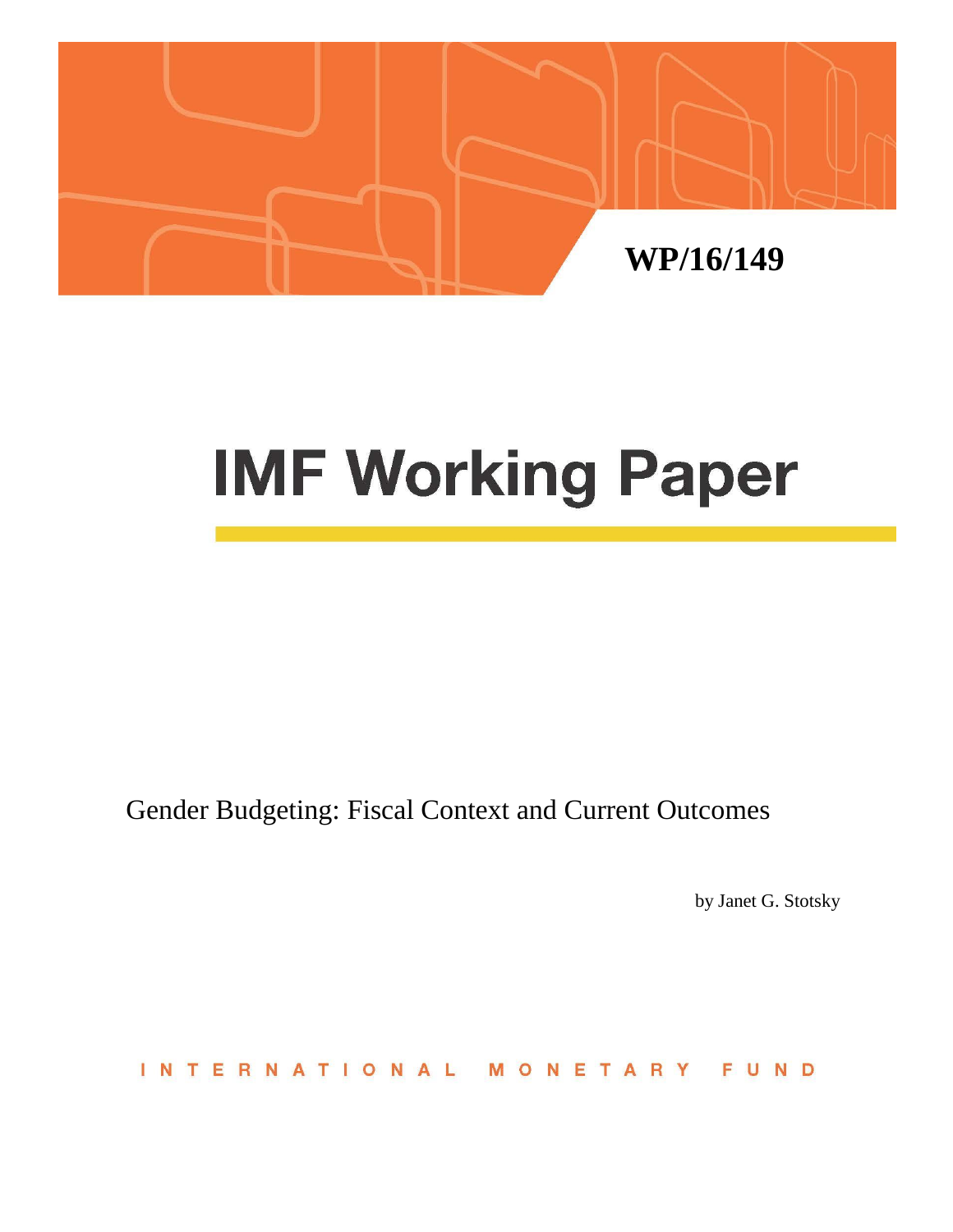

# **IMF Working Paper**

Gender Budgeting: Fiscal Context and Current Outcomes

by Janet G. Stotsky

ERNATIONAL FUND  $\mathsf{I}$  N NETA  $\top$ M  $\Omega$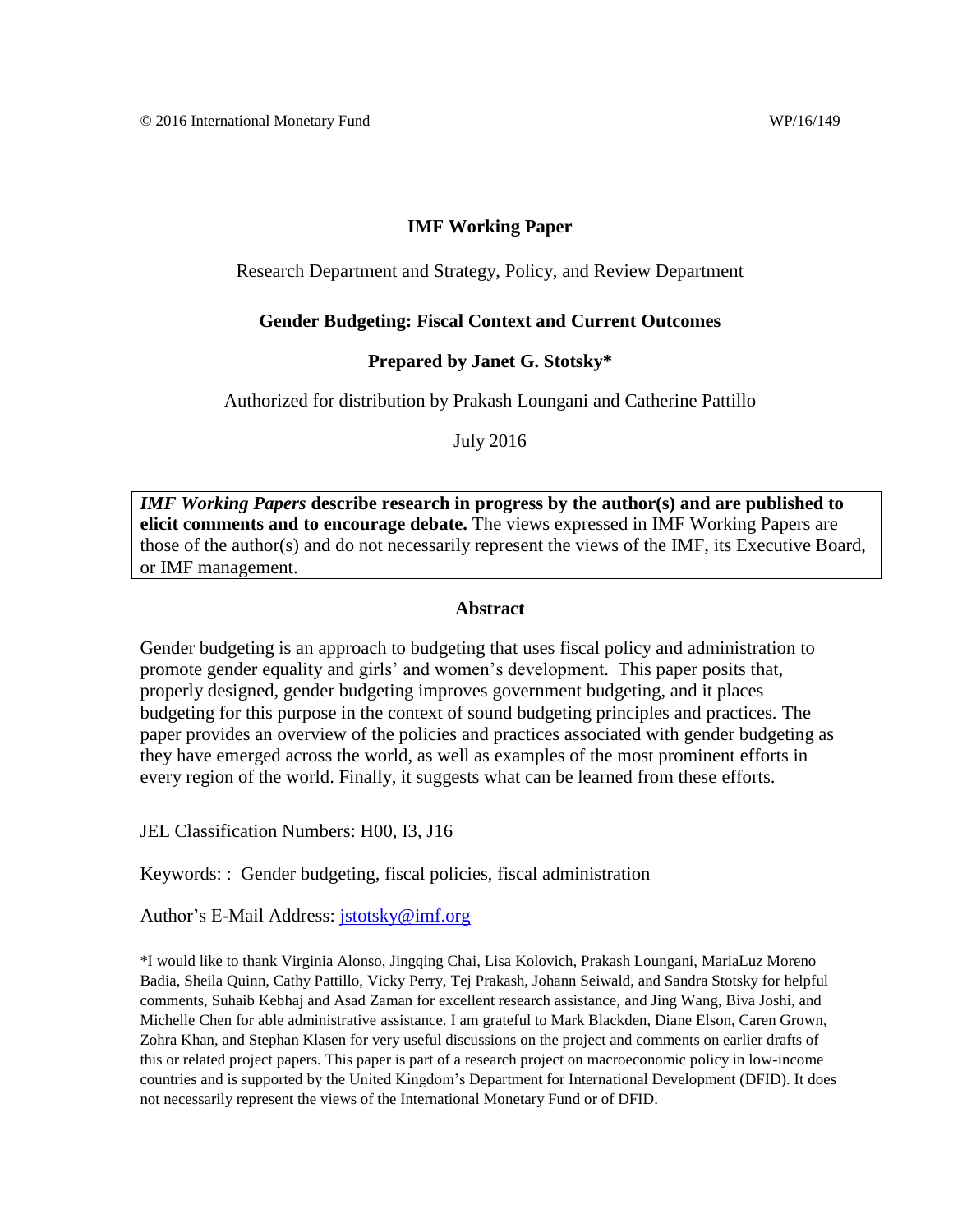#### **IMF Working Paper**

Research Department and Strategy, Policy, and Review Department

#### **Gender Budgeting: Fiscal Context and Current Outcomes**

#### **Prepared by Janet G. Stotsky\***

Authorized for distribution by Prakash Loungani and Catherine Pattillo

July 2016

*IMF Working Papers* **describe research in progress by the author(s) and are published to elicit comments and to encourage debate.** The views expressed in IMF Working Papers are those of the author(s) and do not necessarily represent the views of the IMF, its Executive Board, or IMF management.

#### **Abstract**

Gender budgeting is an approach to budgeting that uses fiscal policy and administration to promote gender equality and girls' and women's development.This paper posits that, properly designed, gender budgeting improves government budgeting, and it places budgeting for this purpose in the context of sound budgeting principles and practices. The paper provides an overview of the policies and practices associated with gender budgeting as they have emerged across the world, as well as examples of the most prominent efforts in every region of the world. Finally, it suggests what can be learned from these efforts.

JEL Classification Numbers: H00, I3, J16

Keywords: : Gender budgeting, fiscal policies, fiscal administration

Author's E-Mail Address: [jstotsky@imf.org](mailto:jstotsky@imf.org)

\*I would like to thank Virginia Alonso, Jingqing Chai, Lisa Kolovich, Prakash Loungani, MariaLuz Moreno Badia, Sheila Quinn, Cathy Pattillo, Vicky Perry, Tej Prakash, Johann Seiwald, and Sandra Stotsky for helpful comments, Suhaib Kebhaj and Asad Zaman for excellent research assistance, and Jing Wang, Biva Joshi, and Michelle Chen for able administrative assistance. I am grateful to Mark Blackden, Diane Elson, Caren Grown, Zohra Khan, and Stephan Klasen for very useful discussions on the project and comments on earlier drafts of this or related project papers. This paper is part of a research project on macroeconomic policy in low-income countries and is supported by the United Kingdom's Department for International Development (DFID). It does not necessarily represent the views of the International Monetary Fund or of DFID.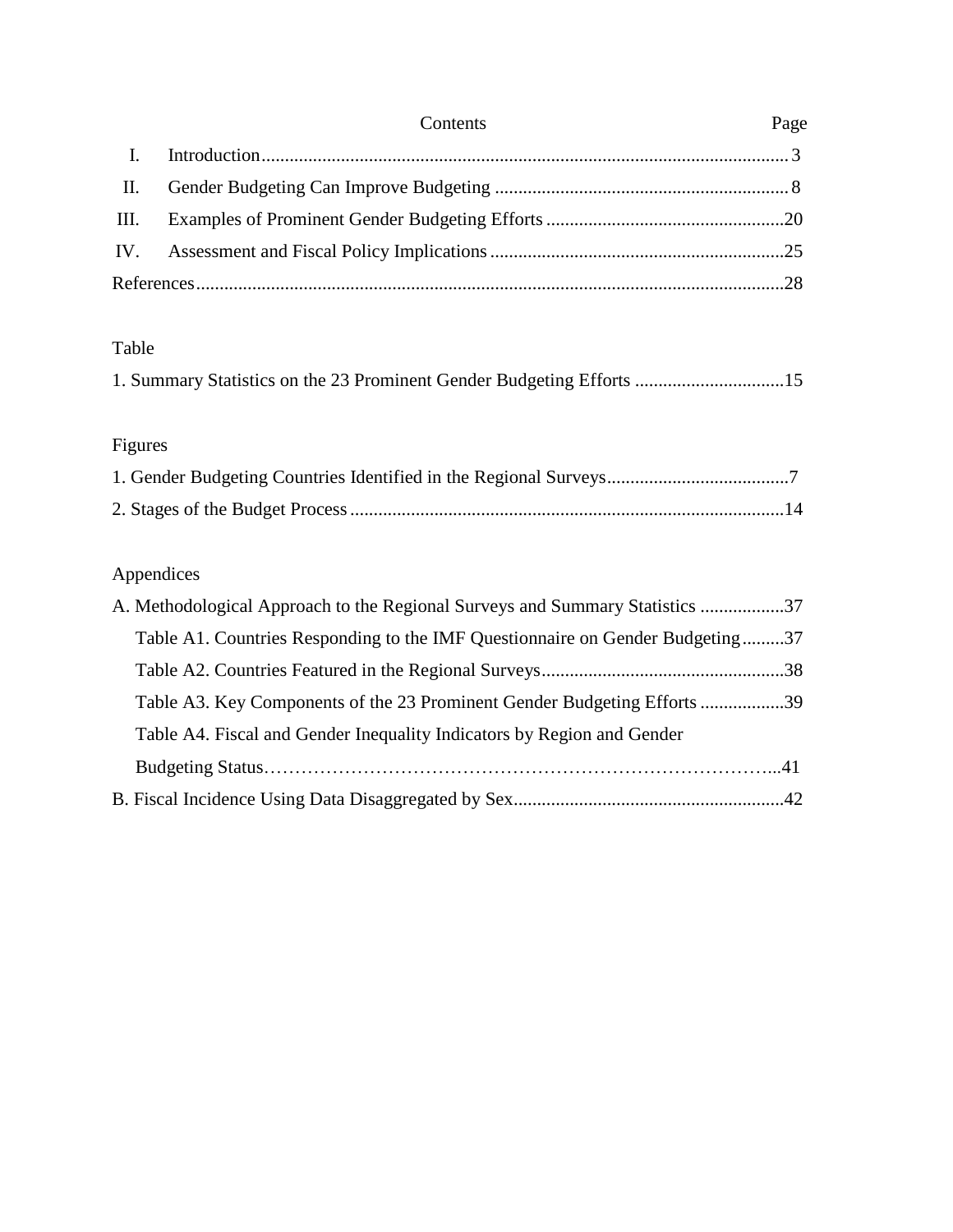|                | Contents | Page |
|----------------|----------|------|
| $\mathbf{I}$ . |          |      |
| П.             |          |      |
| III.           |          |      |
|                |          |      |
|                |          |      |

# Table

| 1. Summary Statistics on the 23 Prominent Gender Budgeting Efforts 15 |
|-----------------------------------------------------------------------|
|-----------------------------------------------------------------------|

# Figures

# Appendices

| A. Methodological Approach to the Regional Surveys and Summary Statistics 37  |  |
|-------------------------------------------------------------------------------|--|
| Table A1. Countries Responding to the IMF Questionnaire on Gender Budgeting37 |  |
|                                                                               |  |
| Table A3. Key Components of the 23 Prominent Gender Budgeting Efforts 39      |  |
| Table A4. Fiscal and Gender Inequality Indicators by Region and Gender        |  |
|                                                                               |  |
|                                                                               |  |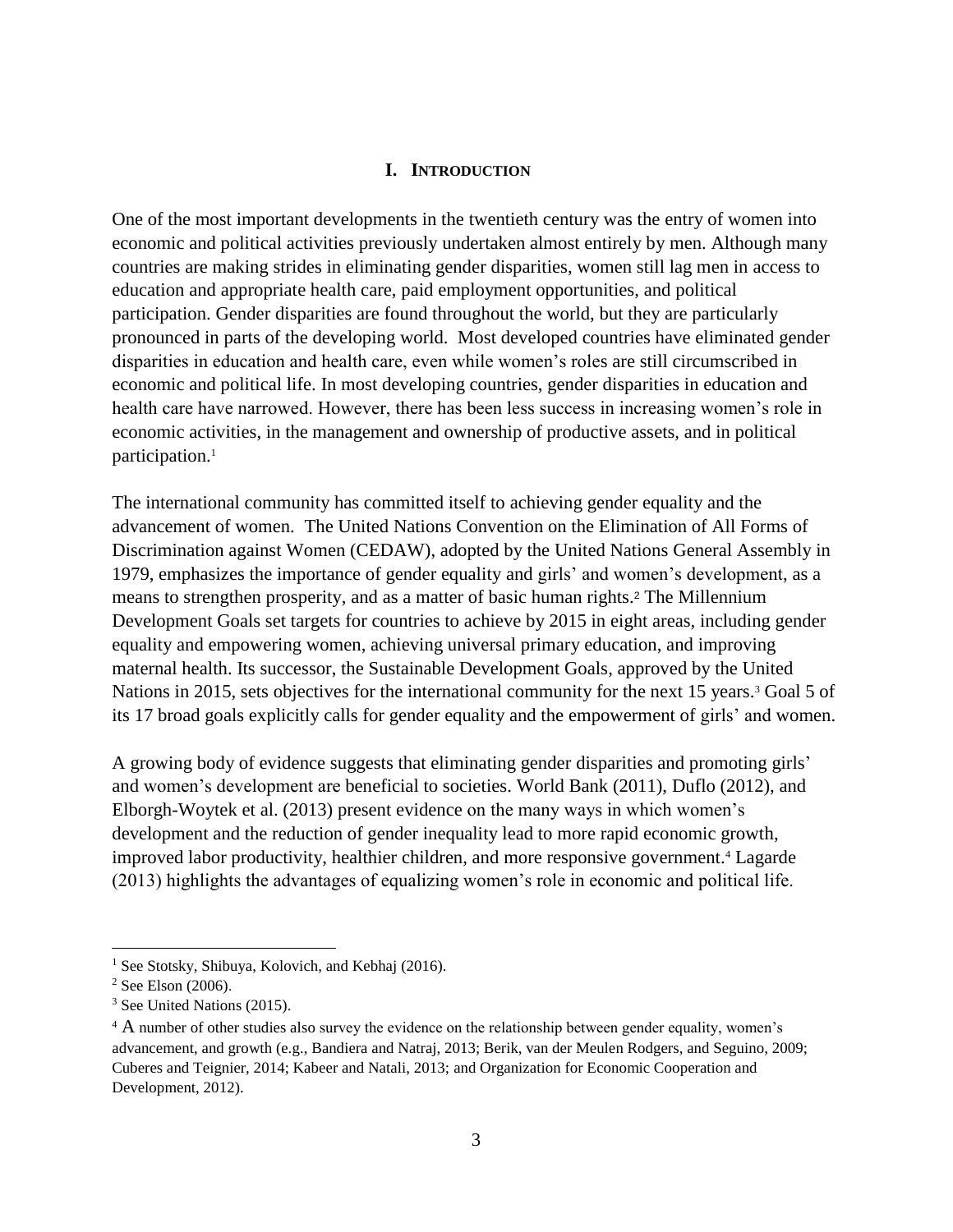#### **I. INTRODUCTION**

One of the most important developments in the twentieth century was the entry of women into economic and political activities previously undertaken almost entirely by men. Although many countries are making strides in eliminating gender disparities, women still lag men in access to education and appropriate health care, paid employment opportunities, and political participation. Gender disparities are found throughout the world, but they are particularly pronounced in parts of the developing world. Most developed countries have eliminated gender disparities in education and health care, even while women's roles are still circumscribed in economic and political life. In most developing countries, gender disparities in education and health care have narrowed. However, there has been less success in increasing women's role in economic activities, in the management and ownership of productive assets, and in political participation.<sup>1</sup>

The international community has committed itself to achieving gender equality and the advancement of women. The United Nations Convention on the Elimination of All Forms of Discrimination against Women (CEDAW), adopted by the United Nations General Assembly in 1979, emphasizes the importance of gender equality and girls' and women's development, as a means to strengthen prosperity, and as a matter of basic human rights.<sup>2</sup> The Millennium Development Goals set targets for countries to achieve by 2015 in eight areas, including gender equality and empowering women, achieving universal primary education, and improving maternal health. Its successor, the Sustainable Development Goals, approved by the United Nations in 2015, sets objectives for the international community for the next 15 years.<sup>3</sup> Goal 5 of its 17 broad goals explicitly calls for gender equality and the empowerment of girls' and women.

A growing body of evidence suggests that eliminating gender disparities and promoting girls' and women's development are beneficial to societies. World Bank (2011), Duflo (2012), and Elborgh-Woytek et al. (2013) present evidence on the many ways in which women's development and the reduction of gender inequality lead to more rapid economic growth, improved labor productivity, healthier children, and more responsive government.<sup>4</sup> Lagarde (2013) highlights the advantages of equalizing women's role in economic and political life.

<sup>&</sup>lt;sup>1</sup> See Stotsky, Shibuya, Kolovich, and Kebhaj (2016).

<sup>2</sup> See Elson (2006).

<sup>3</sup> See United Nations (2015).

<sup>&</sup>lt;sup>4</sup> A number of other studies also survey the evidence on the relationship between gender equality, women's advancement, and growth (e.g., Bandiera and Natraj, 2013; Berik, van der Meulen Rodgers, and Seguino, 2009; Cuberes and Teignier, 2014; Kabeer and Natali, 2013; and Organization for Economic Cooperation and Development, 2012).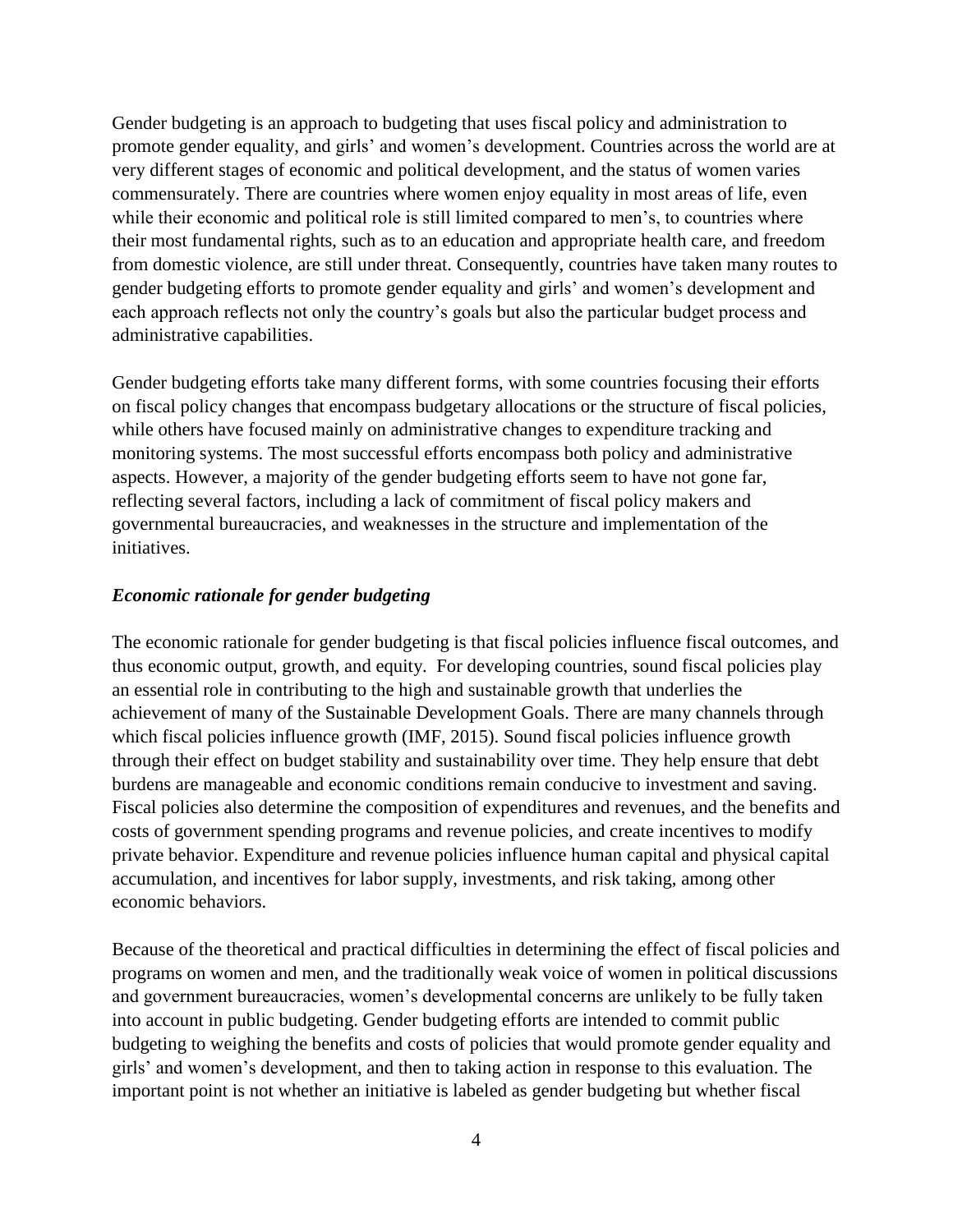Gender budgeting is an approach to budgeting that uses fiscal policy and administration to promote gender equality, and girls' and women's development. Countries across the world are at very different stages of economic and political development, and the status of women varies commensurately. There are countries where women enjoy equality in most areas of life, even while their economic and political role is still limited compared to men's, to countries where their most fundamental rights, such as to an education and appropriate health care, and freedom from domestic violence, are still under threat. Consequently, countries have taken many routes to gender budgeting efforts to promote gender equality and girls' and women's development and each approach reflects not only the country's goals but also the particular budget process and administrative capabilities.

Gender budgeting efforts take many different forms, with some countries focusing their efforts on fiscal policy changes that encompass budgetary allocations or the structure of fiscal policies, while others have focused mainly on administrative changes to expenditure tracking and monitoring systems. The most successful efforts encompass both policy and administrative aspects. However, a majority of the gender budgeting efforts seem to have not gone far, reflecting several factors, including a lack of commitment of fiscal policy makers and governmental bureaucracies, and weaknesses in the structure and implementation of the initiatives.

# *Economic rationale for gender budgeting*

The economic rationale for gender budgeting is that fiscal policies influence fiscal outcomes, and thus economic output, growth, and equity. For developing countries, sound fiscal policies play an essential role in contributing to the high and sustainable growth that underlies the achievement of many of the Sustainable Development Goals. There are many channels through which fiscal policies influence growth (IMF, 2015). Sound fiscal policies influence growth through their effect on budget stability and sustainability over time. They help ensure that debt burdens are manageable and economic conditions remain conducive to investment and saving. Fiscal policies also determine the composition of expenditures and revenues, and the benefits and costs of government spending programs and revenue policies, and create incentives to modify private behavior. Expenditure and revenue policies influence human capital and physical capital accumulation, and incentives for labor supply, investments, and risk taking, among other economic behaviors.

Because of the theoretical and practical difficulties in determining the effect of fiscal policies and programs on women and men, and the traditionally weak voice of women in political discussions and government bureaucracies, women's developmental concerns are unlikely to be fully taken into account in public budgeting. Gender budgeting efforts are intended to commit public budgeting to weighing the benefits and costs of policies that would promote gender equality and girls' and women's development, and then to taking action in response to this evaluation. The important point is not whether an initiative is labeled as gender budgeting but whether fiscal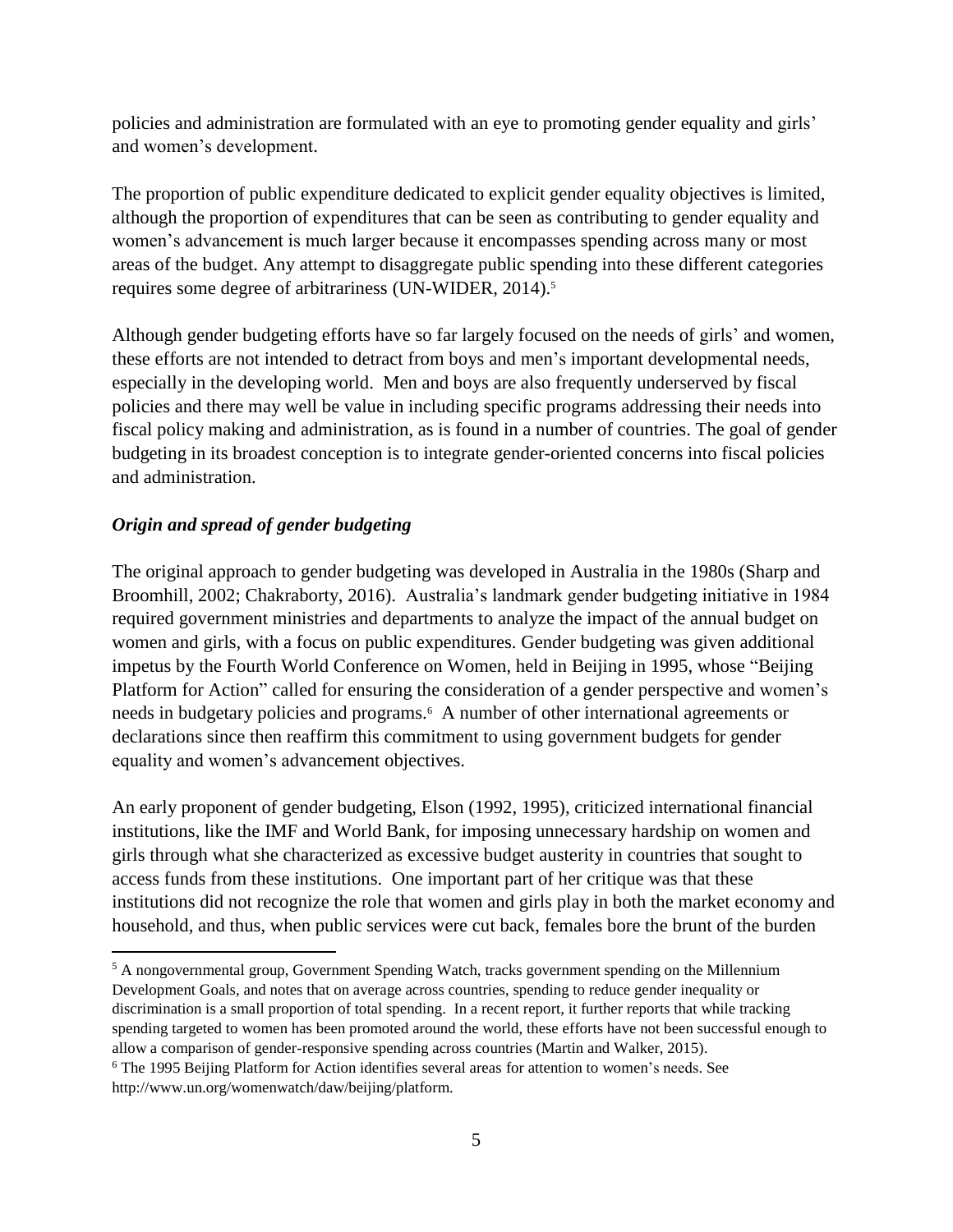policies and administration are formulated with an eye to promoting gender equality and girls' and women's development.

The proportion of public expenditure dedicated to explicit gender equality objectives is limited, although the proportion of expenditures that can be seen as contributing to gender equality and women's advancement is much larger because it encompasses spending across many or most areas of the budget. Any attempt to disaggregate public spending into these different categories requires some degree of arbitrariness (UN-WIDER, 2014).<sup>5</sup>

Although gender budgeting efforts have so far largely focused on the needs of girls' and women, these efforts are not intended to detract from boys and men's important developmental needs, especially in the developing world. Men and boys are also frequently underserved by fiscal policies and there may well be value in including specific programs addressing their needs into fiscal policy making and administration, as is found in a number of countries. The goal of gender budgeting in its broadest conception is to integrate gender-oriented concerns into fiscal policies and administration.

# *Origin and spread of gender budgeting*

The original approach to gender budgeting was developed in Australia in the 1980s (Sharp and Broomhill, 2002; Chakraborty, 2016). Australia's landmark gender budgeting initiative in 1984 required government ministries and departments to analyze the impact of the annual budget on women and girls, with a focus on public expenditures. Gender budgeting was given additional impetus by the Fourth World Conference on Women, held in Beijing in 1995, whose "Beijing Platform for Action" called for ensuring the consideration of a gender perspective and women's needs in budgetary policies and programs.<sup>6</sup> A number of other international agreements or declarations since then reaffirm this commitment to using government budgets for gender equality and women's advancement objectives.

An early proponent of gender budgeting, Elson (1992, 1995), criticized international financial institutions, like the IMF and World Bank, for imposing unnecessary hardship on women and girls through what she characterized as excessive budget austerity in countries that sought to access funds from these institutions. One important part of her critique was that these institutions did not recognize the role that women and girls play in both the market economy and household, and thus, when public services were cut back, females bore the brunt of the burden

 $\overline{a}$ <sup>5</sup> A nongovernmental group, Government Spending Watch, tracks government spending on the Millennium Development Goals, and notes that on average across countries, spending to reduce gender inequality or discrimination is a small proportion of total spending. In a recent report, it further reports that while tracking spending targeted to women has been promoted around the world, these efforts have not been successful enough to allow a comparison of gender-responsive spending across countries (Martin and Walker, 2015).

<sup>6</sup> The 1995 Beijing Platform for Action identifies several areas for attention to women's needs. See http://www.un.org/womenwatch/daw/beijing/platform.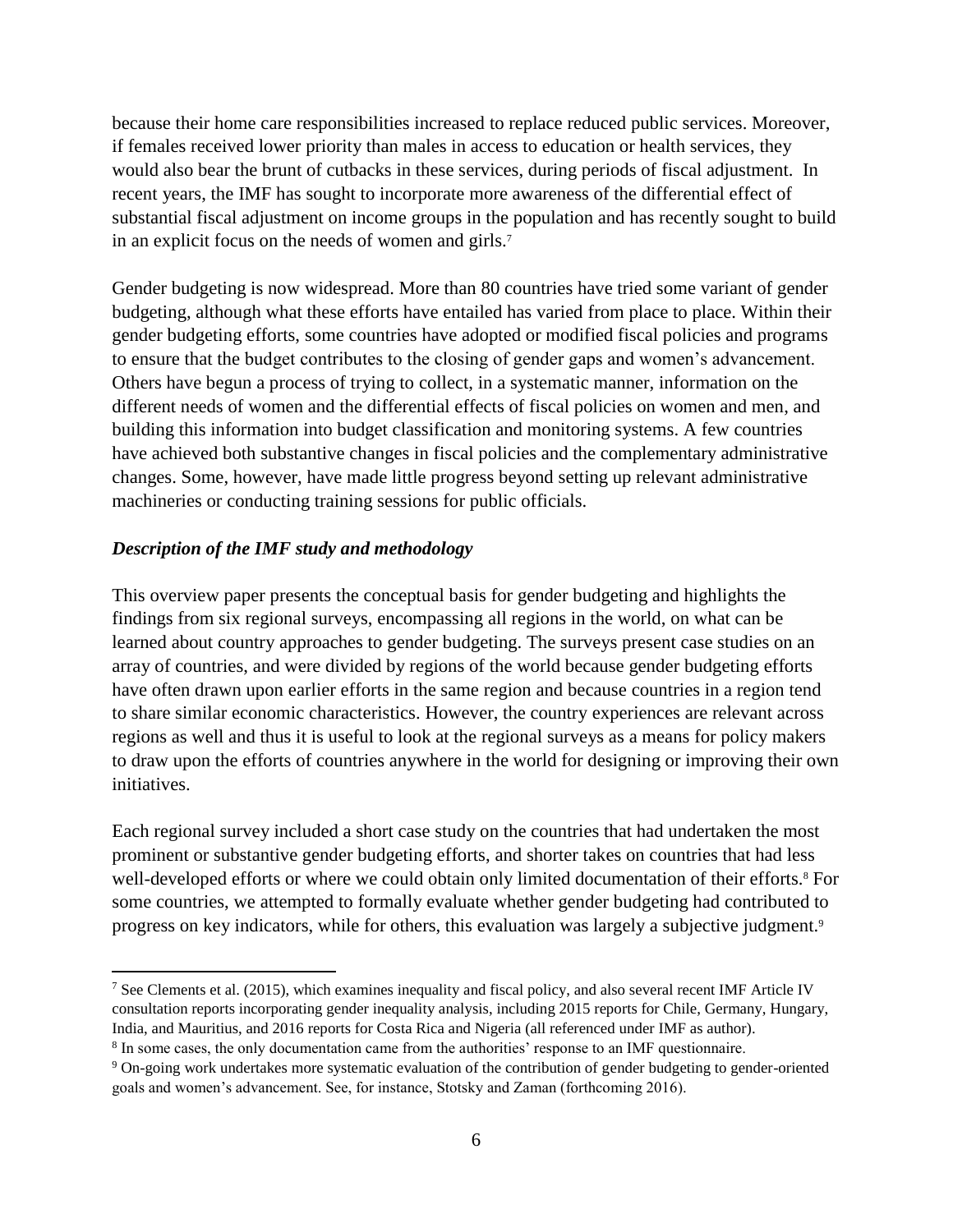because their home care responsibilities increased to replace reduced public services. Moreover, if females received lower priority than males in access to education or health services, they would also bear the brunt of cutbacks in these services, during periods of fiscal adjustment. In recent years, the IMF has sought to incorporate more awareness of the differential effect of substantial fiscal adjustment on income groups in the population and has recently sought to build in an explicit focus on the needs of women and girls. 7

Gender budgeting is now widespread. More than 80 countries have tried some variant of gender budgeting, although what these efforts have entailed has varied from place to place. Within their gender budgeting efforts, some countries have adopted or modified fiscal policies and programs to ensure that the budget contributes to the closing of gender gaps and women's advancement. Others have begun a process of trying to collect, in a systematic manner, information on the different needs of women and the differential effects of fiscal policies on women and men, and building this information into budget classification and monitoring systems. A few countries have achieved both substantive changes in fiscal policies and the complementary administrative changes. Some, however, have made little progress beyond setting up relevant administrative machineries or conducting training sessions for public officials.

# *Description of the IMF study and methodology*

 $\overline{a}$ 

This overview paper presents the conceptual basis for gender budgeting and highlights the findings from six regional surveys, encompassing all regions in the world, on what can be learned about country approaches to gender budgeting. The surveys present case studies on an array of countries, and were divided by regions of the world because gender budgeting efforts have often drawn upon earlier efforts in the same region and because countries in a region tend to share similar economic characteristics. However, the country experiences are relevant across regions as well and thus it is useful to look at the regional surveys as a means for policy makers to draw upon the efforts of countries anywhere in the world for designing or improving their own initiatives.

Each regional survey included a short case study on the countries that had undertaken the most prominent or substantive gender budgeting efforts, and shorter takes on countries that had less well-developed efforts or where we could obtain only limited documentation of their efforts.<sup>8</sup> For some countries, we attempted to formally evaluate whether gender budgeting had contributed to progress on key indicators, while for others, this evaluation was largely a subjective judgment.<sup>9</sup>

<sup>&</sup>lt;sup>7</sup> See Clements et al. (2015), which examines inequality and fiscal policy, and also several recent IMF Article IV consultation reports incorporating gender inequality analysis, including 2015 reports for Chile, Germany, Hungary, India, and Mauritius, and 2016 reports for Costa Rica and Nigeria (all referenced under IMF as author).

<sup>&</sup>lt;sup>8</sup> In some cases, the only documentation came from the authorities' response to an IMF questionnaire.

<sup>9</sup> On-going work undertakes more systematic evaluation of the contribution of gender budgeting to gender-oriented goals and women's advancement. See, for instance, Stotsky and Zaman (forthcoming 2016).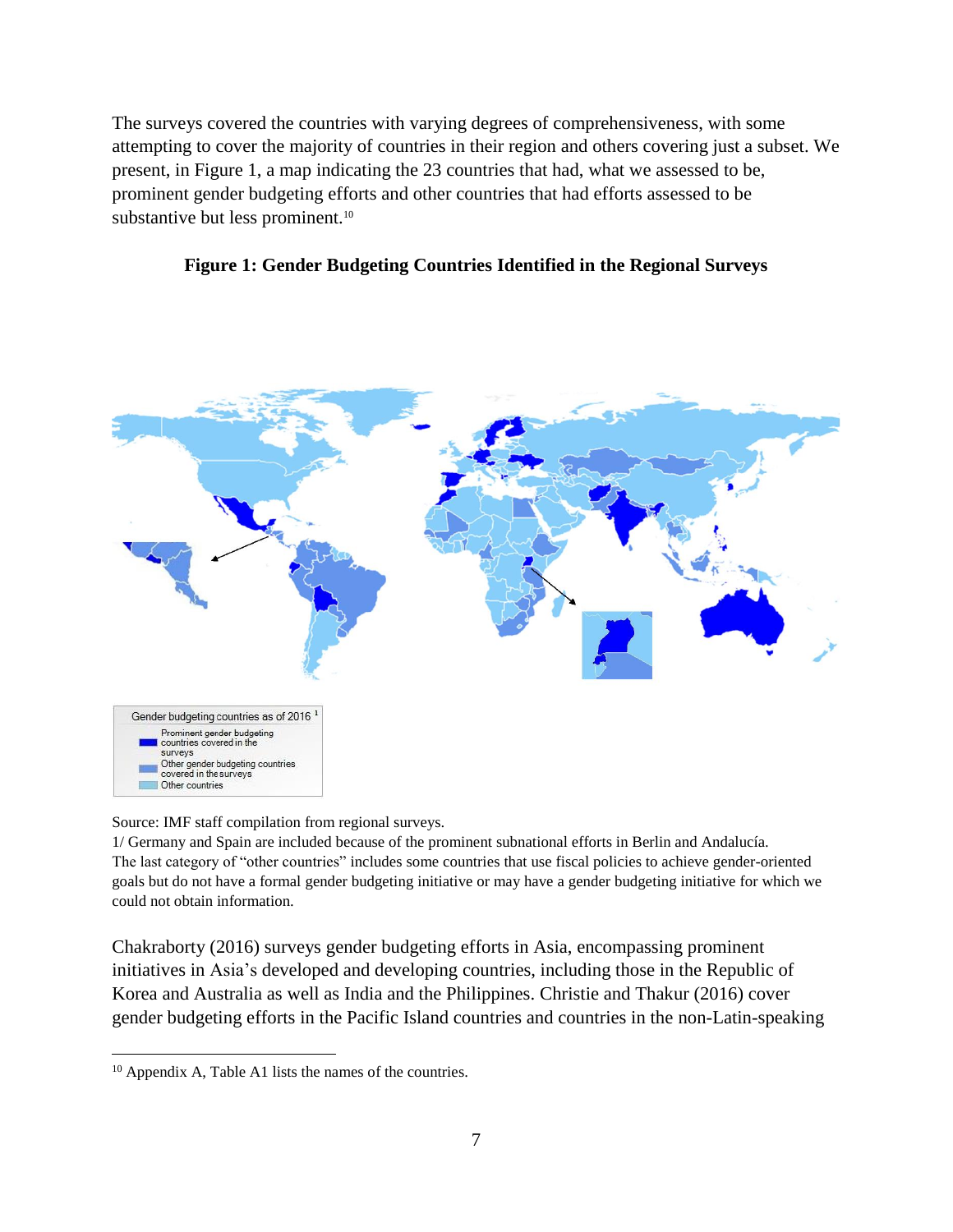The surveys covered the countries with varying degrees of comprehensiveness, with some attempting to cover the majority of countries in their region and others covering just a subset. We present, in Figure 1, a map indicating the 23 countries that had, what we assessed to be, prominent gender budgeting efforts and other countries that had efforts assessed to be substantive but less prominent.<sup>10</sup>





Source: IMF staff compilation from regional surveys.

1/ Germany and Spain are included because of the prominent subnational efforts in Berlin and Andalucía. The last category of "other countries" includes some countries that use fiscal policies to achieve gender-oriented goals but do not have a formal gender budgeting initiative or may have a gender budgeting initiative for which we could not obtain information.

Chakraborty (2016) surveys gender budgeting efforts in Asia, encompassing prominent initiatives in Asia's developed and developing countries, including those in the Republic of Korea and Australia as well as India and the Philippines. Christie and Thakur (2016) cover gender budgeting efforts in the Pacific Island countries and countries in the non-Latin-speaking

<sup>10</sup> Appendix A, Table A1 lists the names of the countries.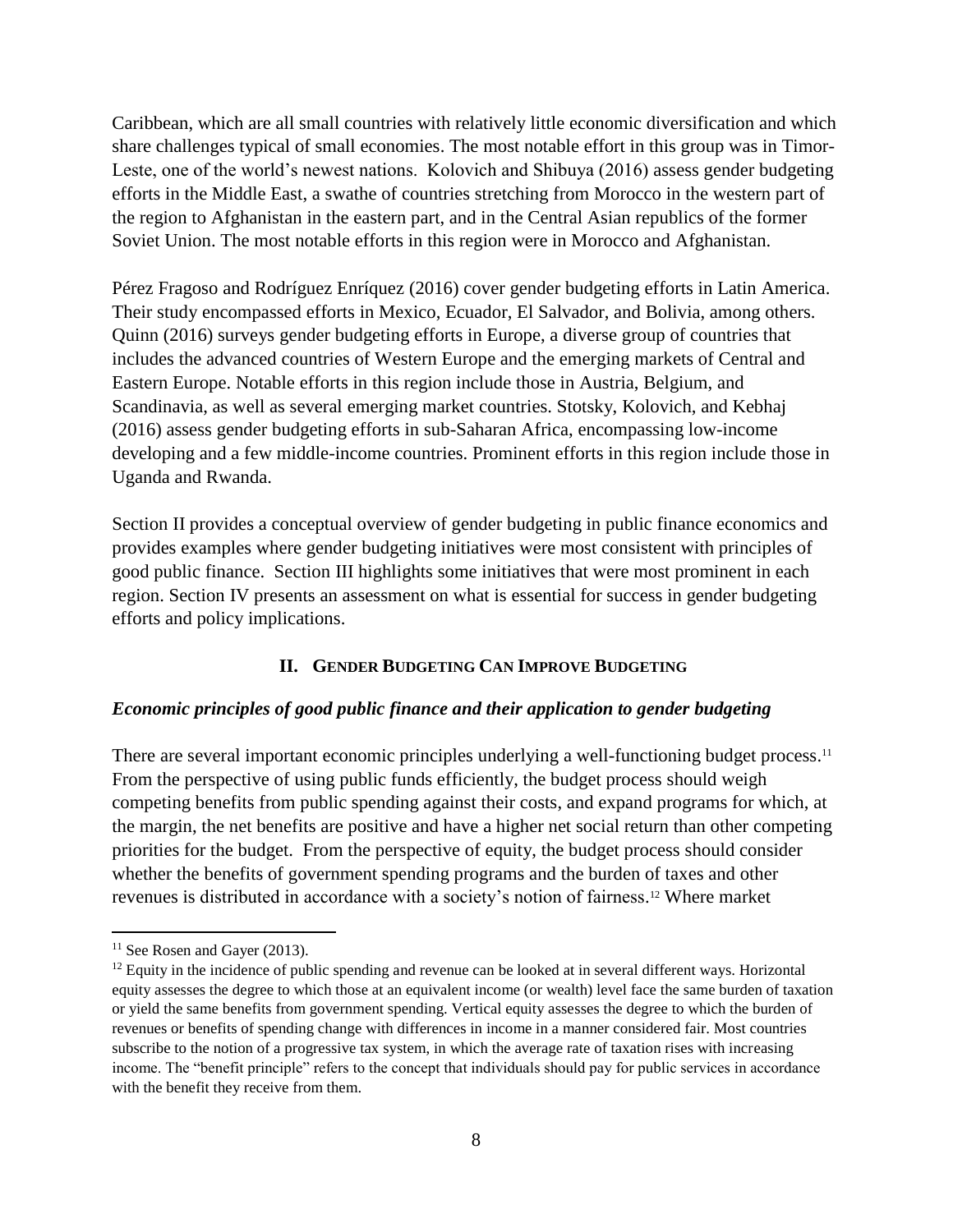Caribbean, which are all small countries with relatively little economic diversification and which share challenges typical of small economies. The most notable effort in this group was in Timor-Leste, one of the world's newest nations. Kolovich and Shibuya (2016) assess gender budgeting efforts in the Middle East, a swathe of countries stretching from Morocco in the western part of the region to Afghanistan in the eastern part, and in the Central Asian republics of the former Soviet Union. The most notable efforts in this region were in Morocco and Afghanistan.

Pérez Fragoso and Rodríguez Enríquez (2016) cover gender budgeting efforts in Latin America. Their study encompassed efforts in Mexico, Ecuador, El Salvador, and Bolivia, among others. Quinn (2016) surveys gender budgeting efforts in Europe, a diverse group of countries that includes the advanced countries of Western Europe and the emerging markets of Central and Eastern Europe. Notable efforts in this region include those in Austria, Belgium, and Scandinavia, as well as several emerging market countries. Stotsky, Kolovich, and Kebhaj (2016) assess gender budgeting efforts in sub-Saharan Africa, encompassing low-income developing and a few middle-income countries. Prominent efforts in this region include those in Uganda and Rwanda.

Section II provides a conceptual overview of gender budgeting in public finance economics and provides examples where gender budgeting initiatives were most consistent with principles of good public finance. Section III highlights some initiatives that were most prominent in each region. Section IV presents an assessment on what is essential for success in gender budgeting efforts and policy implications.

# **II. GENDER BUDGETING CAN IMPROVE BUDGETING**

#### *Economic principles of good public finance and their application to gender budgeting*

There are several important economic principles underlying a well-functioning budget process.<sup>11</sup> From the perspective of using public funds efficiently, the budget process should weigh competing benefits from public spending against their costs, and expand programs for which, at the margin, the net benefits are positive and have a higher net social return than other competing priorities for the budget. From the perspective of equity, the budget process should consider whether the benefits of government spending programs and the burden of taxes and other revenues is distributed in accordance with a society's notion of fairness. <sup>12</sup> Where market

 $11$  See Rosen and Gayer (2013).

<sup>&</sup>lt;sup>12</sup> Equity in the incidence of public spending and revenue can be looked at in several different ways. Horizontal equity assesses the degree to which those at an equivalent income (or wealth) level face the same burden of taxation or yield the same benefits from government spending. Vertical equity assesses the degree to which the burden of revenues or benefits of spending change with differences in income in a manner considered fair. Most countries subscribe to the notion of a progressive tax system, in which the average rate of taxation rises with increasing income. The "benefit principle" refers to the concept that individuals should pay for public services in accordance with the benefit they receive from them.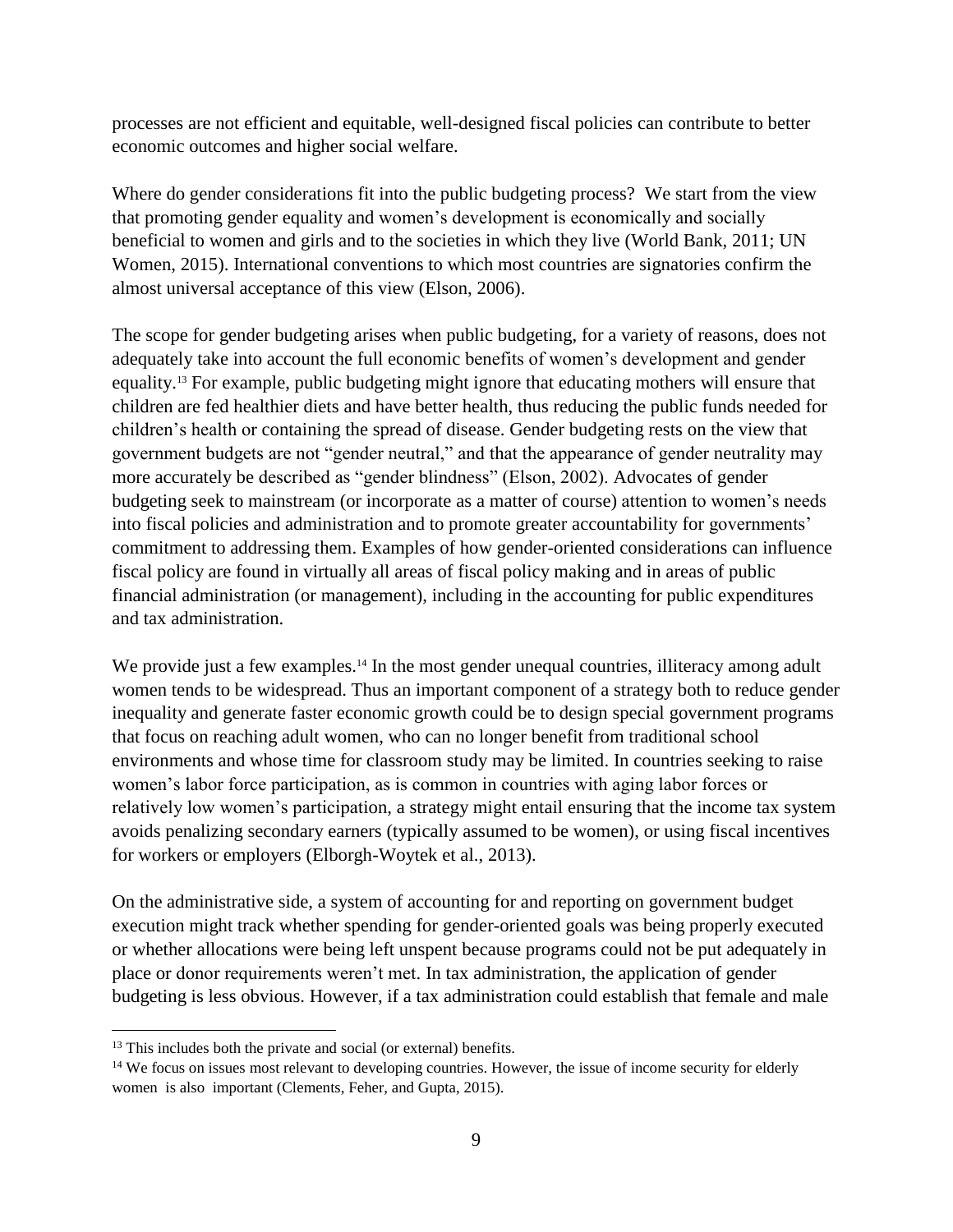processes are not efficient and equitable, well-designed fiscal policies can contribute to better economic outcomes and higher social welfare.

Where do gender considerations fit into the public budgeting process? We start from the view that promoting gender equality and women's development is economically and socially beneficial to women and girls and to the societies in which they live (World Bank, 2011; UN Women, 2015). International conventions to which most countries are signatories confirm the almost universal acceptance of this view (Elson, 2006).

The scope for gender budgeting arises when public budgeting, for a variety of reasons, does not adequately take into account the full economic benefits of women's development and gender equality. <sup>13</sup> For example, public budgeting might ignore that educating mothers will ensure that children are fed healthier diets and have better health, thus reducing the public funds needed for children's health or containing the spread of disease. Gender budgeting rests on the view that government budgets are not "gender neutral," and that the appearance of gender neutrality may more accurately be described as "gender blindness" (Elson, 2002). Advocates of gender budgeting seek to mainstream (or incorporate as a matter of course) attention to women's needs into fiscal policies and administration and to promote greater accountability for governments' commitment to addressing them. Examples of how gender-oriented considerations can influence fiscal policy are found in virtually all areas of fiscal policy making and in areas of public financial administration (or management), including in the accounting for public expenditures and tax administration.

We provide just a few examples.<sup>14</sup> In the most gender unequal countries, illiteracy among adult women tends to be widespread. Thus an important component of a strategy both to reduce gender inequality and generate faster economic growth could be to design special government programs that focus on reaching adult women, who can no longer benefit from traditional school environments and whose time for classroom study may be limited. In countries seeking to raise women's labor force participation, as is common in countries with aging labor forces or relatively low women's participation, a strategy might entail ensuring that the income tax system avoids penalizing secondary earners (typically assumed to be women), or using fiscal incentives for workers or employers (Elborgh-Woytek et al., 2013).

On the administrative side, a system of accounting for and reporting on government budget execution might track whether spending for gender-oriented goals was being properly executed or whether allocations were being left unspent because programs could not be put adequately in place or donor requirements weren't met. In tax administration, the application of gender budgeting is less obvious. However, if a tax administration could establish that female and male

<sup>&</sup>lt;sup>13</sup> This includes both the private and social (or external) benefits.

<sup>&</sup>lt;sup>14</sup> We focus on issues most relevant to developing countries. However, the issue of income security for elderly women is also important (Clements, Feher, and Gupta, 2015).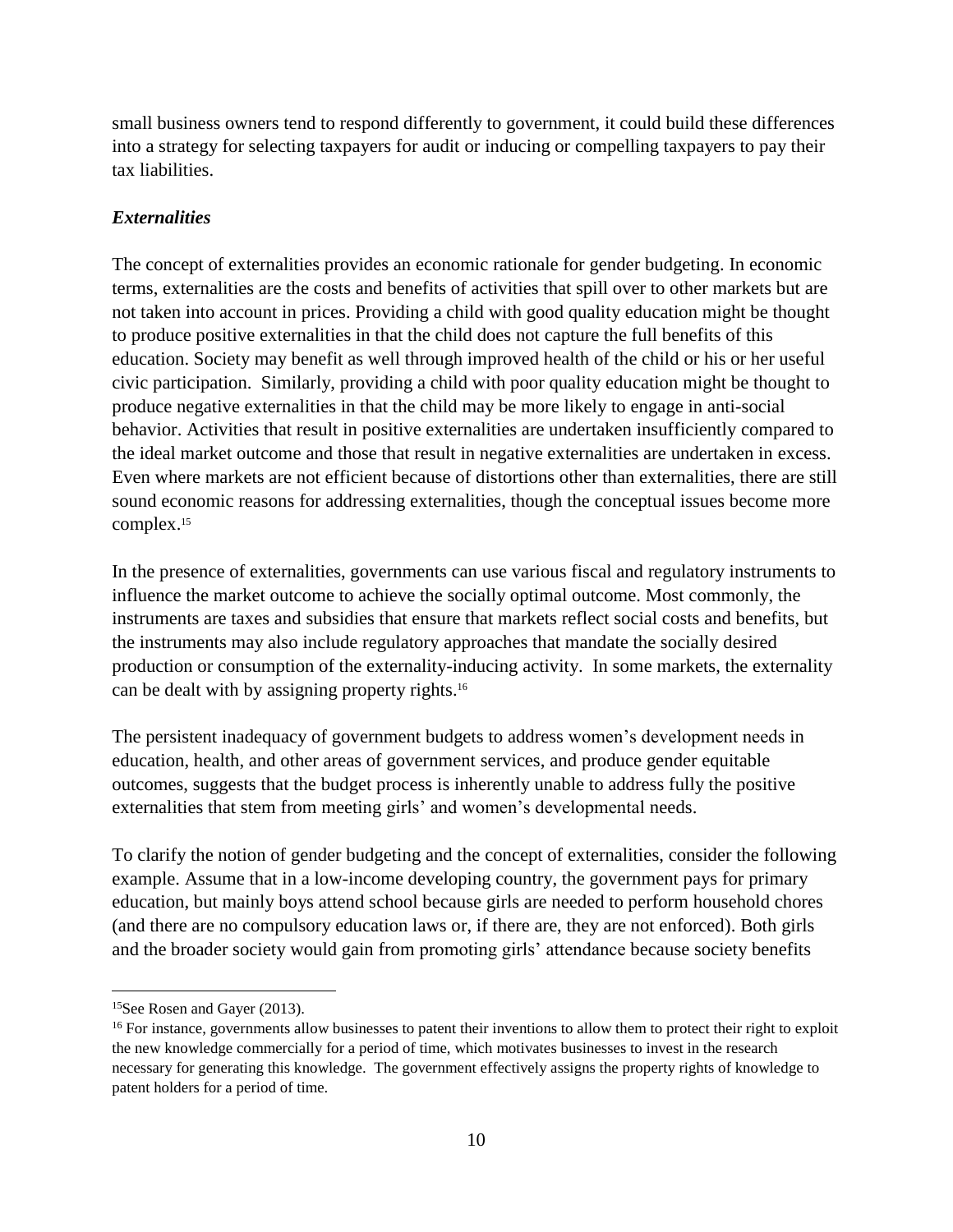small business owners tend to respond differently to government, it could build these differences into a strategy for selecting taxpayers for audit or inducing or compelling taxpayers to pay their tax liabilities.

# *Externalities*

The concept of externalities provides an economic rationale for gender budgeting. In economic terms, externalities are the costs and benefits of activities that spill over to other markets but are not taken into account in prices. Providing a child with good quality education might be thought to produce positive externalities in that the child does not capture the full benefits of this education. Society may benefit as well through improved health of the child or his or her useful civic participation. Similarly, providing a child with poor quality education might be thought to produce negative externalities in that the child may be more likely to engage in anti-social behavior. Activities that result in positive externalities are undertaken insufficiently compared to the ideal market outcome and those that result in negative externalities are undertaken in excess. Even where markets are not efficient because of distortions other than externalities, there are still sound economic reasons for addressing externalities, though the conceptual issues become more complex.<sup>15</sup>

In the presence of externalities, governments can use various fiscal and regulatory instruments to influence the market outcome to achieve the socially optimal outcome. Most commonly, the instruments are taxes and subsidies that ensure that markets reflect social costs and benefits, but the instruments may also include regulatory approaches that mandate the socially desired production or consumption of the externality-inducing activity. In some markets, the externality can be dealt with by assigning property rights. 16

The persistent inadequacy of government budgets to address women's development needs in education, health, and other areas of government services, and produce gender equitable outcomes, suggests that the budget process is inherently unable to address fully the positive externalities that stem from meeting girls' and women's developmental needs.

To clarify the notion of gender budgeting and the concept of externalities, consider the following example. Assume that in a low-income developing country, the government pays for primary education, but mainly boys attend school because girls are needed to perform household chores (and there are no compulsory education laws or, if there are, they are not enforced). Both girls and the broader society would gain from promoting girls' attendance because society benefits

<sup>&</sup>lt;sup>15</sup>See Rosen and Gayer (2013).

<sup>&</sup>lt;sup>16</sup> For instance, governments allow businesses to patent their inventions to allow them to protect their right to exploit the new knowledge commercially for a period of time, which motivates businesses to invest in the research necessary for generating this knowledge. The government effectively assigns the property rights of knowledge to patent holders for a period of time.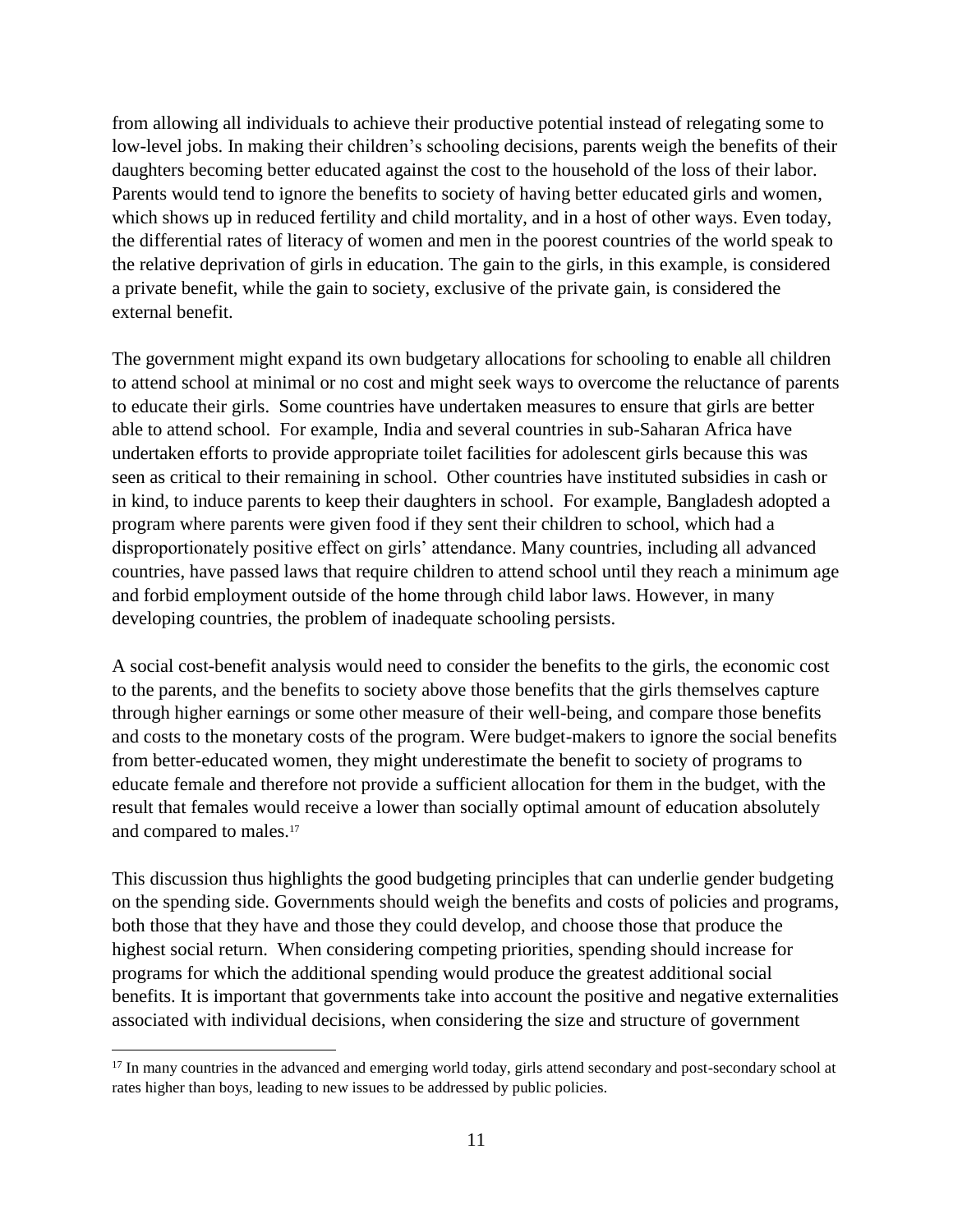from allowing all individuals to achieve their productive potential instead of relegating some to low-level jobs. In making their children's schooling decisions, parents weigh the benefits of their daughters becoming better educated against the cost to the household of the loss of their labor. Parents would tend to ignore the benefits to society of having better educated girls and women, which shows up in reduced fertility and child mortality, and in a host of other ways. Even today, the differential rates of literacy of women and men in the poorest countries of the world speak to the relative deprivation of girls in education. The gain to the girls, in this example, is considered a private benefit, while the gain to society, exclusive of the private gain, is considered the external benefit.

The government might expand its own budgetary allocations for schooling to enable all children to attend school at minimal or no cost and might seek ways to overcome the reluctance of parents to educate their girls. Some countries have undertaken measures to ensure that girls are better able to attend school. For example, India and several countries in sub-Saharan Africa have undertaken efforts to provide appropriate toilet facilities for adolescent girls because this was seen as critical to their remaining in school. Other countries have instituted subsidies in cash or in kind, to induce parents to keep their daughters in school. For example, Bangladesh adopted a program where parents were given food if they sent their children to school, which had a disproportionately positive effect on girls' attendance. Many countries, including all advanced countries, have passed laws that require children to attend school until they reach a minimum age and forbid employment outside of the home through child labor laws. However, in many developing countries, the problem of inadequate schooling persists.

A social cost-benefit analysis would need to consider the benefits to the girls, the economic cost to the parents, and the benefits to society above those benefits that the girls themselves capture through higher earnings or some other measure of their well-being, and compare those benefits and costs to the monetary costs of the program. Were budget-makers to ignore the social benefits from better-educated women, they might underestimate the benefit to society of programs to educate female and therefore not provide a sufficient allocation for them in the budget, with the result that females would receive a lower than socially optimal amount of education absolutely and compared to males. 17

This discussion thus highlights the good budgeting principles that can underlie gender budgeting on the spending side. Governments should weigh the benefits and costs of policies and programs, both those that they have and those they could develop, and choose those that produce the highest social return. When considering competing priorities, spending should increase for programs for which the additional spending would produce the greatest additional social benefits. It is important that governments take into account the positive and negative externalities associated with individual decisions, when considering the size and structure of government

<sup>&</sup>lt;sup>17</sup> In many countries in the advanced and emerging world today, girls attend secondary and post-secondary school at rates higher than boys, leading to new issues to be addressed by public policies.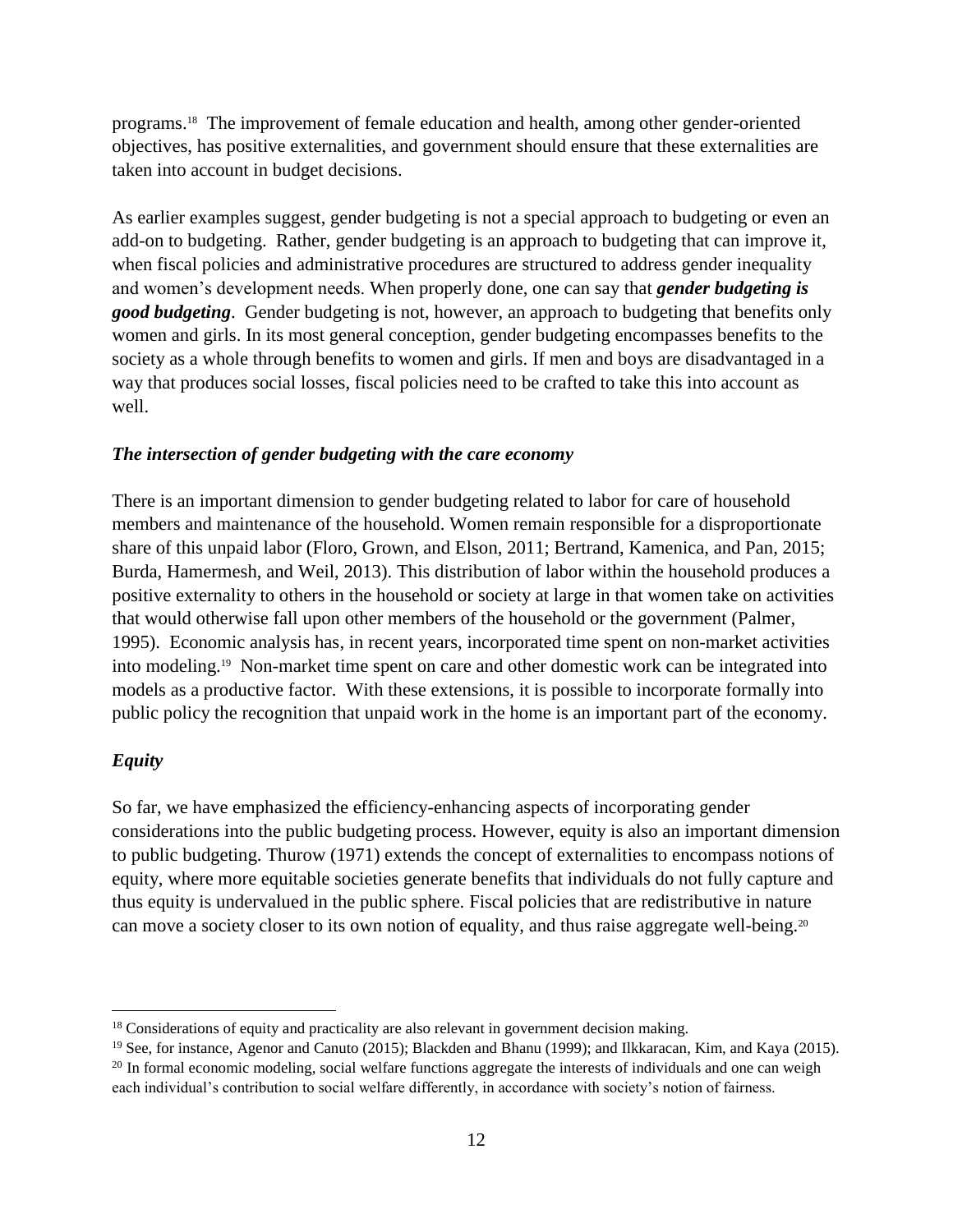programs. <sup>18</sup> The improvement of female education and health, among other gender-oriented objectives, has positive externalities, and government should ensure that these externalities are taken into account in budget decisions.

As earlier examples suggest, gender budgeting is not a special approach to budgeting or even an add-on to budgeting. Rather, gender budgeting is an approach to budgeting that can improve it, when fiscal policies and administrative procedures are structured to address gender inequality and women's development needs. When properly done, one can say that *gender budgeting is good budgeting*. Gender budgeting is not, however, an approach to budgeting that benefits only women and girls. In its most general conception, gender budgeting encompasses benefits to the society as a whole through benefits to women and girls. If men and boys are disadvantaged in a way that produces social losses, fiscal policies need to be crafted to take this into account as well.

#### *The intersection of gender budgeting with the care economy*

There is an important dimension to gender budgeting related to labor for care of household members and maintenance of the household. Women remain responsible for a disproportionate share of this unpaid labor (Floro, Grown, and Elson, 2011; Bertrand, Kamenica, and Pan, 2015; Burda, Hamermesh, and Weil, 2013). This distribution of labor within the household produces a positive externality to others in the household or society at large in that women take on activities that would otherwise fall upon other members of the household or the government (Palmer, 1995). Economic analysis has, in recent years, incorporated time spent on non-market activities into modeling. 19 Non-market time spent on care and other domestic work can be integrated into models as a productive factor. With these extensions, it is possible to incorporate formally into public policy the recognition that unpaid work in the home is an important part of the economy.

#### *Equity*

 $\overline{a}$ 

So far, we have emphasized the efficiency-enhancing aspects of incorporating gender considerations into the public budgeting process. However, equity is also an important dimension to public budgeting. Thurow (1971) extends the concept of externalities to encompass notions of equity, where more equitable societies generate benefits that individuals do not fully capture and thus equity is undervalued in the public sphere. Fiscal policies that are redistributive in nature can move a society closer to its own notion of equality, and thus raise aggregate well-being.<sup>20</sup>

<sup>&</sup>lt;sup>18</sup> Considerations of equity and practicality are also relevant in government decision making.

<sup>&</sup>lt;sup>19</sup> See, for instance, Agenor and Canuto (2015); Blackden and Bhanu (1999); and Ilkkaracan, Kim, and Kaya (2015).

<sup>&</sup>lt;sup>20</sup> In formal economic modeling, social welfare functions aggregate the interests of individuals and one can weigh each individual's contribution to social welfare differently, in accordance with society's notion of fairness.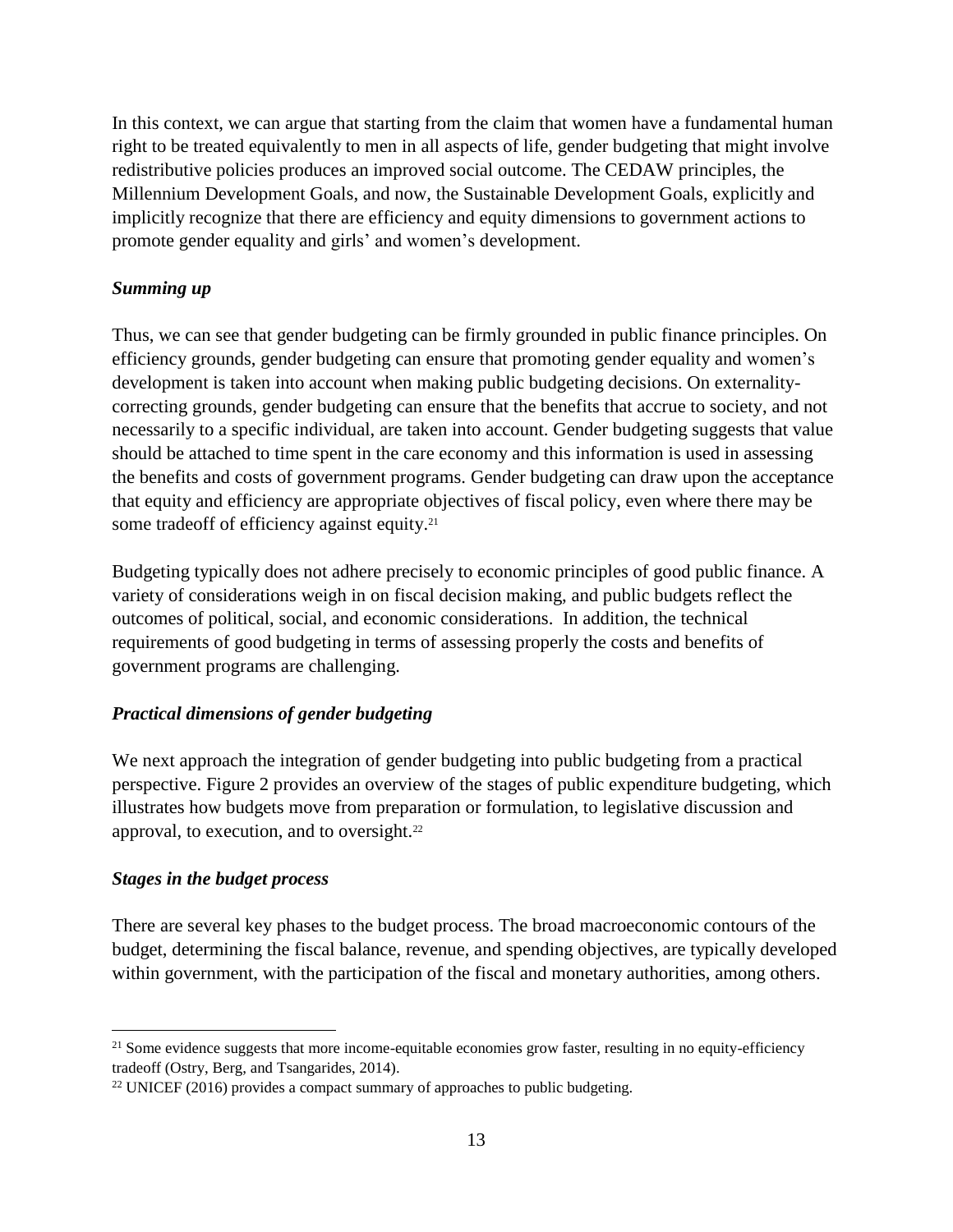In this context, we can argue that starting from the claim that women have a fundamental human right to be treated equivalently to men in all aspects of life, gender budgeting that might involve redistributive policies produces an improved social outcome. The CEDAW principles, the Millennium Development Goals, and now, the Sustainable Development Goals, explicitly and implicitly recognize that there are efficiency and equity dimensions to government actions to promote gender equality and girls' and women's development.

# *Summing up*

Thus, we can see that gender budgeting can be firmly grounded in public finance principles. On efficiency grounds, gender budgeting can ensure that promoting gender equality and women's development is taken into account when making public budgeting decisions. On externalitycorrecting grounds, gender budgeting can ensure that the benefits that accrue to society, and not necessarily to a specific individual, are taken into account. Gender budgeting suggests that value should be attached to time spent in the care economy and this information is used in assessing the benefits and costs of government programs. Gender budgeting can draw upon the acceptance that equity and efficiency are appropriate objectives of fiscal policy, even where there may be some tradeoff of efficiency against equity.<sup>21</sup>

Budgeting typically does not adhere precisely to economic principles of good public finance. A variety of considerations weigh in on fiscal decision making, and public budgets reflect the outcomes of political, social, and economic considerations. In addition, the technical requirements of good budgeting in terms of assessing properly the costs and benefits of government programs are challenging.

# *Practical dimensions of gender budgeting*

We next approach the integration of gender budgeting into public budgeting from a practical perspective. Figure 2 provides an overview of the stages of public expenditure budgeting, which illustrates how budgets move from preparation or formulation, to legislative discussion and approval, to execution, and to oversight.<sup>22</sup>

# *Stages in the budget process*

 $\overline{a}$ 

There are several key phases to the budget process. The broad macroeconomic contours of the budget, determining the fiscal balance, revenue, and spending objectives, are typically developed within government, with the participation of the fiscal and monetary authorities, among others.

<sup>&</sup>lt;sup>21</sup> Some evidence suggests that more income-equitable economies grow faster, resulting in no equity-efficiency tradeoff (Ostry, Berg, and Tsangarides, 2014).

 $22$  UNICEF (2016) provides a compact summary of approaches to public budgeting.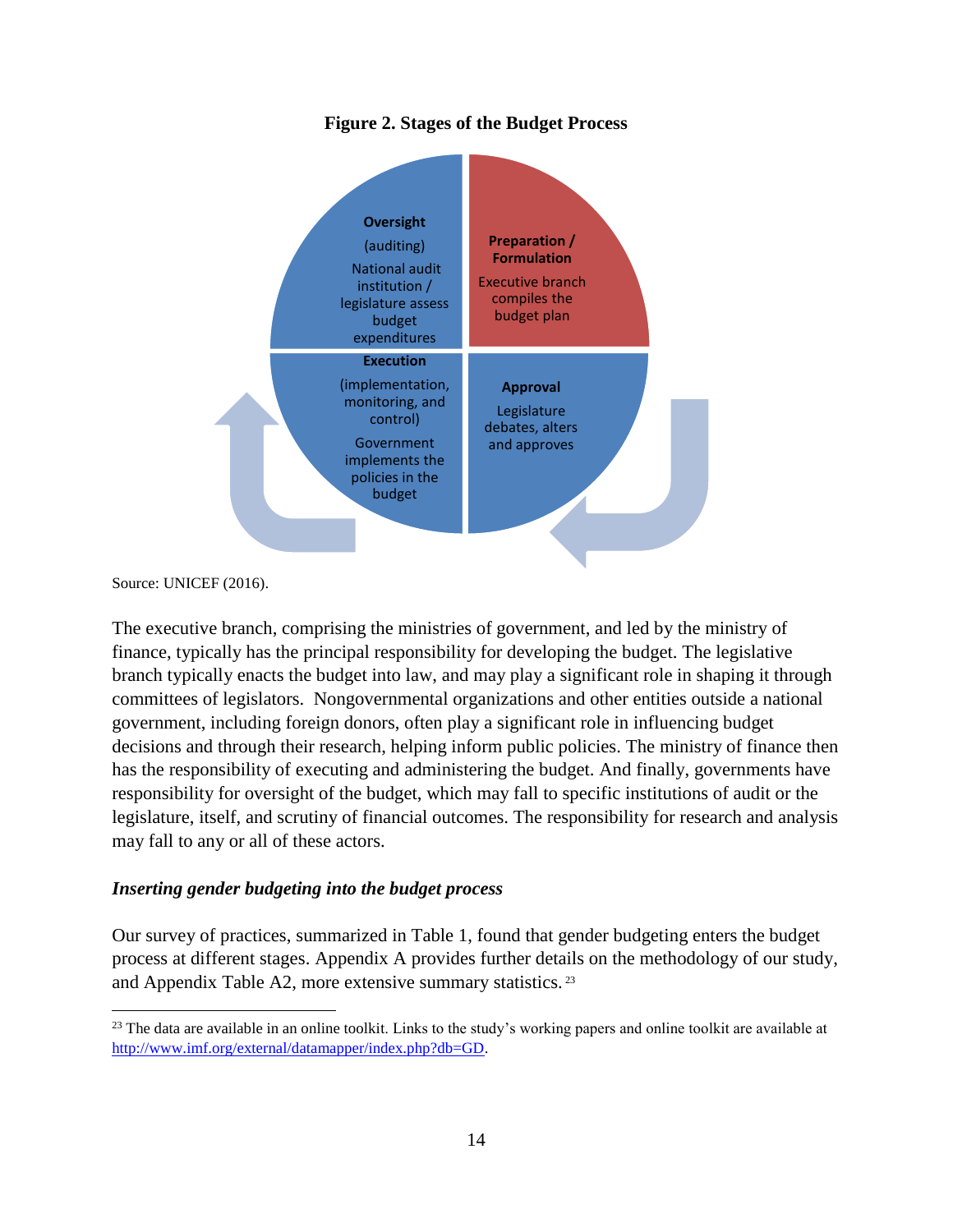# **Figure 2. Stages of the Budget Process**



Source: UNICEF (2016).

 $\overline{a}$ 

The executive branch, comprising the ministries of government, and led by the ministry of finance, typically has the principal responsibility for developing the budget. The legislative branch typically enacts the budget into law, and may play a significant role in shaping it through committees of legislators. Nongovernmental organizations and other entities outside a national government, including foreign donors, often play a significant role in influencing budget decisions and through their research, helping inform public policies. The ministry of finance then has the responsibility of executing and administering the budget. And finally, governments have responsibility for oversight of the budget, which may fall to specific institutions of audit or the legislature, itself, and scrutiny of financial outcomes. The responsibility for research and analysis may fall to any or all of these actors.

#### *Inserting gender budgeting into the budget process*

Our survey of practices, summarized in Table 1, found that gender budgeting enters the budget process at different stages. Appendix A provides further details on the methodology of our study, and Appendix Table A2, more extensive summary statistics. <sup>23</sup>

 $23$  The data are available in an online toolkit. Links to the study's working papers and online toolkit are available at [http://www.imf.org/external/datamapper/index.php?db=GD.](http://www.imf.org/external/datamapper/index.php?db=GD)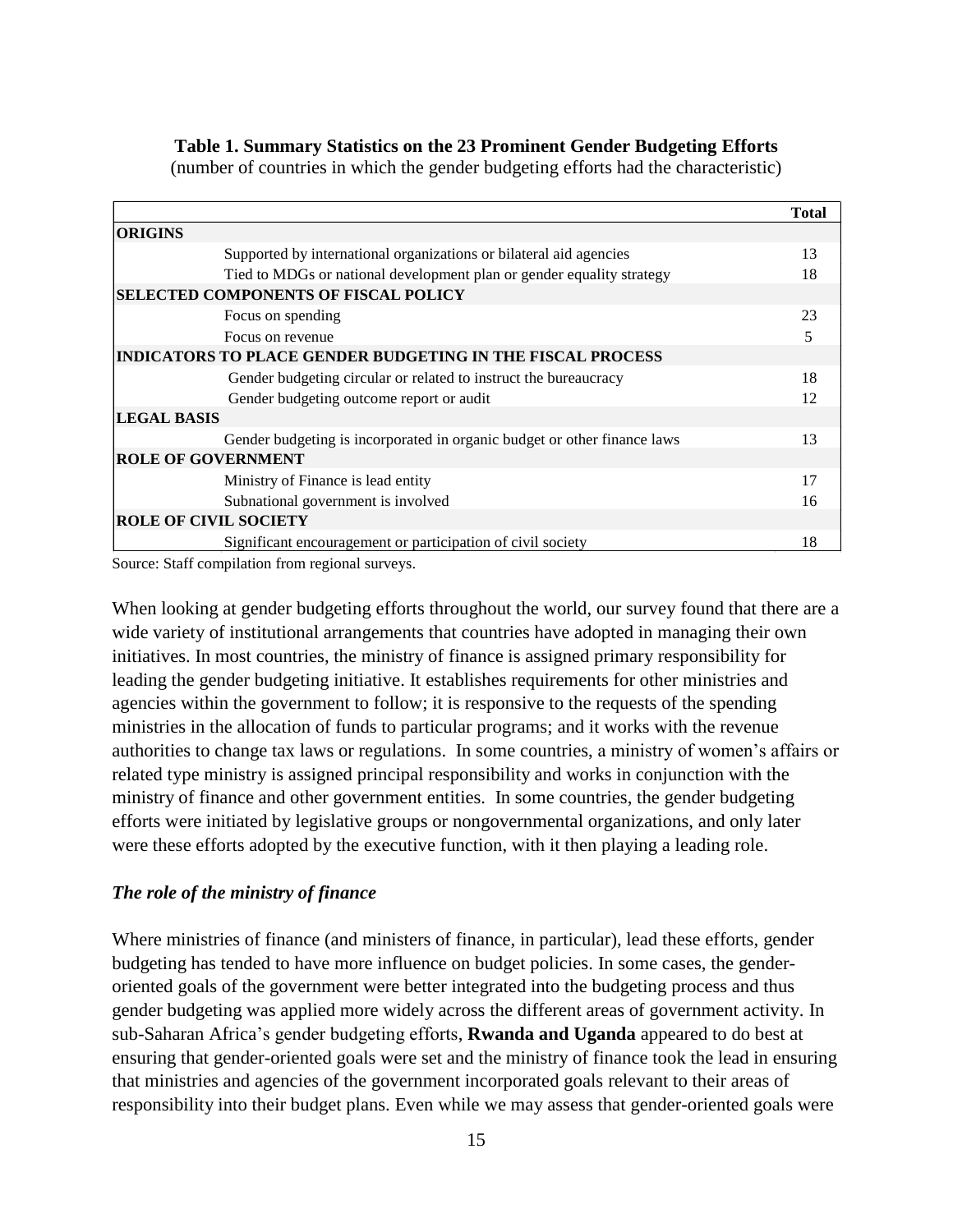#### **Table 1. Summary Statistics on the 23 Prominent Gender Budgeting Efforts**

(number of countries in which the gender budgeting efforts had the characteristic)

|                                                                          | <b>Total</b> |  |  |  |  |  |
|--------------------------------------------------------------------------|--------------|--|--|--|--|--|
| <b>ORIGINS</b>                                                           |              |  |  |  |  |  |
| Supported by international organizations or bilateral aid agencies       | 13           |  |  |  |  |  |
| Tied to MDGs or national development plan or gender equality strategy    | 18           |  |  |  |  |  |
| <b>SELECTED COMPONENTS OF FISCAL POLICY</b>                              |              |  |  |  |  |  |
| Focus on spending                                                        | 23           |  |  |  |  |  |
| Focus on revenue                                                         | 5            |  |  |  |  |  |
| <b>INDICATORS TO PLACE GENDER BUDGETING IN THE FISCAL PROCESS</b>        |              |  |  |  |  |  |
| Gender budgeting circular or related to instruct the bureaucracy         | 18           |  |  |  |  |  |
| Gender budgeting outcome report or audit                                 | 12           |  |  |  |  |  |
| <b>LEGAL BASIS</b>                                                       |              |  |  |  |  |  |
| Gender budgeting is incorporated in organic budget or other finance laws | 13           |  |  |  |  |  |
| <b>ROLE OF GOVERNMENT</b>                                                |              |  |  |  |  |  |
| Ministry of Finance is lead entity                                       | 17           |  |  |  |  |  |
| Subnational government is involved                                       | 16           |  |  |  |  |  |
| <b>ROLE OF CIVIL SOCIETY</b>                                             |              |  |  |  |  |  |
| Significant encouragement or participation of civil society              | 18           |  |  |  |  |  |

Source: Staff compilation from regional surveys.

When looking at gender budgeting efforts throughout the world, our survey found that there are a wide variety of institutional arrangements that countries have adopted in managing their own initiatives. In most countries, the ministry of finance is assigned primary responsibility for leading the gender budgeting initiative. It establishes requirements for other ministries and agencies within the government to follow; it is responsive to the requests of the spending ministries in the allocation of funds to particular programs; and it works with the revenue authorities to change tax laws or regulations. In some countries, a ministry of women's affairs or related type ministry is assigned principal responsibility and works in conjunction with the ministry of finance and other government entities. In some countries, the gender budgeting efforts were initiated by legislative groups or nongovernmental organizations, and only later were these efforts adopted by the executive function, with it then playing a leading role.

#### *The role of the ministry of finance*

Where ministries of finance (and ministers of finance, in particular), lead these efforts, gender budgeting has tended to have more influence on budget policies. In some cases, the genderoriented goals of the government were better integrated into the budgeting process and thus gender budgeting was applied more widely across the different areas of government activity. In sub-Saharan Africa's gender budgeting efforts, **Rwanda and Uganda** appeared to do best at ensuring that gender-oriented goals were set and the ministry of finance took the lead in ensuring that ministries and agencies of the government incorporated goals relevant to their areas of responsibility into their budget plans. Even while we may assess that gender-oriented goals were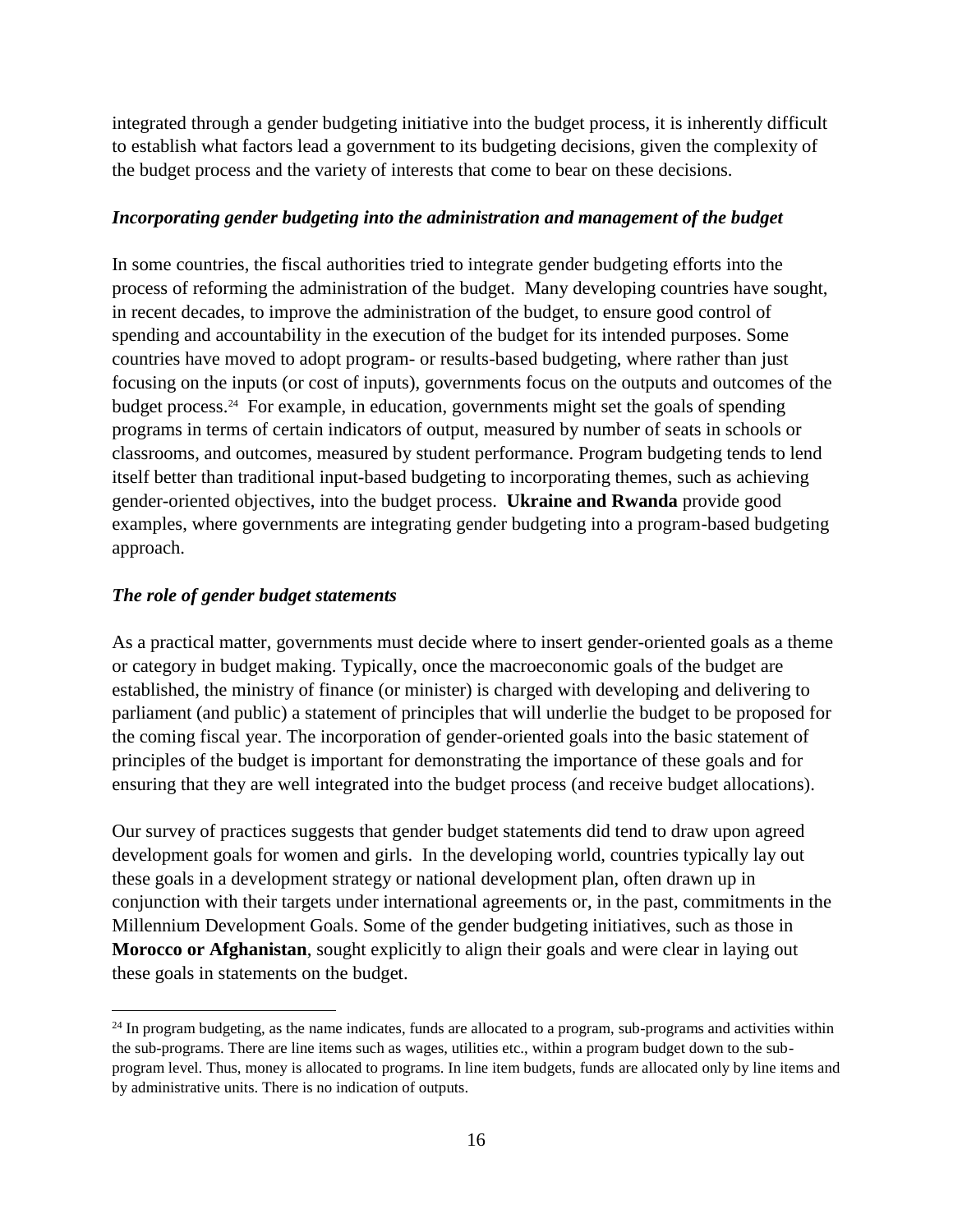integrated through a gender budgeting initiative into the budget process, it is inherently difficult to establish what factors lead a government to its budgeting decisions, given the complexity of the budget process and the variety of interests that come to bear on these decisions.

#### *Incorporating gender budgeting into the administration and management of the budget*

In some countries, the fiscal authorities tried to integrate gender budgeting efforts into the process of reforming the administration of the budget. Many developing countries have sought, in recent decades, to improve the administration of the budget, to ensure good control of spending and accountability in the execution of the budget for its intended purposes. Some countries have moved to adopt program- or results-based budgeting, where rather than just focusing on the inputs (or cost of inputs), governments focus on the outputs and outcomes of the budget process.<sup>24</sup> For example, in education, governments might set the goals of spending programs in terms of certain indicators of output, measured by number of seats in schools or classrooms, and outcomes, measured by student performance. Program budgeting tends to lend itself better than traditional input-based budgeting to incorporating themes, such as achieving gender-oriented objectives, into the budget process. **Ukraine and Rwanda** provide good examples, where governments are integrating gender budgeting into a program-based budgeting approach.

#### *The role of gender budget statements*

 $\overline{a}$ 

As a practical matter, governments must decide where to insert gender-oriented goals as a theme or category in budget making. Typically, once the macroeconomic goals of the budget are established, the ministry of finance (or minister) is charged with developing and delivering to parliament (and public) a statement of principles that will underlie the budget to be proposed for the coming fiscal year. The incorporation of gender-oriented goals into the basic statement of principles of the budget is important for demonstrating the importance of these goals and for ensuring that they are well integrated into the budget process (and receive budget allocations).

Our survey of practices suggests that gender budget statements did tend to draw upon agreed development goals for women and girls. In the developing world, countries typically lay out these goals in a development strategy or national development plan, often drawn up in conjunction with their targets under international agreements or, in the past, commitments in the Millennium Development Goals. Some of the gender budgeting initiatives, such as those in **Morocco or Afghanistan**, sought explicitly to align their goals and were clear in laying out these goals in statements on the budget.

 $^{24}$  In program budgeting, as the name indicates, funds are allocated to a program, sub-programs and activities within the sub-programs. There are line items such as wages, utilities etc., within a program budget down to the subprogram level. Thus, money is allocated to programs. In line item budgets, funds are allocated only by line items and by administrative units. There is no indication of outputs.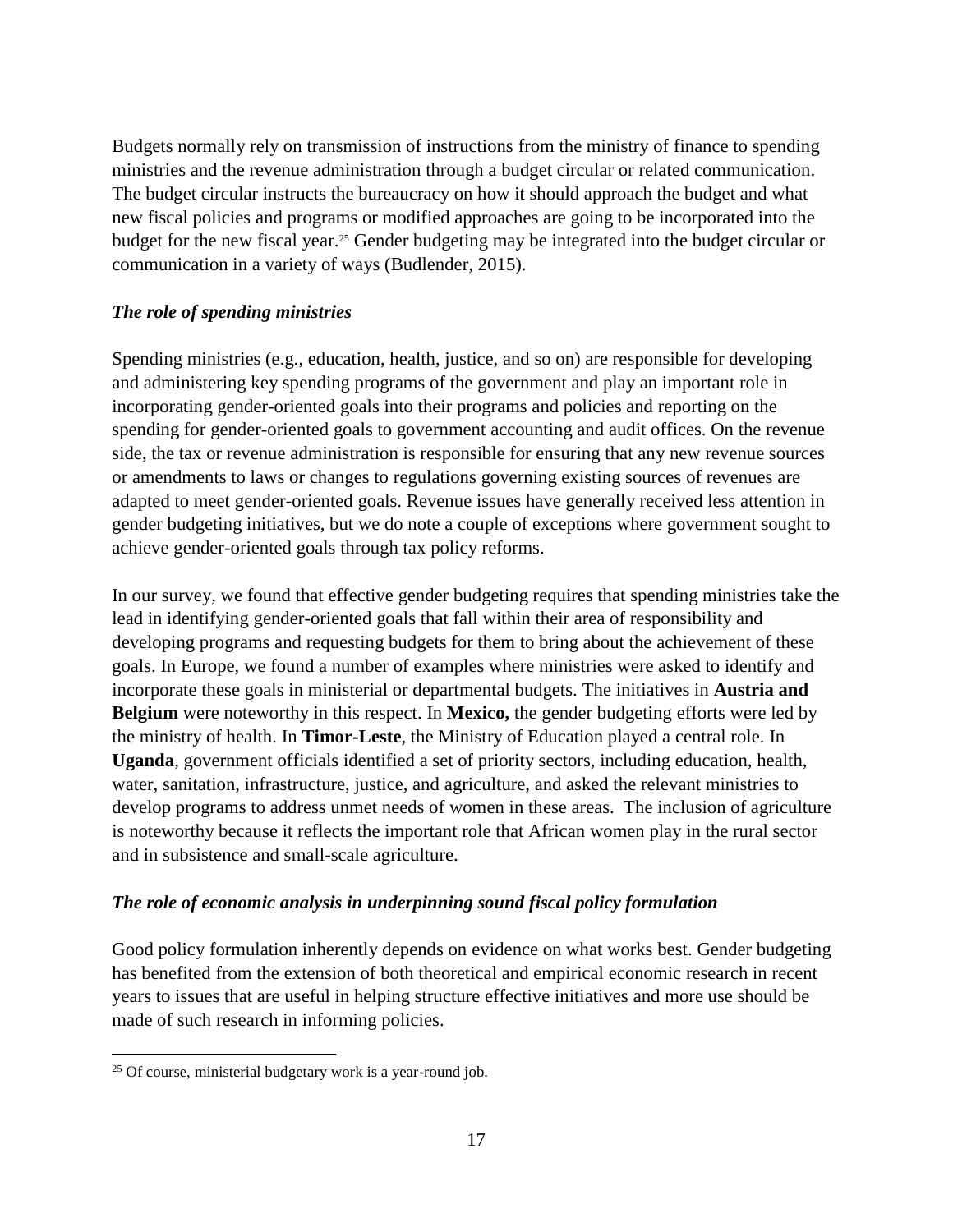Budgets normally rely on transmission of instructions from the ministry of finance to spending ministries and the revenue administration through a budget circular or related communication. The budget circular instructs the bureaucracy on how it should approach the budget and what new fiscal policies and programs or modified approaches are going to be incorporated into the budget for the new fiscal year. <sup>25</sup> Gender budgeting may be integrated into the budget circular or communication in a variety of ways (Budlender, 2015).

# *The role of spending ministries*

Spending ministries (e.g., education, health, justice, and so on) are responsible for developing and administering key spending programs of the government and play an important role in incorporating gender-oriented goals into their programs and policies and reporting on the spending for gender-oriented goals to government accounting and audit offices. On the revenue side, the tax or revenue administration is responsible for ensuring that any new revenue sources or amendments to laws or changes to regulations governing existing sources of revenues are adapted to meet gender-oriented goals. Revenue issues have generally received less attention in gender budgeting initiatives, but we do note a couple of exceptions where government sought to achieve gender-oriented goals through tax policy reforms.

In our survey, we found that effective gender budgeting requires that spending ministries take the lead in identifying gender-oriented goals that fall within their area of responsibility and developing programs and requesting budgets for them to bring about the achievement of these goals. In Europe, we found a number of examples where ministries were asked to identify and incorporate these goals in ministerial or departmental budgets. The initiatives in **Austria and Belgium** were noteworthy in this respect. In **Mexico,** the gender budgeting efforts were led by the ministry of health. In **Timor-Leste**, the Ministry of Education played a central role. In **Uganda**, government officials identified a set of priority sectors, including education, health, water, sanitation, infrastructure, justice, and agriculture, and asked the relevant ministries to develop programs to address unmet needs of women in these areas. The inclusion of agriculture is noteworthy because it reflects the important role that African women play in the rural sector and in subsistence and small-scale agriculture.

# *The role of economic analysis in underpinning sound fiscal policy formulation*

Good policy formulation inherently depends on evidence on what works best. Gender budgeting has benefited from the extension of both theoretical and empirical economic research in recent years to issues that are useful in helping structure effective initiatives and more use should be made of such research in informing policies.

 $\overline{a}$  $25$  Of course, ministerial budgetary work is a year-round job.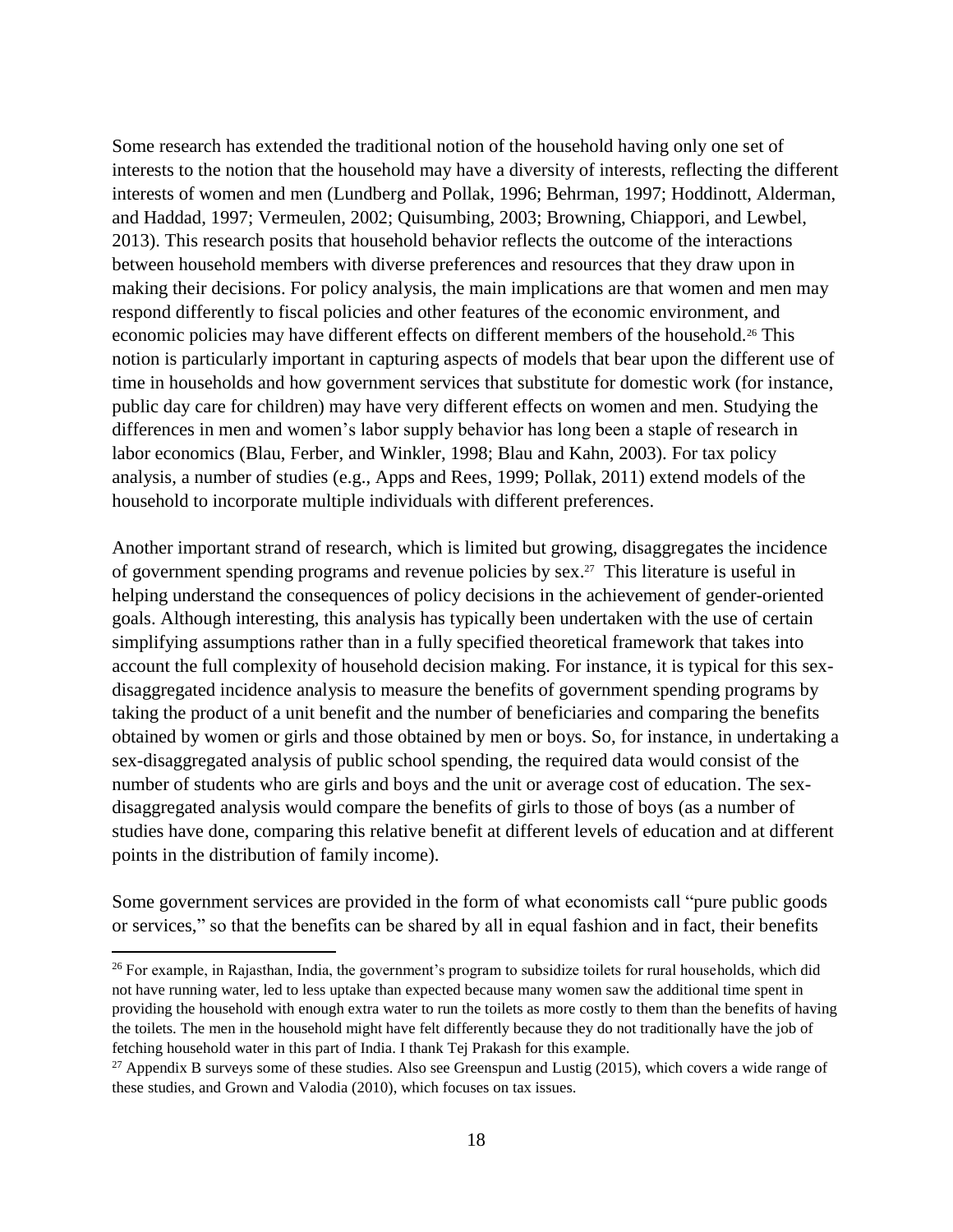Some research has extended the traditional notion of the household having only one set of interests to the notion that the household may have a diversity of interests, reflecting the different interests of women and men (Lundberg and Pollak, 1996; Behrman, 1997; Hoddinott, Alderman, and Haddad, 1997; Vermeulen, 2002; Quisumbing, 2003; Browning, Chiappori, and Lewbel, 2013). This research posits that household behavior reflects the outcome of the interactions between household members with diverse preferences and resources that they draw upon in making their decisions. For policy analysis, the main implications are that women and men may respond differently to fiscal policies and other features of the economic environment, and economic policies may have different effects on different members of the household.<sup>26</sup> This notion is particularly important in capturing aspects of models that bear upon the different use of time in households and how government services that substitute for domestic work (for instance, public day care for children) may have very different effects on women and men. Studying the differences in men and women's labor supply behavior has long been a staple of research in labor economics (Blau, Ferber, and Winkler, 1998; Blau and Kahn, 2003). For tax policy analysis, a number of studies (e.g., Apps and Rees, 1999; Pollak, 2011) extend models of the household to incorporate multiple individuals with different preferences.

Another important strand of research, which is limited but growing, disaggregates the incidence of government spending programs and revenue policies by sex. 27 This literature is useful in helping understand the consequences of policy decisions in the achievement of gender-oriented goals. Although interesting, this analysis has typically been undertaken with the use of certain simplifying assumptions rather than in a fully specified theoretical framework that takes into account the full complexity of household decision making. For instance, it is typical for this sexdisaggregated incidence analysis to measure the benefits of government spending programs by taking the product of a unit benefit and the number of beneficiaries and comparing the benefits obtained by women or girls and those obtained by men or boys. So, for instance, in undertaking a sex-disaggregated analysis of public school spending, the required data would consist of the number of students who are girls and boys and the unit or average cost of education. The sexdisaggregated analysis would compare the benefits of girls to those of boys (as a number of studies have done, comparing this relative benefit at different levels of education and at different points in the distribution of family income).

Some government services are provided in the form of what economists call "pure public goods or services," so that the benefits can be shared by all in equal fashion and in fact, their benefits

<sup>&</sup>lt;sup>26</sup> For example, in Rajasthan, India, the government's program to subsidize toilets for rural households, which did not have running water, led to less uptake than expected because many women saw the additional time spent in providing the household with enough extra water to run the toilets as more costly to them than the benefits of having the toilets. The men in the household might have felt differently because they do not traditionally have the job of fetching household water in this part of India. I thank Tej Prakash for this example.

<sup>&</sup>lt;sup>27</sup> Appendix B surveys some of these studies. Also see Greenspun and Lustig (2015), which covers a wide range of these studies, and Grown and Valodia (2010), which focuses on tax issues.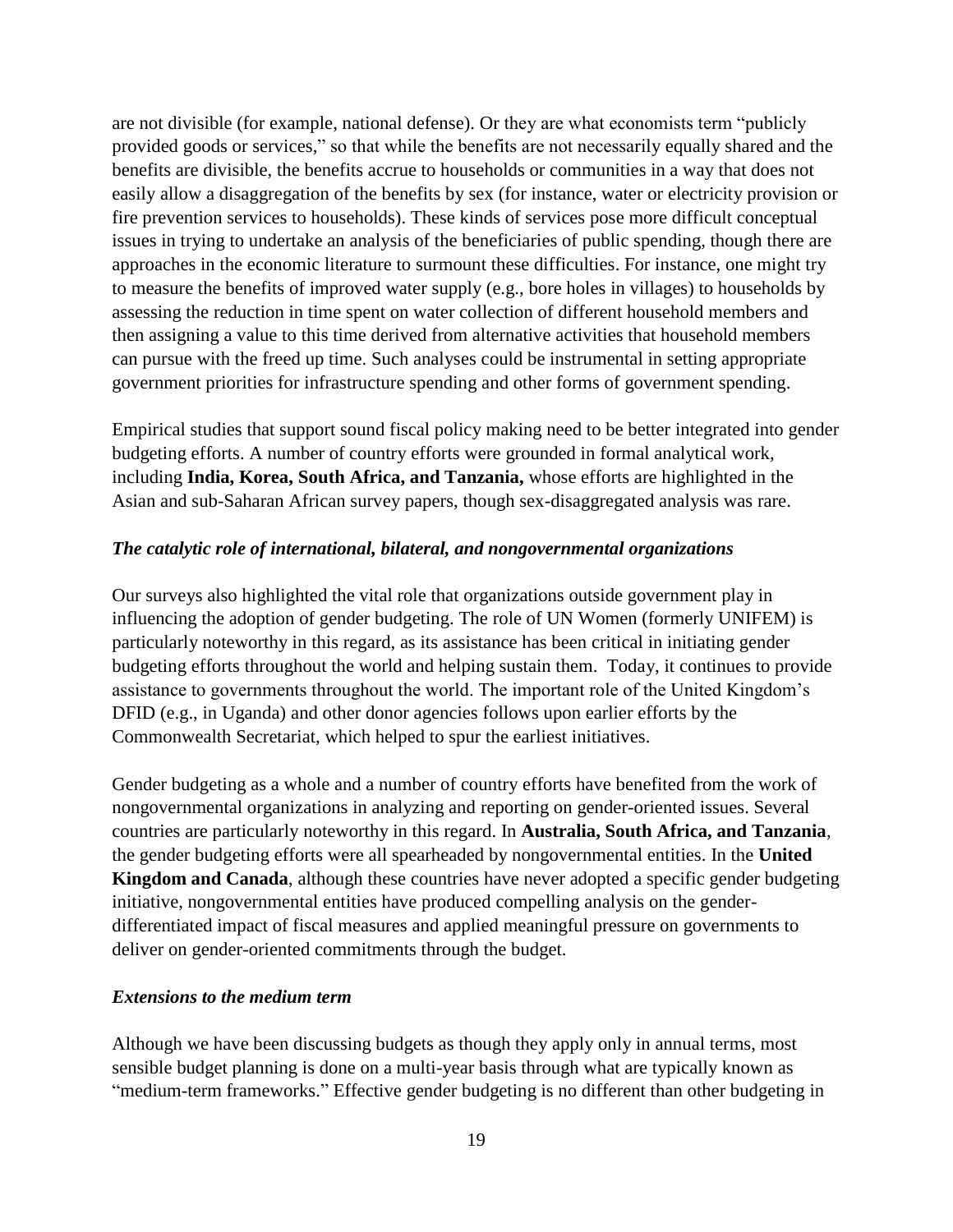are not divisible (for example, national defense). Or they are what economists term "publicly provided goods or services," so that while the benefits are not necessarily equally shared and the benefits are divisible, the benefits accrue to households or communities in a way that does not easily allow a disaggregation of the benefits by sex (for instance, water or electricity provision or fire prevention services to households). These kinds of services pose more difficult conceptual issues in trying to undertake an analysis of the beneficiaries of public spending, though there are approaches in the economic literature to surmount these difficulties. For instance, one might try to measure the benefits of improved water supply (e.g., bore holes in villages) to households by assessing the reduction in time spent on water collection of different household members and then assigning a value to this time derived from alternative activities that household members can pursue with the freed up time. Such analyses could be instrumental in setting appropriate government priorities for infrastructure spending and other forms of government spending.

Empirical studies that support sound fiscal policy making need to be better integrated into gender budgeting efforts. A number of country efforts were grounded in formal analytical work, including **India, Korea, South Africa, and Tanzania,** whose efforts are highlighted in the Asian and sub-Saharan African survey papers, though sex-disaggregated analysis was rare.

# *The catalytic role of international, bilateral, and nongovernmental organizations*

Our surveys also highlighted the vital role that organizations outside government play in influencing the adoption of gender budgeting. The role of UN Women (formerly UNIFEM) is particularly noteworthy in this regard, as its assistance has been critical in initiating gender budgeting efforts throughout the world and helping sustain them. Today, it continues to provide assistance to governments throughout the world. The important role of the United Kingdom's DFID (e.g., in Uganda) and other donor agencies follows upon earlier efforts by the Commonwealth Secretariat, which helped to spur the earliest initiatives.

Gender budgeting as a whole and a number of country efforts have benefited from the work of nongovernmental organizations in analyzing and reporting on gender-oriented issues. Several countries are particularly noteworthy in this regard. In **Australia, South Africa, and Tanzania**, the gender budgeting efforts were all spearheaded by nongovernmental entities. In the **United Kingdom and Canada**, although these countries have never adopted a specific gender budgeting initiative, nongovernmental entities have produced compelling analysis on the genderdifferentiated impact of fiscal measures and applied meaningful pressure on governments to deliver on gender-oriented commitments through the budget.

#### *Extensions to the medium term*

Although we have been discussing budgets as though they apply only in annual terms, most sensible budget planning is done on a multi-year basis through what are typically known as "medium-term frameworks." Effective gender budgeting is no different than other budgeting in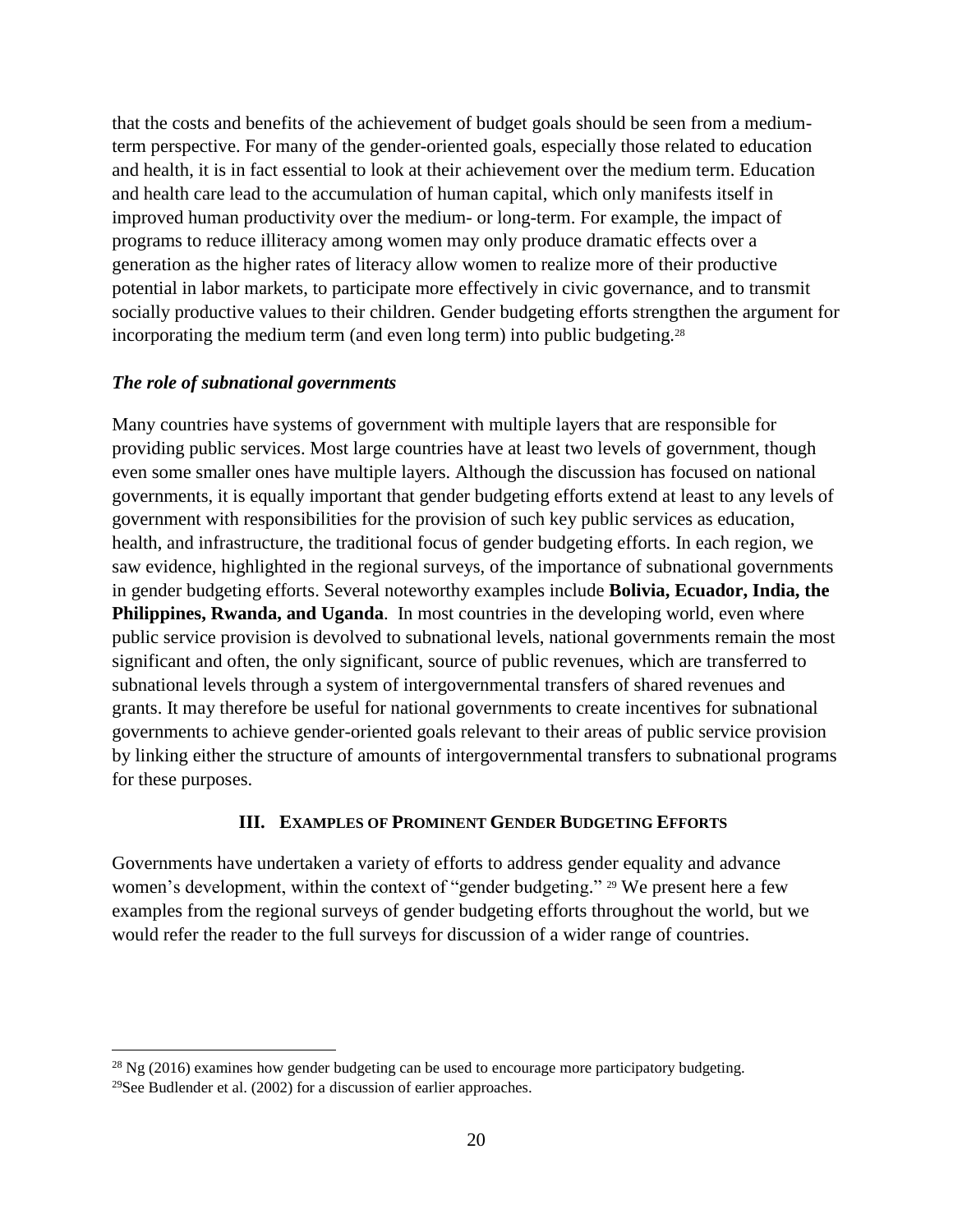that the costs and benefits of the achievement of budget goals should be seen from a mediumterm perspective. For many of the gender-oriented goals, especially those related to education and health, it is in fact essential to look at their achievement over the medium term. Education and health care lead to the accumulation of human capital, which only manifests itself in improved human productivity over the medium- or long-term. For example, the impact of programs to reduce illiteracy among women may only produce dramatic effects over a generation as the higher rates of literacy allow women to realize more of their productive potential in labor markets, to participate more effectively in civic governance, and to transmit socially productive values to their children. Gender budgeting efforts strengthen the argument for incorporating the medium term (and even long term) into public budgeting.<sup>28</sup>

#### *The role of subnational governments*

Many countries have systems of government with multiple layers that are responsible for providing public services. Most large countries have at least two levels of government, though even some smaller ones have multiple layers. Although the discussion has focused on national governments, it is equally important that gender budgeting efforts extend at least to any levels of government with responsibilities for the provision of such key public services as education, health, and infrastructure, the traditional focus of gender budgeting efforts. In each region, we saw evidence, highlighted in the regional surveys, of the importance of subnational governments in gender budgeting efforts. Several noteworthy examples include **Bolivia, Ecuador, India, the Philippines, Rwanda, and Uganda**. In most countries in the developing world, even where public service provision is devolved to subnational levels, national governments remain the most significant and often, the only significant, source of public revenues, which are transferred to subnational levels through a system of intergovernmental transfers of shared revenues and grants. It may therefore be useful for national governments to create incentives for subnational governments to achieve gender-oriented goals relevant to their areas of public service provision by linking either the structure of amounts of intergovernmental transfers to subnational programs for these purposes.

#### **III. EXAMPLES OF PROMINENT GENDER BUDGETING EFFORTS**

Governments have undertaken a variety of efforts to address gender equality and advance women's development, within the context of "gender budgeting." <sup>29</sup> We present here a few examples from the regional surveys of gender budgeting efforts throughout the world, but we would refer the reader to the full surveys for discussion of a wider range of countries.

<sup>&</sup>lt;sup>28</sup> Ng (2016) examines how gender budgeting can be used to encourage more participatory budgeting.

<sup>&</sup>lt;sup>29</sup>See Budlender et al.  $(2002)$  for a discussion of earlier approaches.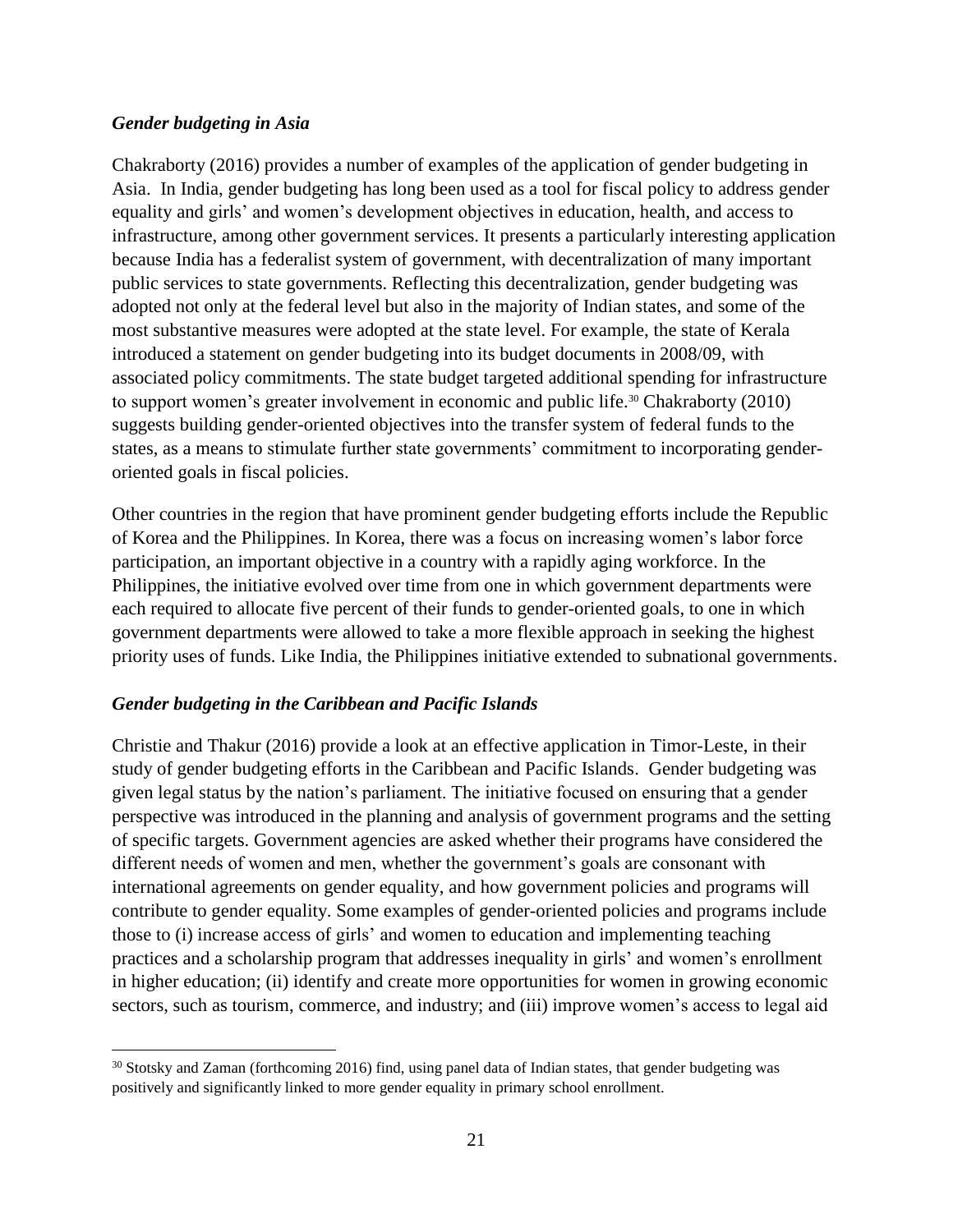#### *Gender budgeting in Asia*

Chakraborty (2016) provides a number of examples of the application of gender budgeting in Asia. In India, gender budgeting has long been used as a tool for fiscal policy to address gender equality and girls' and women's development objectives in education, health, and access to infrastructure, among other government services. It presents a particularly interesting application because India has a federalist system of government, with decentralization of many important public services to state governments. Reflecting this decentralization, gender budgeting was adopted not only at the federal level but also in the majority of Indian states, and some of the most substantive measures were adopted at the state level. For example, the state of Kerala introduced a statement on gender budgeting into its budget documents in 2008/09, with associated policy commitments. The state budget targeted additional spending for infrastructure to support women's greater involvement in economic and public life.<sup>30</sup> Chakraborty (2010) suggests building gender-oriented objectives into the transfer system of federal funds to the states, as a means to stimulate further state governments' commitment to incorporating genderoriented goals in fiscal policies.

Other countries in the region that have prominent gender budgeting efforts include the Republic of Korea and the Philippines. In Korea, there was a focus on increasing women's labor force participation, an important objective in a country with a rapidly aging workforce. In the Philippines, the initiative evolved over time from one in which government departments were each required to allocate five percent of their funds to gender-oriented goals, to one in which government departments were allowed to take a more flexible approach in seeking the highest priority uses of funds. Like India, the Philippines initiative extended to subnational governments.

#### *Gender budgeting in the Caribbean and Pacific Islands*

 $\overline{a}$ 

Christie and Thakur (2016) provide a look at an effective application in Timor-Leste, in their study of gender budgeting efforts in the Caribbean and Pacific Islands. Gender budgeting was given legal status by the nation's parliament. The initiative focused on ensuring that a gender perspective was introduced in the planning and analysis of government programs and the setting of specific targets. Government agencies are asked whether their programs have considered the different needs of women and men, whether the government's goals are consonant with international agreements on gender equality, and how government policies and programs will contribute to gender equality. Some examples of gender-oriented policies and programs include those to (i) increase access of girls' and women to education and implementing teaching practices and a scholarship program that addresses inequality in girls' and women's enrollment in higher education; (ii) identify and create more opportunities for women in growing economic sectors, such as tourism, commerce, and industry; and (iii) improve women's access to legal aid

<sup>&</sup>lt;sup>30</sup> Stotsky and Zaman (forthcoming 2016) find, using panel data of Indian states, that gender budgeting was positively and significantly linked to more gender equality in primary school enrollment.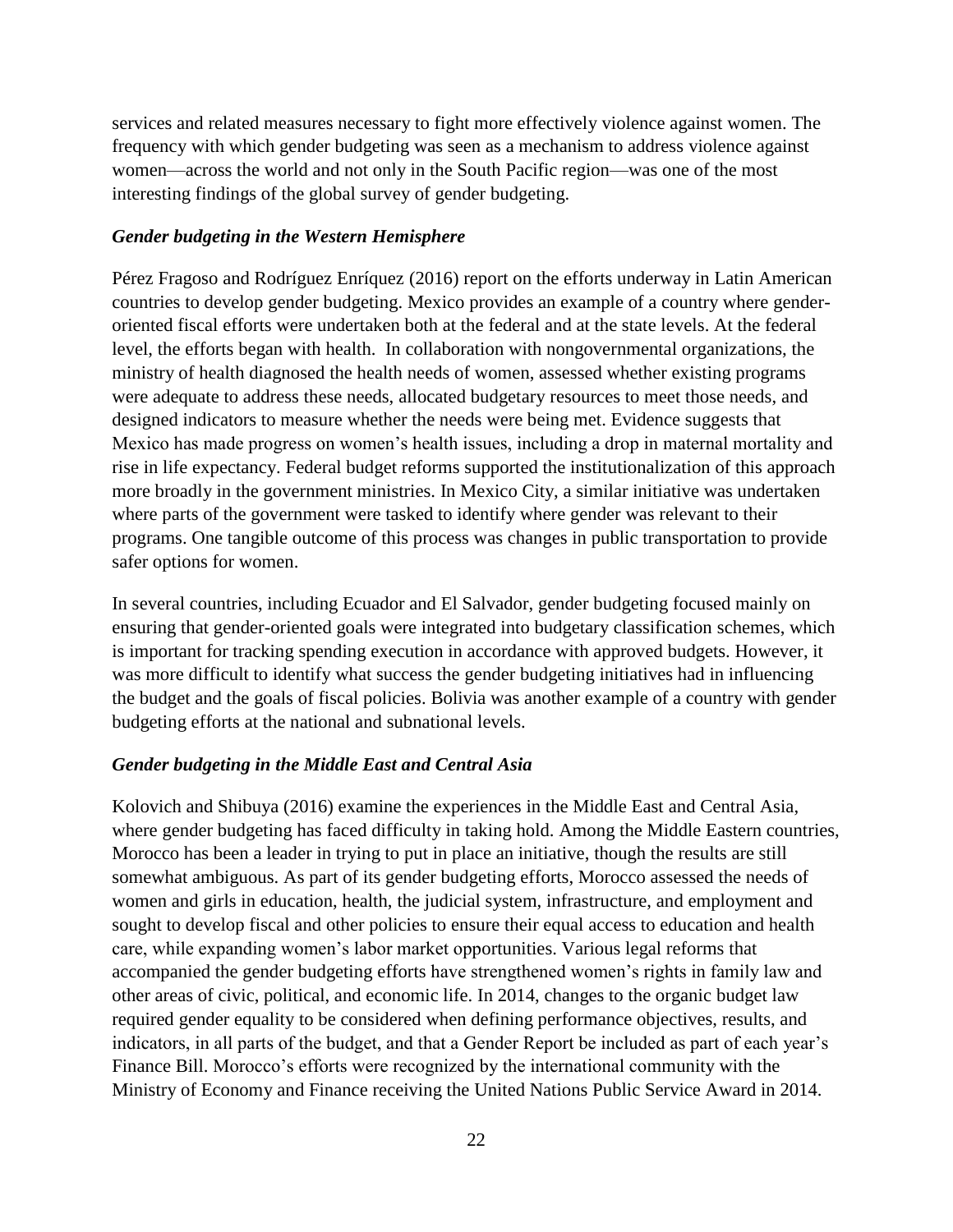services and related measures necessary to fight more effectively violence against women. The frequency with which gender budgeting was seen as a mechanism to address violence against women—across the world and not only in the South Pacific region—was one of the most interesting findings of the global survey of gender budgeting.

#### *Gender budgeting in the Western Hemisphere*

Pérez Fragoso and Rodríguez Enríquez (2016) report on the efforts underway in Latin American countries to develop gender budgeting. Mexico provides an example of a country where genderoriented fiscal efforts were undertaken both at the federal and at the state levels. At the federal level, the efforts began with health. In collaboration with nongovernmental organizations, the ministry of health diagnosed the health needs of women, assessed whether existing programs were adequate to address these needs, allocated budgetary resources to meet those needs, and designed indicators to measure whether the needs were being met. Evidence suggests that Mexico has made progress on women's health issues, including a drop in maternal mortality and rise in life expectancy. Federal budget reforms supported the institutionalization of this approach more broadly in the government ministries. In Mexico City, a similar initiative was undertaken where parts of the government were tasked to identify where gender was relevant to their programs. One tangible outcome of this process was changes in public transportation to provide safer options for women.

In several countries, including Ecuador and El Salvador, gender budgeting focused mainly on ensuring that gender-oriented goals were integrated into budgetary classification schemes, which is important for tracking spending execution in accordance with approved budgets. However, it was more difficult to identify what success the gender budgeting initiatives had in influencing the budget and the goals of fiscal policies. Bolivia was another example of a country with gender budgeting efforts at the national and subnational levels.

#### *Gender budgeting in the Middle East and Central Asia*

Kolovich and Shibuya (2016) examine the experiences in the Middle East and Central Asia, where gender budgeting has faced difficulty in taking hold. Among the Middle Eastern countries, Morocco has been a leader in trying to put in place an initiative, though the results are still somewhat ambiguous. As part of its gender budgeting efforts, Morocco assessed the needs of women and girls in education, health, the judicial system, infrastructure, and employment and sought to develop fiscal and other policies to ensure their equal access to education and health care, while expanding women's labor market opportunities. Various legal reforms that accompanied the gender budgeting efforts have strengthened women's rights in family law and other areas of civic, political, and economic life. In 2014, changes to the organic budget law required gender equality to be considered when defining performance objectives, results, and indicators, in all parts of the budget, and that a Gender Report be included as part of each year's Finance Bill. Morocco's efforts were recognized by the international community with the Ministry of Economy and Finance receiving the United Nations Public Service Award in 2014.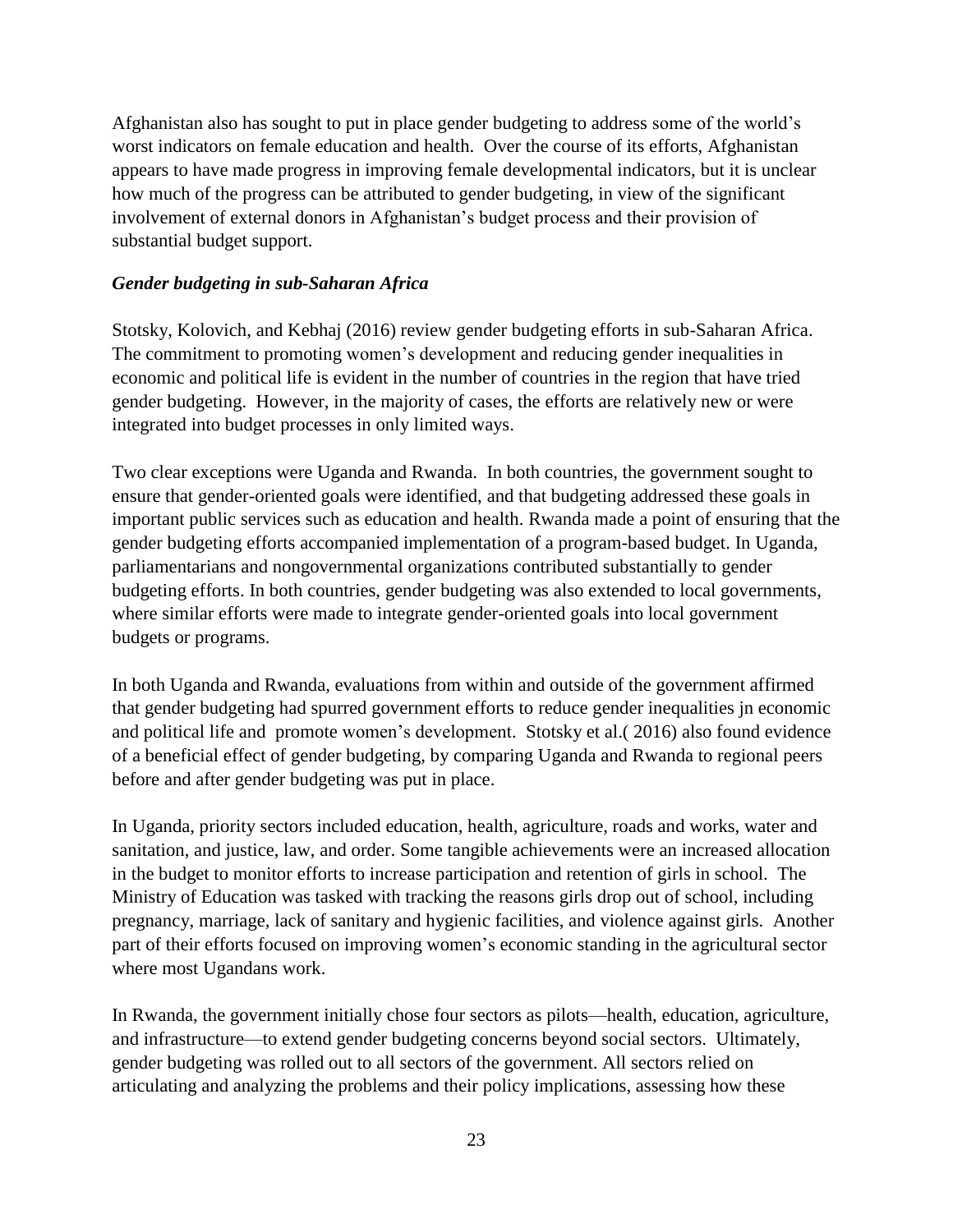Afghanistan also has sought to put in place gender budgeting to address some of the world's worst indicators on female education and health. Over the course of its efforts, Afghanistan appears to have made progress in improving female developmental indicators, but it is unclear how much of the progress can be attributed to gender budgeting, in view of the significant involvement of external donors in Afghanistan's budget process and their provision of substantial budget support.

# *Gender budgeting in sub-Saharan Africa*

Stotsky, Kolovich, and Kebhaj (2016) review gender budgeting efforts in sub-Saharan Africa. The commitment to promoting women's development and reducing gender inequalities in economic and political life is evident in the number of countries in the region that have tried gender budgeting. However, in the majority of cases, the efforts are relatively new or were integrated into budget processes in only limited ways.

Two clear exceptions were Uganda and Rwanda. In both countries, the government sought to ensure that gender-oriented goals were identified, and that budgeting addressed these goals in important public services such as education and health. Rwanda made a point of ensuring that the gender budgeting efforts accompanied implementation of a program-based budget. In Uganda, parliamentarians and nongovernmental organizations contributed substantially to gender budgeting efforts. In both countries, gender budgeting was also extended to local governments, where similar efforts were made to integrate gender-oriented goals into local government budgets or programs.

In both Uganda and Rwanda, evaluations from within and outside of the government affirmed that gender budgeting had spurred government efforts to reduce gender inequalities jn economic and political life and promote women's development. Stotsky et al.( 2016) also found evidence of a beneficial effect of gender budgeting, by comparing Uganda and Rwanda to regional peers before and after gender budgeting was put in place.

In Uganda, priority sectors included education, health, agriculture, roads and works, water and sanitation, and justice, law, and order. Some tangible achievements were an increased allocation in the budget to monitor efforts to increase participation and retention of girls in school. The Ministry of Education was tasked with tracking the reasons girls drop out of school, including pregnancy, marriage, lack of sanitary and hygienic facilities, and violence against girls. Another part of their efforts focused on improving women's economic standing in the agricultural sector where most Ugandans work.

In Rwanda, the government initially chose four sectors as pilots—health, education, agriculture, and infrastructure—to extend gender budgeting concerns beyond social sectors. Ultimately, gender budgeting was rolled out to all sectors of the government. All sectors relied on articulating and analyzing the problems and their policy implications, assessing how these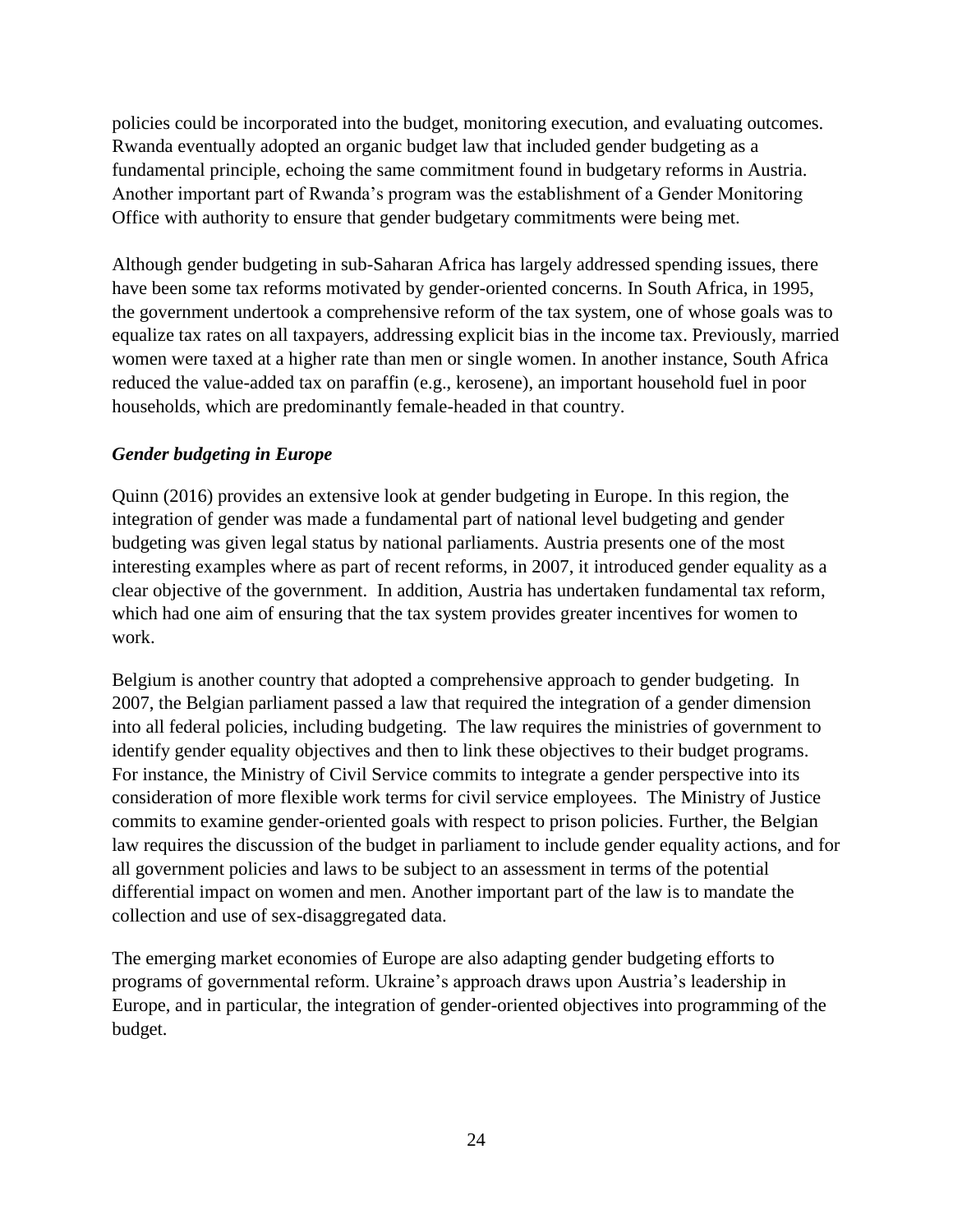policies could be incorporated into the budget, monitoring execution, and evaluating outcomes. Rwanda eventually adopted an organic budget law that included gender budgeting as a fundamental principle, echoing the same commitment found in budgetary reforms in Austria. Another important part of Rwanda's program was the establishment of a Gender Monitoring Office with authority to ensure that gender budgetary commitments were being met.

Although gender budgeting in sub-Saharan Africa has largely addressed spending issues, there have been some tax reforms motivated by gender-oriented concerns. In South Africa, in 1995, the government undertook a comprehensive reform of the tax system, one of whose goals was to equalize tax rates on all taxpayers, addressing explicit bias in the income tax. Previously, married women were taxed at a higher rate than men or single women. In another instance, South Africa reduced the value-added tax on paraffin (e.g., kerosene), an important household fuel in poor households, which are predominantly female-headed in that country.

# *Gender budgeting in Europe*

Quinn (2016) provides an extensive look at gender budgeting in Europe. In this region, the integration of gender was made a fundamental part of national level budgeting and gender budgeting was given legal status by national parliaments. Austria presents one of the most interesting examples where as part of recent reforms, in 2007, it introduced gender equality as a clear objective of the government. In addition, Austria has undertaken fundamental tax reform, which had one aim of ensuring that the tax system provides greater incentives for women to work.

Belgium is another country that adopted a comprehensive approach to gender budgeting. In 2007, the Belgian parliament passed a law that required the integration of a gender dimension into all federal policies, including budgeting. The law requires the ministries of government to identify gender equality objectives and then to link these objectives to their budget programs. For instance, the Ministry of Civil Service commits to integrate a gender perspective into its consideration of more flexible work terms for civil service employees. The Ministry of Justice commits to examine gender-oriented goals with respect to prison policies. Further, the Belgian law requires the discussion of the budget in parliament to include gender equality actions, and for all government policies and laws to be subject to an assessment in terms of the potential differential impact on women and men. Another important part of the law is to mandate the collection and use of sex-disaggregated data.

The emerging market economies of Europe are also adapting gender budgeting efforts to programs of governmental reform. Ukraine's approach draws upon Austria's leadership in Europe, and in particular, the integration of gender-oriented objectives into programming of the budget.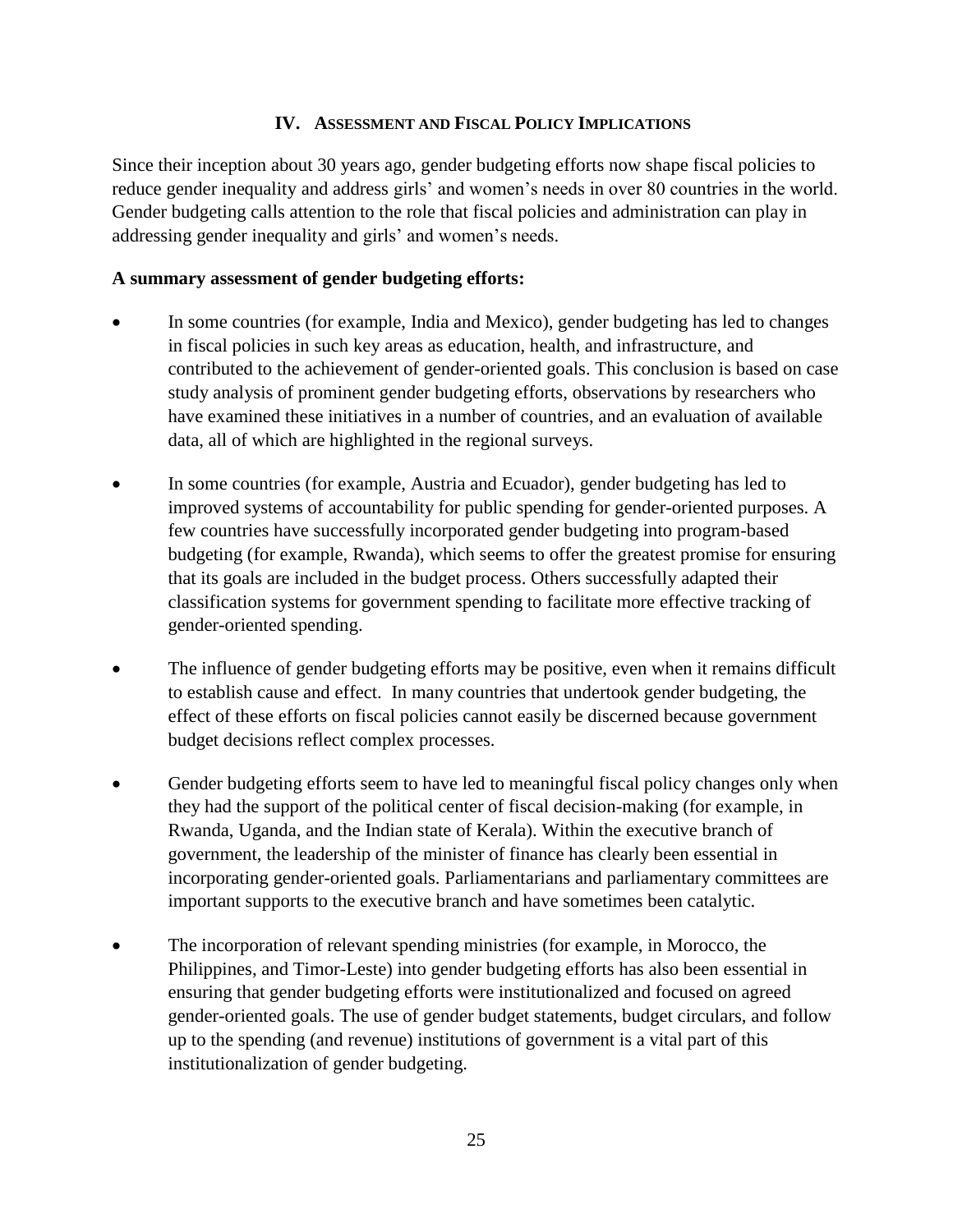### **IV. ASSESSMENT AND FISCAL POLICY IMPLICATIONS**

Since their inception about 30 years ago, gender budgeting efforts now shape fiscal policies to reduce gender inequality and address girls' and women's needs in over 80 countries in the world. Gender budgeting calls attention to the role that fiscal policies and administration can play in addressing gender inequality and girls' and women's needs.

# **A summary assessment of gender budgeting efforts:**

- In some countries (for example, India and Mexico), gender budgeting has led to changes in fiscal policies in such key areas as education, health, and infrastructure, and contributed to the achievement of gender-oriented goals. This conclusion is based on case study analysis of prominent gender budgeting efforts, observations by researchers who have examined these initiatives in a number of countries, and an evaluation of available data, all of which are highlighted in the regional surveys.
- In some countries (for example, Austria and Ecuador), gender budgeting has led to improved systems of accountability for public spending for gender-oriented purposes. A few countries have successfully incorporated gender budgeting into program-based budgeting (for example, Rwanda), which seems to offer the greatest promise for ensuring that its goals are included in the budget process. Others successfully adapted their classification systems for government spending to facilitate more effective tracking of gender-oriented spending.
- The influence of gender budgeting efforts may be positive, even when it remains difficult to establish cause and effect. In many countries that undertook gender budgeting, the effect of these efforts on fiscal policies cannot easily be discerned because government budget decisions reflect complex processes.
- Gender budgeting efforts seem to have led to meaningful fiscal policy changes only when they had the support of the political center of fiscal decision-making (for example, in Rwanda, Uganda, and the Indian state of Kerala). Within the executive branch of government, the leadership of the minister of finance has clearly been essential in incorporating gender-oriented goals. Parliamentarians and parliamentary committees are important supports to the executive branch and have sometimes been catalytic.
- The incorporation of relevant spending ministries (for example, in Morocco, the Philippines, and Timor-Leste) into gender budgeting efforts has also been essential in ensuring that gender budgeting efforts were institutionalized and focused on agreed gender-oriented goals. The use of gender budget statements, budget circulars, and follow up to the spending (and revenue) institutions of government is a vital part of this institutionalization of gender budgeting.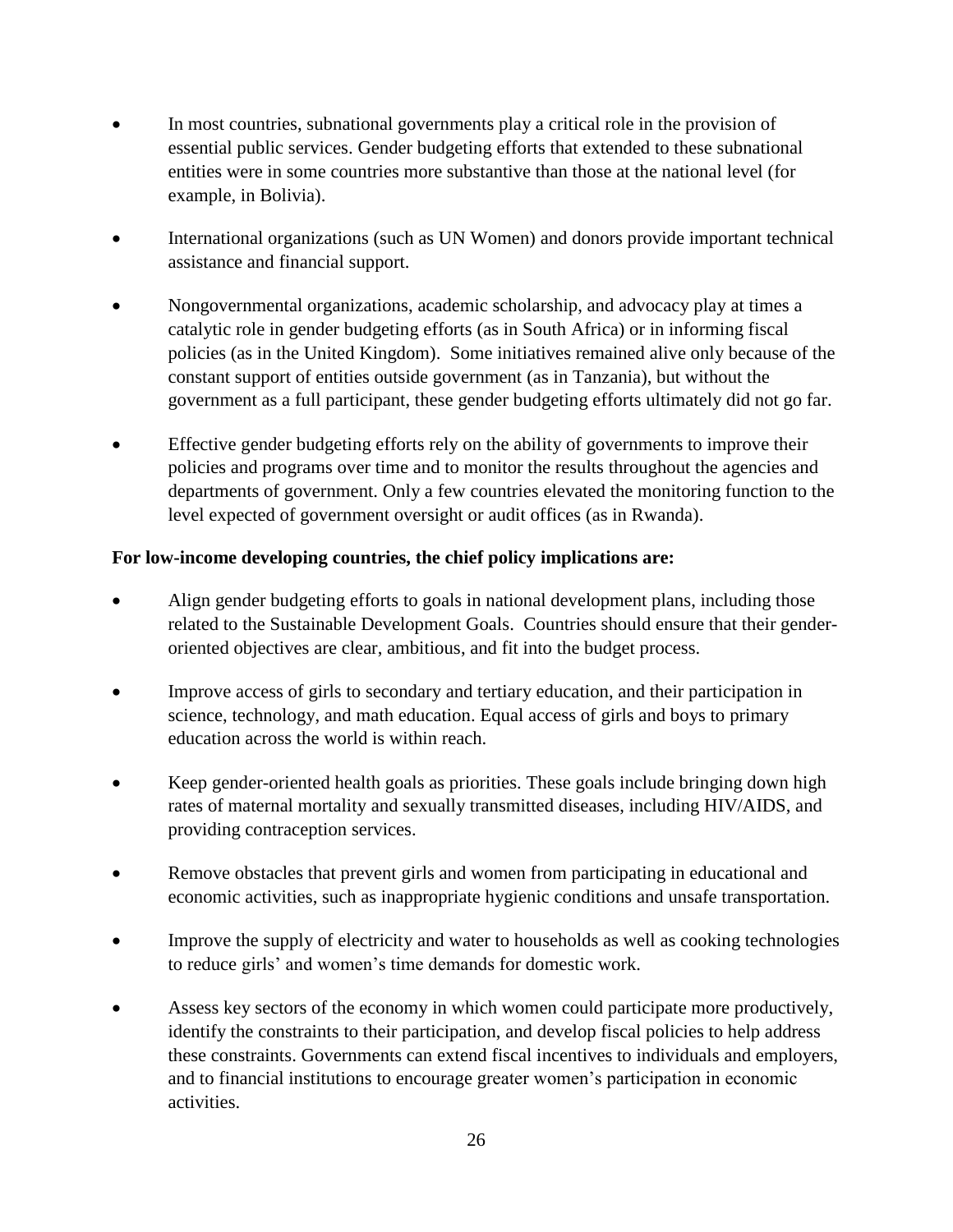- In most countries, subnational governments play a critical role in the provision of essential public services. Gender budgeting efforts that extended to these subnational entities were in some countries more substantive than those at the national level (for example, in Bolivia).
- International organizations (such as UN Women) and donors provide important technical assistance and financial support.
- Nongovernmental organizations, academic scholarship, and advocacy play at times a catalytic role in gender budgeting efforts (as in South Africa) or in informing fiscal policies (as in the United Kingdom). Some initiatives remained alive only because of the constant support of entities outside government (as in Tanzania), but without the government as a full participant, these gender budgeting efforts ultimately did not go far.
- Effective gender budgeting efforts rely on the ability of governments to improve their policies and programs over time and to monitor the results throughout the agencies and departments of government. Only a few countries elevated the monitoring function to the level expected of government oversight or audit offices (as in Rwanda).

# **For low-income developing countries, the chief policy implications are:**

- Align gender budgeting efforts to goals in national development plans, including those related to the Sustainable Development Goals. Countries should ensure that their genderoriented objectives are clear, ambitious, and fit into the budget process.
- Improve access of girls to secondary and tertiary education, and their participation in science, technology, and math education. Equal access of girls and boys to primary education across the world is within reach.
- Keep gender-oriented health goals as priorities. These goals include bringing down high rates of maternal mortality and sexually transmitted diseases, including HIV/AIDS, and providing contraception services.
- Remove obstacles that prevent girls and women from participating in educational and economic activities, such as inappropriate hygienic conditions and unsafe transportation.
- Improve the supply of electricity and water to households as well as cooking technologies to reduce girls' and women's time demands for domestic work.
- Assess key sectors of the economy in which women could participate more productively, identify the constraints to their participation, and develop fiscal policies to help address these constraints. Governments can extend fiscal incentives to individuals and employers, and to financial institutions to encourage greater women's participation in economic activities.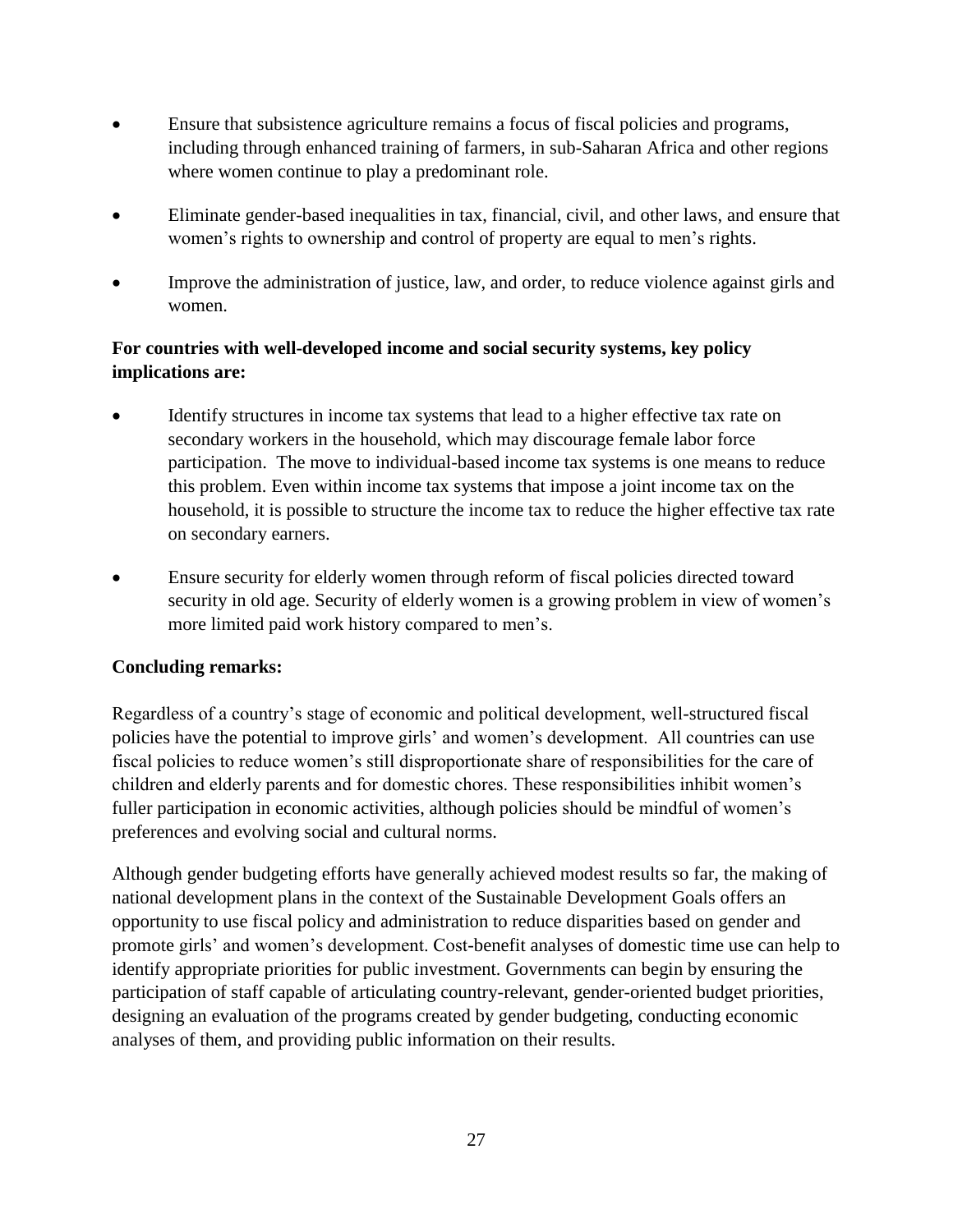- Ensure that subsistence agriculture remains a focus of fiscal policies and programs, including through enhanced training of farmers, in sub-Saharan Africa and other regions where women continue to play a predominant role.
- Eliminate gender-based inequalities in tax, financial, civil, and other laws, and ensure that women's rights to ownership and control of property are equal to men's rights.
- Improve the administration of justice, law, and order, to reduce violence against girls and women.

# **For countries with well-developed income and social security systems, key policy implications are:**

- Identify structures in income tax systems that lead to a higher effective tax rate on secondary workers in the household, which may discourage female labor force participation. The move to individual-based income tax systems is one means to reduce this problem. Even within income tax systems that impose a joint income tax on the household, it is possible to structure the income tax to reduce the higher effective tax rate on secondary earners.
- Ensure security for elderly women through reform of fiscal policies directed toward security in old age. Security of elderly women is a growing problem in view of women's more limited paid work history compared to men's.

# **Concluding remarks:**

Regardless of a country's stage of economic and political development, well-structured fiscal policies have the potential to improve girls' and women's development. All countries can use fiscal policies to reduce women's still disproportionate share of responsibilities for the care of children and elderly parents and for domestic chores. These responsibilities inhibit women's fuller participation in economic activities, although policies should be mindful of women's preferences and evolving social and cultural norms.

Although gender budgeting efforts have generally achieved modest results so far, the making of national development plans in the context of the Sustainable Development Goals offers an opportunity to use fiscal policy and administration to reduce disparities based on gender and promote girls' and women's development. Cost-benefit analyses of domestic time use can help to identify appropriate priorities for public investment. Governments can begin by ensuring the participation of staff capable of articulating country-relevant, gender-oriented budget priorities, designing an evaluation of the programs created by gender budgeting, conducting economic analyses of them, and providing public information on their results.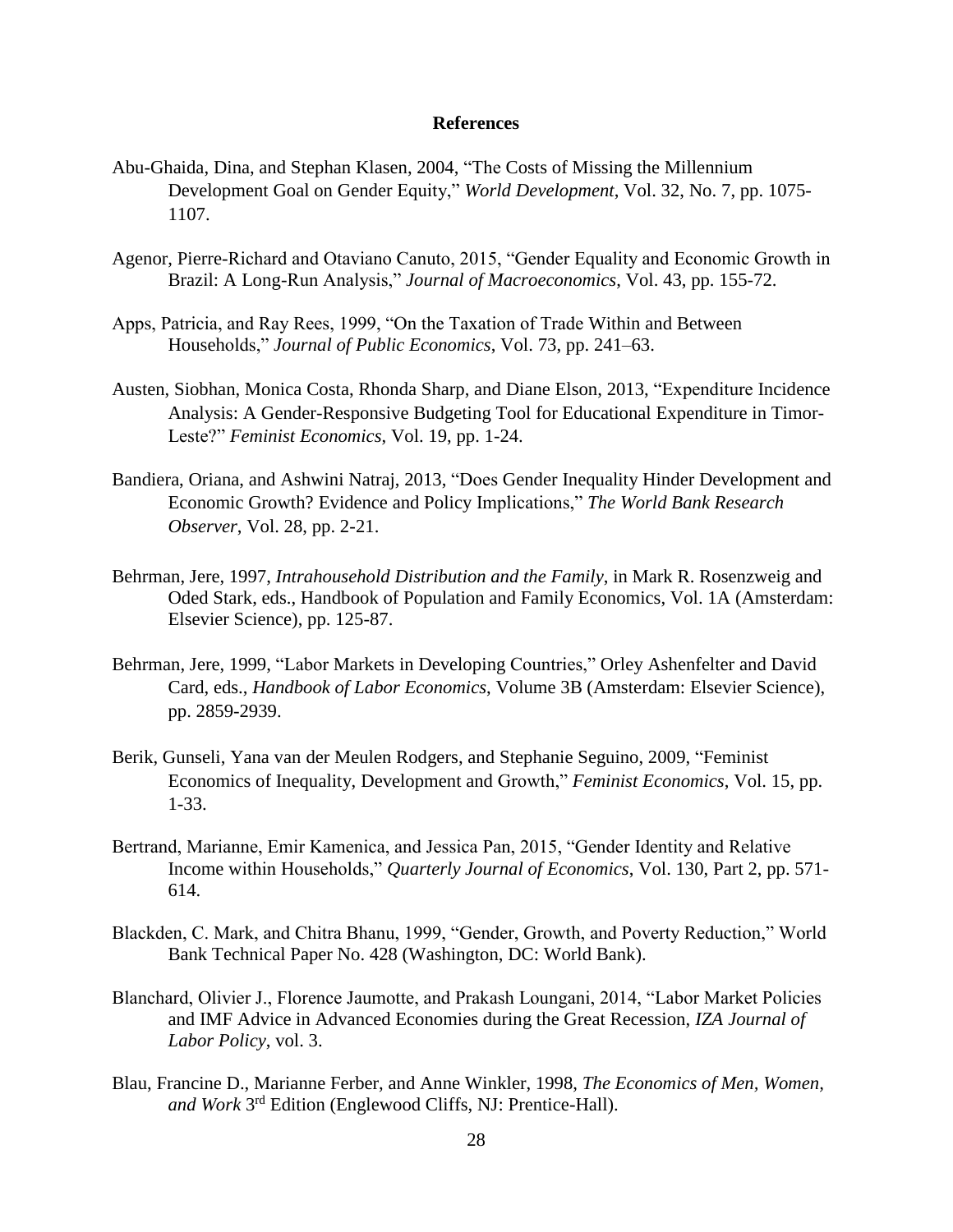#### **References**

- Abu-Ghaida, Dina, and Stephan Klasen, 2004, "The Costs of Missing the Millennium Development Goal on Gender Equity," *World Development*, Vol. 32, No. 7, pp. 1075- 1107.
- Agenor, Pierre-Richard and Otaviano Canuto, 2015, "Gender Equality and Economic Growth in Brazil: A Long-Run Analysis," *Journal of Macroeconomics*, Vol. 43, pp. 155-72.
- Apps, Patricia, and Ray Rees, 1999, "On the Taxation of Trade Within and Between Households," *Journal of Public Economics*, Vol. 73, pp. 241–63.
- Austen, Siobhan, Monica Costa, Rhonda Sharp, and Diane Elson, 2013, "Expenditure Incidence Analysis: A Gender-Responsive Budgeting Tool for Educational Expenditure in Timor-Leste?" *Feminist Economics*, Vol. 19, pp. 1-24.
- Bandiera, Oriana, and Ashwini Natraj, 2013, "Does Gender Inequality Hinder Development and Economic Growth? Evidence and Policy Implications," *The World Bank Research Observer*, Vol. 28, pp. 2-21.
- Behrman, Jere, 1997, *Intrahousehold Distribution and the Family*, in Mark R. Rosenzweig and Oded Stark, eds., Handbook of Population and Family Economics, Vol. 1A (Amsterdam: Elsevier Science), pp. 125-87.
- Behrman, Jere, 1999, "Labor Markets in Developing Countries," Orley Ashenfelter and David Card, eds., *Handbook of Labor Economics*, Volume 3B (Amsterdam: Elsevier Science), pp. 2859-2939.
- Berik, Gunseli, Yana van der Meulen Rodgers, and Stephanie Seguino, 2009, "Feminist Economics of Inequality, Development and Growth," *Feminist Economics*, Vol. 15, pp. 1-33.
- Bertrand, Marianne, Emir Kamenica, and Jessica Pan, 2015, "Gender Identity and Relative Income within Households," *Quarterly Journal of Economics*, Vol. 130, Part 2, pp. 571- 614.
- Blackden, C. Mark, and Chitra Bhanu, 1999, "Gender, Growth, and Poverty Reduction," World Bank Technical Paper No. 428 (Washington, DC: World Bank).
- Blanchard, Olivier J., Florence Jaumotte, and Prakash Loungani, 2014, "Labor Market Policies and IMF Advice in Advanced Economies during the Great Recession, *IZA Journal of Labor Policy*, vol. 3.
- Blau, Francine D., Marianne Ferber, and Anne Winkler, 1998, *The Economics of Men, Women,*  and Work 3<sup>rd</sup> Edition (Englewood Cliffs, NJ: Prentice-Hall).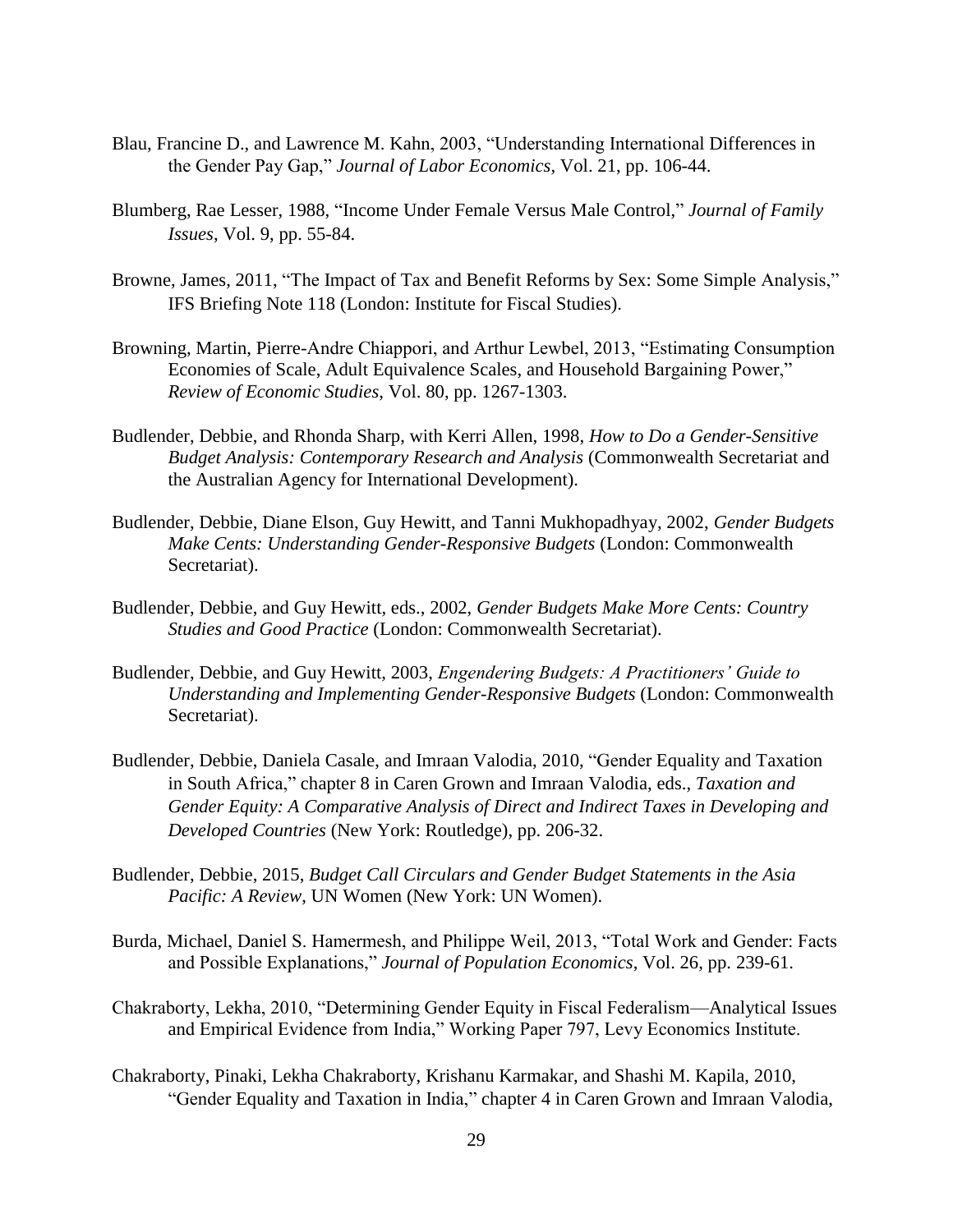- Blau, Francine D., and Lawrence M. Kahn, 2003, "Understanding International Differences in the Gender Pay Gap," *Journal of Labor Economics*, Vol. 21, pp. 106-44.
- Blumberg, Rae Lesser, 1988, "Income Under Female Versus Male Control," *Journal of Family Issues*, Vol. 9, pp. 55-84.
- Browne, James, 2011, "The Impact of Tax and Benefit Reforms by Sex: Some Simple Analysis," IFS Briefing Note 118 (London: Institute for Fiscal Studies).
- Browning, Martin, Pierre-Andre Chiappori, and Arthur Lewbel, 2013, "Estimating Consumption Economies of Scale, Adult Equivalence Scales, and Household Bargaining Power," *Review of Economic Studies*, Vol. 80, pp. 1267-1303.
- Budlender, Debbie, and Rhonda Sharp, with Kerri Allen, 1998, *How to Do a Gender-Sensitive Budget Analysis: Contemporary Research and Analysis* (Commonwealth Secretariat and the Australian Agency for International Development).
- Budlender, Debbie, Diane Elson, Guy Hewitt, and Tanni Mukhopadhyay, 2002, *Gender Budgets Make Cents: Understanding Gender-Responsive Budgets* (London: Commonwealth Secretariat).
- Budlender, Debbie, and Guy Hewitt, eds., 2002, *Gender Budgets Make More Cents: Country Studies and Good Practice* (London: Commonwealth Secretariat).
- Budlender, Debbie, and Guy Hewitt, 2003, *Engendering Budgets: A Practitioners' Guide to Understanding and Implementing Gender-Responsive Budgets* (London: Commonwealth Secretariat).
- Budlender, Debbie, Daniela Casale, and Imraan Valodia, 2010, "Gender Equality and Taxation in South Africa," chapter 8 in Caren Grown and Imraan Valodia, eds., *Taxation and Gender Equity: A Comparative Analysis of Direct and Indirect Taxes in Developing and Developed Countries* (New York: Routledge), pp. 206-32.
- Budlender, Debbie, 2015, *Budget Call Circulars and Gender Budget Statements in the Asia Pacific: A Review*, UN Women (New York: UN Women).
- Burda, Michael, Daniel S. Hamermesh, and Philippe Weil, 2013, "Total Work and Gender: Facts and Possible Explanations," *Journal of Population Economics*, Vol. 26, pp. 239-61.
- Chakraborty, Lekha, 2010, "Determining Gender Equity in Fiscal Federalism—Analytical Issues and Empirical Evidence from India," Working Paper 797, Levy Economics Institute.
- Chakraborty, Pinaki, Lekha Chakraborty, Krishanu Karmakar, and Shashi M. Kapila, 2010, "Gender Equality and Taxation in India," chapter 4 in Caren Grown and Imraan Valodia,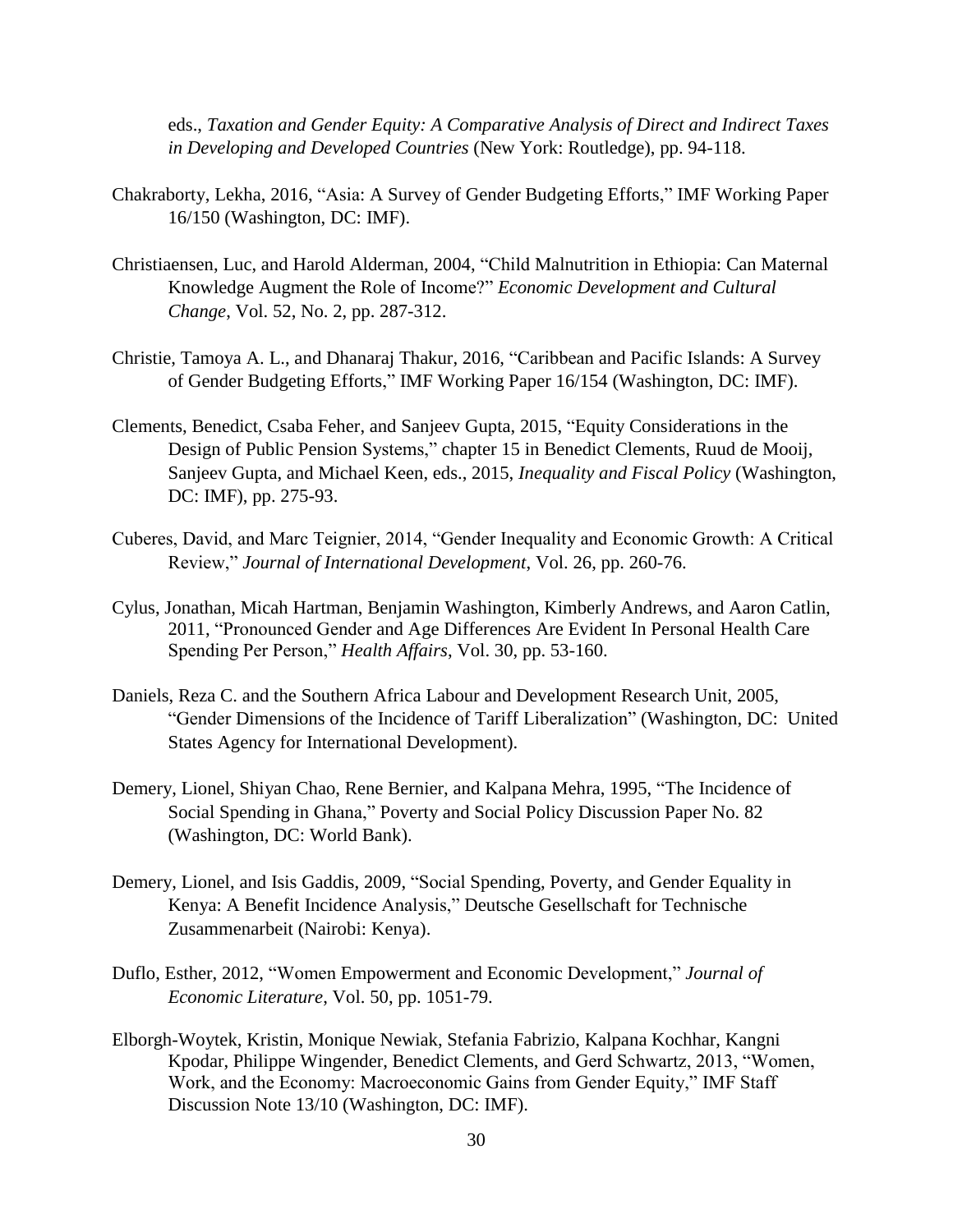eds., *Taxation and Gender Equity: A Comparative Analysis of Direct and Indirect Taxes in Developing and Developed Countries* (New York: Routledge), pp. 94-118.

- Chakraborty, Lekha, 2016, "Asia: A Survey of Gender Budgeting Efforts," IMF Working Paper 16/150 (Washington, DC: IMF).
- Christiaensen, Luc, and Harold Alderman, 2004, "Child Malnutrition in Ethiopia: Can Maternal Knowledge Augment the Role of Income?" *Economic Development and Cultural Change*, Vol. 52, No. 2, pp. 287-312.
- Christie, Tamoya A. L., and Dhanaraj Thakur, 2016, "Caribbean and Pacific Islands: A Survey of Gender Budgeting Efforts," IMF Working Paper 16/154 (Washington, DC: IMF).
- Clements, Benedict, Csaba Feher, and Sanjeev Gupta, 2015, "Equity Considerations in the Design of Public Pension Systems," chapter 15 in Benedict Clements, Ruud de Mooij, Sanjeev Gupta, and Michael Keen, eds., 2015, *Inequality and Fiscal Policy* (Washington, DC: IMF), pp. 275-93.
- Cuberes, David, and Marc Teignier, 2014, "Gender Inequality and Economic Growth: A Critical Review," *Journal of International Development*, Vol. 26, pp. 260-76.
- Cylus, Jonathan, Micah Hartman, Benjamin Washington, Kimberly Andrews, and Aaron Catlin, 2011, "Pronounced Gender and Age Differences Are Evident In Personal Health Care Spending Per Person," *Health Affairs*, Vol. 30, pp. 53-160.
- Daniels, Reza C. and the Southern Africa Labour and Development Research Unit, 2005, "Gender Dimensions of the Incidence of Tariff Liberalization" (Washington, DC: United States Agency for International Development).
- Demery, Lionel, Shiyan Chao, Rene Bernier, and Kalpana Mehra, 1995, "The Incidence of Social Spending in Ghana," Poverty and Social Policy Discussion Paper No. 82 (Washington, DC: World Bank).
- Demery, Lionel, and Isis Gaddis, 2009, "Social Spending, Poverty, and Gender Equality in Kenya: A Benefit Incidence Analysis," Deutsche Gesellschaft for Technische Zusammenarbeit (Nairobi: Kenya).
- Duflo, Esther, 2012, "Women Empowerment and Economic Development," *Journal of Economic Literature*, Vol. 50, pp. 1051-79.
- Elborgh-Woytek, Kristin, Monique Newiak, Stefania Fabrizio, Kalpana Kochhar, Kangni Kpodar, Philippe Wingender, Benedict Clements, and Gerd Schwartz, 2013, "Women, Work, and the Economy: Macroeconomic Gains from Gender Equity," IMF Staff Discussion Note 13/10 (Washington, DC: IMF).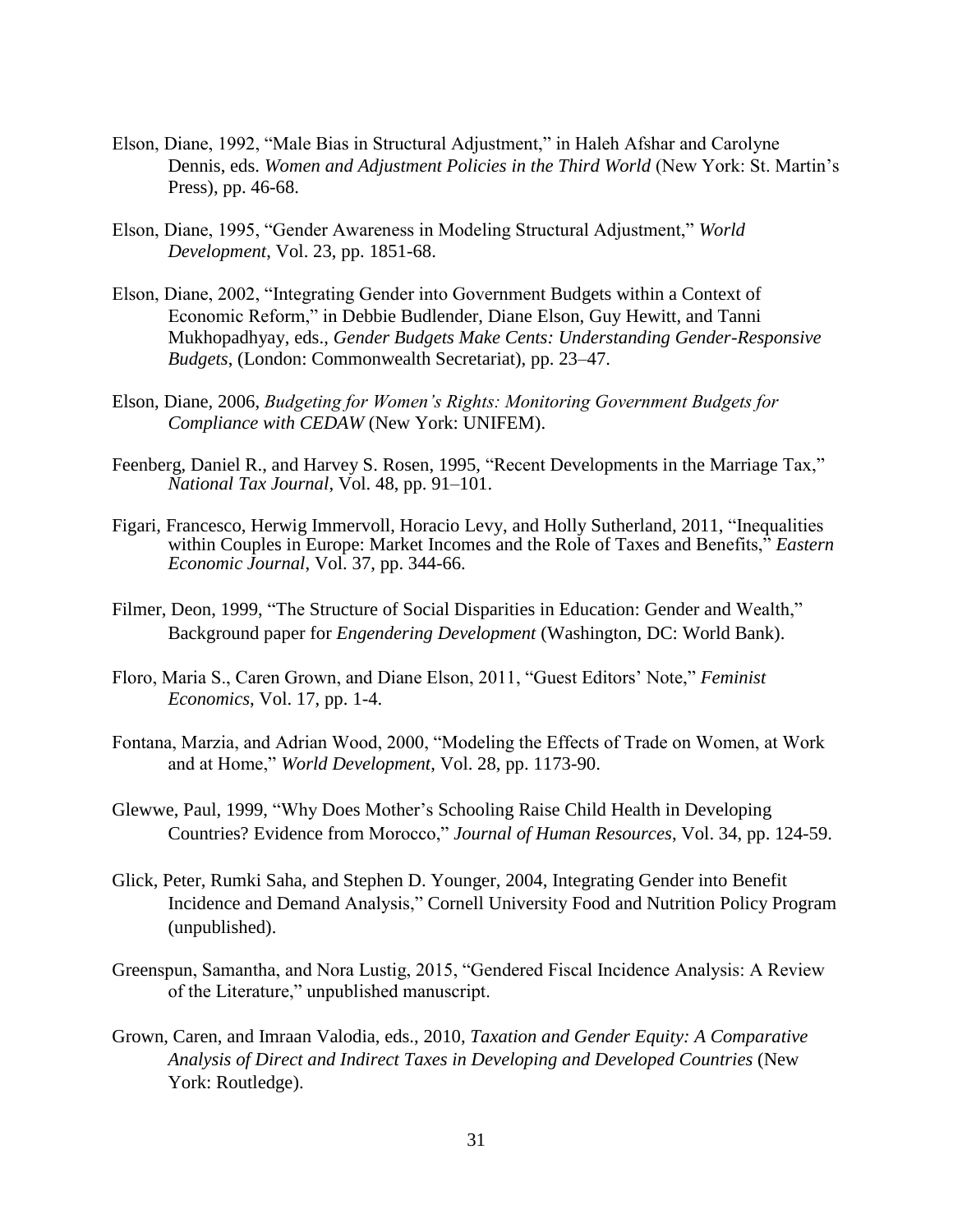- Elson, Diane, 1992, "Male Bias in Structural Adjustment," in Haleh Afshar and Carolyne Dennis, eds. *Women and Adjustment Policies in the Third World* (New York: St. Martin's Press), pp. 46-68.
- Elson, Diane, 1995, "Gender Awareness in Modeling Structural Adjustment," *World Development*, Vol. 23, pp. 1851-68.
- Elson, Diane, 2002, "Integrating Gender into Government Budgets within a Context of Economic Reform," in Debbie Budlender, Diane Elson, Guy Hewitt, and Tanni Mukhopadhyay, eds., *Gender Budgets Make Cents: Understanding Gender-Responsive Budgets*, (London: Commonwealth Secretariat), pp. 23–47.
- Elson, Diane, 2006, *Budgeting for Women's Rights: Monitoring Government Budgets for Compliance with CEDAW* (New York: UNIFEM).
- Feenberg, Daniel R., and Harvey S. Rosen, 1995, "Recent Developments in the Marriage Tax," *National Tax Journal*, Vol. 48, pp. 91–101.
- Figari, Francesco, Herwig Immervoll, Horacio Levy, and Holly Sutherland, 2011, "Inequalities within Couples in Europe: Market Incomes and the Role of Taxes and Benefits," *Eastern Economic Journal*, Vol. 37, pp. 344-66.
- Filmer, Deon, 1999, "The Structure of Social Disparities in Education: Gender and Wealth," Background paper for *Engendering Development* (Washington, DC: World Bank).
- Floro, Maria S., Caren Grown, and Diane Elson, 2011, "Guest Editors' Note," *Feminist Economics*, Vol. 17, pp. 1-4.
- Fontana, Marzia, and Adrian Wood, 2000, "Modeling the Effects of Trade on Women, at Work and at Home," *World Development*, Vol. 28, pp. 1173-90.
- Glewwe, Paul, 1999, "Why Does Mother's Schooling Raise Child Health in Developing Countries? Evidence from Morocco," *Journal of Human Resources*, Vol. 34, pp. 124-59.
- Glick, Peter, Rumki Saha, and Stephen D. Younger, 2004, Integrating Gender into Benefit Incidence and Demand Analysis," Cornell University Food and Nutrition Policy Program (unpublished).
- Greenspun, Samantha, and Nora Lustig, 2015, "Gendered Fiscal Incidence Analysis: A Review of the Literature," unpublished manuscript.
- Grown, Caren, and Imraan Valodia, eds., 2010, *Taxation and Gender Equity: A Comparative Analysis of Direct and Indirect Taxes in Developing and Developed Countries* (New York: Routledge).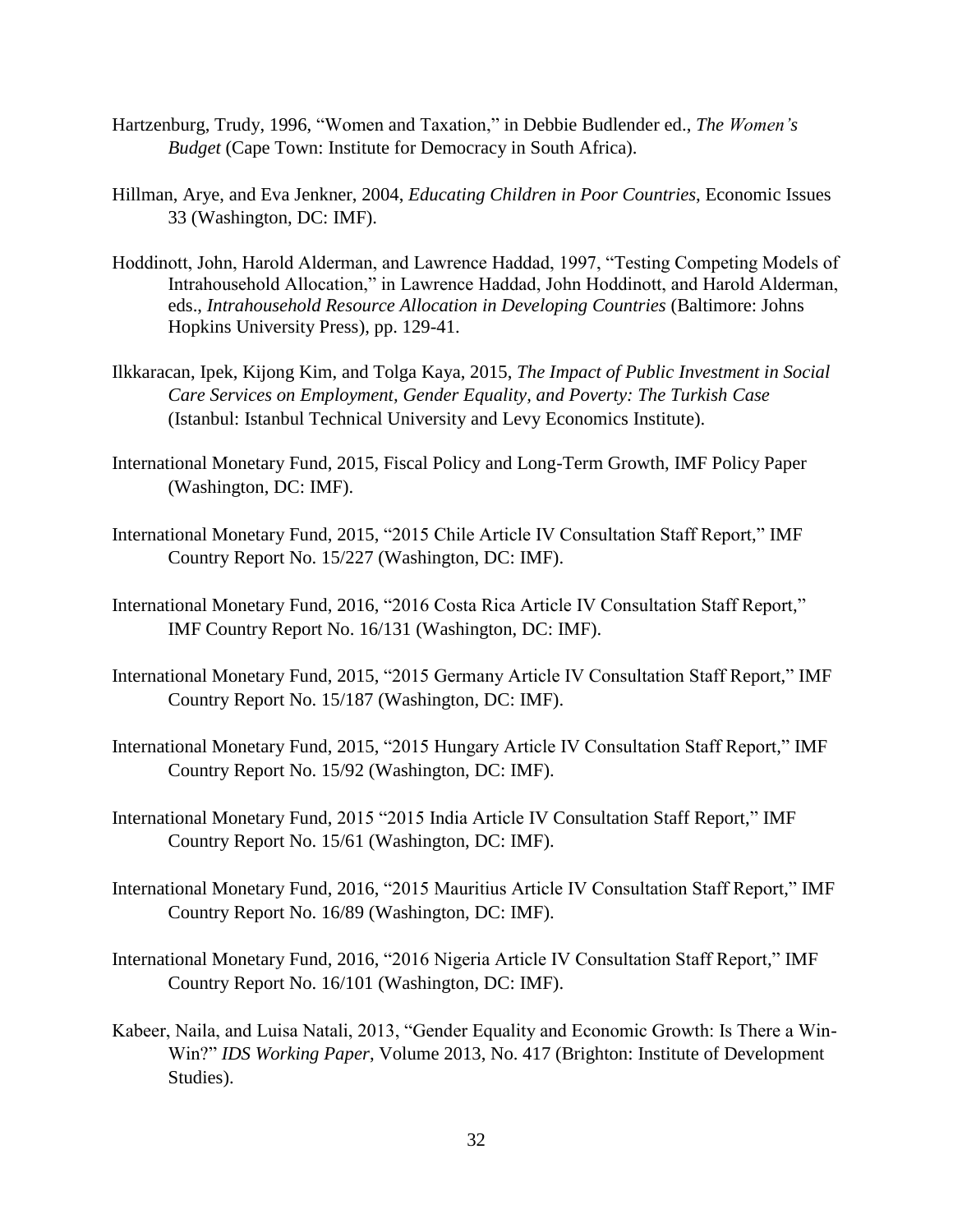- Hartzenburg, Trudy, 1996, "Women and Taxation," in Debbie Budlender ed., *The Women's Budget* (Cape Town: Institute for Democracy in South Africa).
- Hillman, Arye, and Eva Jenkner, 2004, *Educating Children in Poor Countries*, Economic Issues 33 (Washington, DC: IMF).
- Hoddinott, John, Harold Alderman, and Lawrence Haddad, 1997, "Testing Competing Models of Intrahousehold Allocation," in Lawrence Haddad, John Hoddinott, and Harold Alderman, eds., *Intrahousehold Resource Allocation in Developing Countries* (Baltimore: Johns Hopkins University Press), pp. 129-41.
- Ilkkaracan, Ipek, Kijong Kim, and Tolga Kaya, 2015, *The Impact of Public Investment in Social Care Services on Employment, Gender Equality, and Poverty: The Turkish Case* (Istanbul: Istanbul Technical University and Levy Economics Institute).
- International Monetary Fund, 2015, Fiscal Policy and Long-Term Growth, IMF Policy Paper (Washington, DC: IMF).
- International Monetary Fund, 2015, "2015 Chile Article IV Consultation Staff Report," IMF Country Report No. 15/227 (Washington, DC: IMF).
- International Monetary Fund, 2016, "2016 Costa Rica Article IV Consultation Staff Report," IMF Country Report No. 16/131 (Washington, DC: IMF).
- International Monetary Fund, 2015, "2015 Germany Article IV Consultation Staff Report," IMF Country Report No. 15/187 (Washington, DC: IMF).
- International Monetary Fund, 2015, "2015 Hungary Article IV Consultation Staff Report," IMF Country Report No. 15/92 (Washington, DC: IMF).
- International Monetary Fund, 2015 "2015 India Article IV Consultation Staff Report," IMF Country Report No. 15/61 (Washington, DC: IMF).
- International Monetary Fund, 2016, "2015 Mauritius Article IV Consultation Staff Report," IMF Country Report No. 16/89 (Washington, DC: IMF).
- International Monetary Fund, 2016, "2016 Nigeria Article IV Consultation Staff Report," IMF Country Report No. 16/101 (Washington, DC: IMF).
- Kabeer, Naila, and Luisa Natali, 2013, "Gender Equality and Economic Growth: Is There a Win-Win?" *IDS Working Paper*, Volume 2013, No. 417 (Brighton: Institute of Development Studies).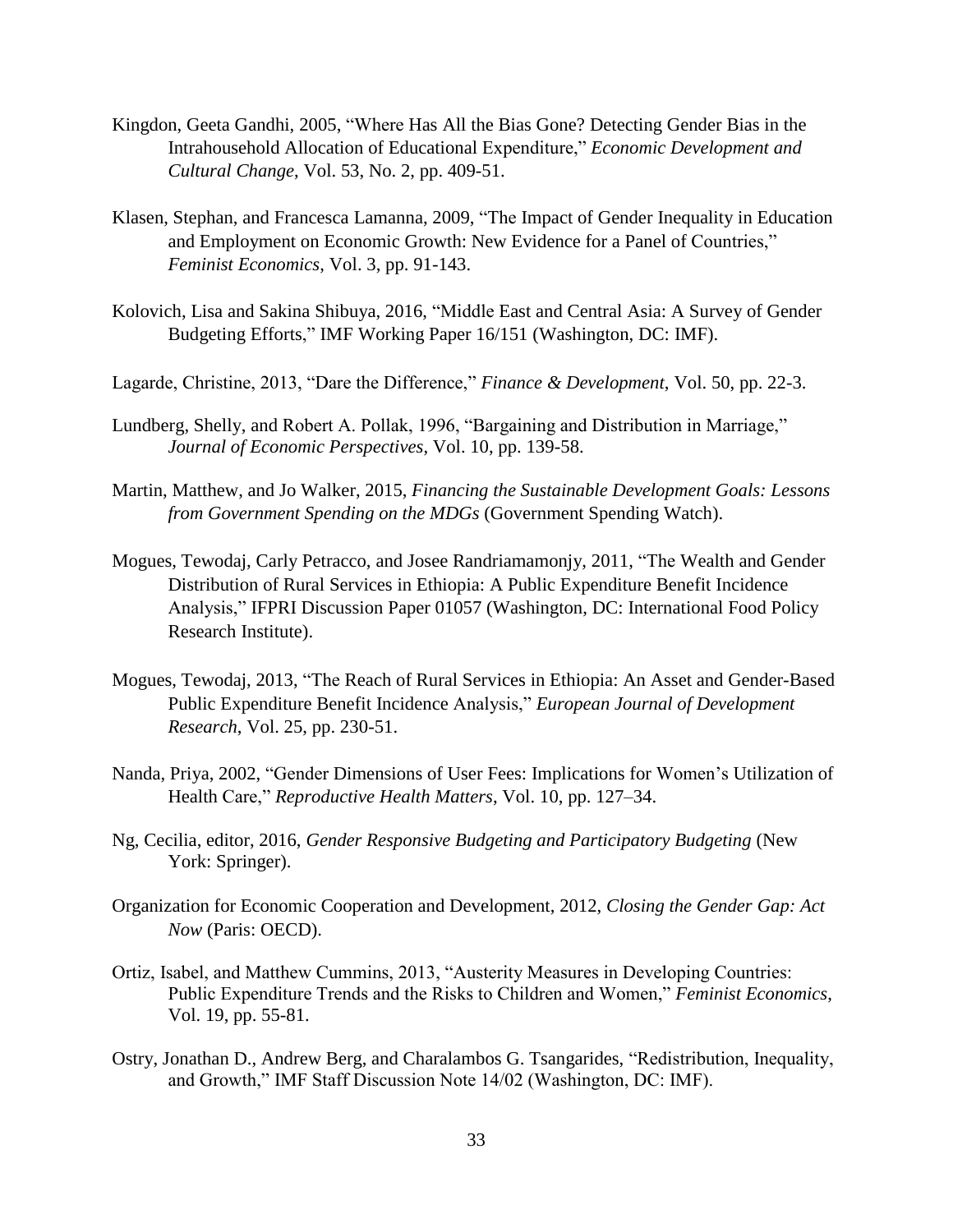- Kingdon, Geeta Gandhi, 2005, "Where Has All the Bias Gone? Detecting Gender Bias in the Intrahousehold Allocation of Educational Expenditure," *Economic Development and Cultural Change*, Vol. 53, No. 2, pp. 409-51.
- Klasen, Stephan, and Francesca Lamanna, 2009, "The Impact of Gender Inequality in Education and Employment on Economic Growth: New Evidence for a Panel of Countries," *Feminist Economics*, Vol. 3, pp. 91-143.
- Kolovich, Lisa and Sakina Shibuya, 2016, "Middle East and Central Asia: A Survey of Gender Budgeting Efforts," IMF Working Paper 16/151 (Washington, DC: IMF).
- Lagarde, Christine, 2013, "Dare the Difference," *Finance & Development*, Vol. 50, pp. 22-3.
- Lundberg, Shelly, and Robert A. Pollak, 1996, "Bargaining and Distribution in Marriage," *Journal of Economic Perspectives*, Vol. 10, pp. 139-58.
- Martin, Matthew, and Jo Walker, 2015, *Financing the Sustainable Development Goals: Lessons from Government Spending on the MDGs* (Government Spending Watch).
- Mogues, Tewodaj, Carly Petracco, and Josee Randriamamonjy, 2011, "The Wealth and Gender Distribution of Rural Services in Ethiopia: A Public Expenditure Benefit Incidence Analysis," IFPRI Discussion Paper 01057 (Washington, DC: International Food Policy Research Institute).
- Mogues, Tewodaj, 2013, "The Reach of Rural Services in Ethiopia: An Asset and Gender-Based Public Expenditure Benefit Incidence Analysis," *European Journal of Development Research*, Vol. 25, pp. 230-51.
- Nanda, Priya, 2002, "Gender Dimensions of User Fees: Implications for Women's Utilization of Health Care," *Reproductive Health Matters*, Vol. 10, pp. 127–34.
- Ng, Cecilia, editor, 2016, *Gender Responsive Budgeting and Participatory Budgeting* (New York: Springer).
- Organization for Economic Cooperation and Development, 2012, *Closing the Gender Gap: Act Now* (Paris: OECD).
- Ortiz, Isabel, and Matthew Cummins, 2013, "Austerity Measures in Developing Countries: Public Expenditure Trends and the Risks to Children and Women," *Feminist Economics*, Vol. 19, pp. 55-81.
- Ostry, Jonathan D., Andrew Berg, and Charalambos G. Tsangarides, "Redistribution, Inequality, and Growth," IMF Staff Discussion Note 14/02 (Washington, DC: IMF).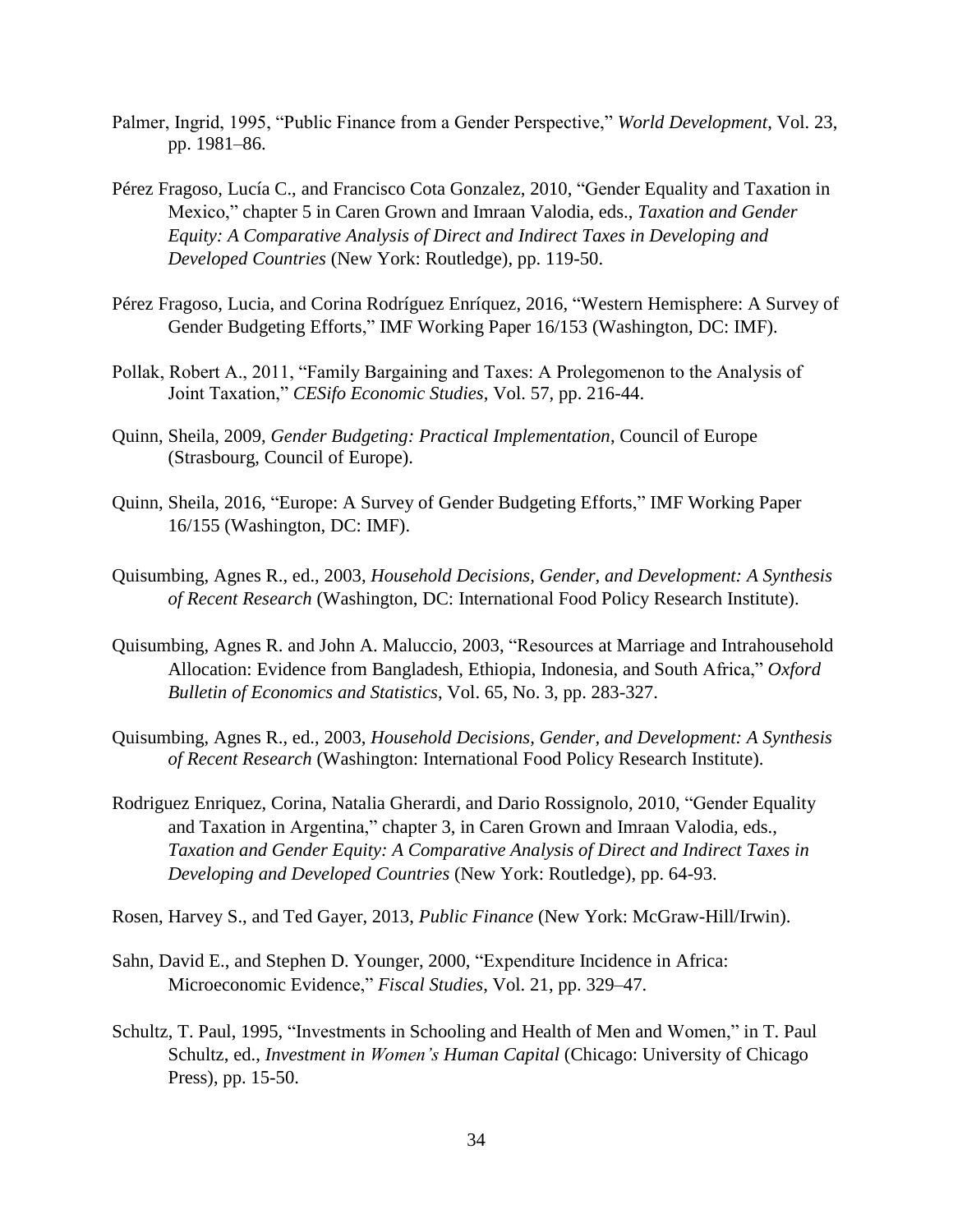- Palmer, Ingrid, 1995, "Public Finance from a Gender Perspective," *World Development*, Vol. 23, pp. 1981–86.
- Pérez Fragoso, Lucía C., and Francisco Cota Gonzalez, 2010, "Gender Equality and Taxation in Mexico," chapter 5 in Caren Grown and Imraan Valodia, eds., *Taxation and Gender Equity: A Comparative Analysis of Direct and Indirect Taxes in Developing and Developed Countries* (New York: Routledge), pp. 119-50.
- Pérez Fragoso, Lucia, and Corina Rodríguez Enríquez, 2016, "Western Hemisphere: A Survey of Gender Budgeting Efforts," IMF Working Paper 16/153 (Washington, DC: IMF).
- Pollak, Robert A., 2011, "Family Bargaining and Taxes: A Prolegomenon to the Analysis of Joint Taxation," *CESifo Economic Studies*, Vol. 57, pp. 216-44.
- Quinn, Sheila, 2009, *Gender Budgeting: Practical Implementation*, Council of Europe (Strasbourg, Council of Europe).
- Quinn, Sheila, 2016, "Europe: A Survey of Gender Budgeting Efforts," IMF Working Paper 16/155 (Washington, DC: IMF).
- Quisumbing, Agnes R., ed., 2003, *Household Decisions, Gender, and Development: A Synthesis of Recent Research* (Washington, DC: International Food Policy Research Institute).
- Quisumbing, Agnes R. and John A. Maluccio, 2003, "Resources at Marriage and Intrahousehold Allocation: Evidence from Bangladesh, Ethiopia, Indonesia, and South Africa," *Oxford Bulletin of Economics and Statistics*, Vol. 65, No. 3, pp. 283-327.
- Quisumbing, Agnes R., ed., 2003, *Household Decisions, Gender, and Development: A Synthesis of Recent Research* (Washington: International Food Policy Research Institute).
- Rodriguez Enriquez, Corina, Natalia Gherardi, and Dario Rossignolo, 2010, "Gender Equality and Taxation in Argentina," chapter 3, in Caren Grown and Imraan Valodia, eds., *Taxation and Gender Equity: A Comparative Analysis of Direct and Indirect Taxes in Developing and Developed Countries* (New York: Routledge), pp. 64-93.
- Rosen, Harvey S., and Ted Gayer, 2013, *Public Finance* (New York: McGraw-Hill/Irwin).
- Sahn, David E., and Stephen D. Younger, 2000, "Expenditure Incidence in Africa: Microeconomic Evidence," *Fiscal Studies*, Vol. 21, pp. 329–47.
- Schultz, T. Paul, 1995, "Investments in Schooling and Health of Men and Women," in T. Paul Schultz, ed., *Investment in Women's Human Capital* (Chicago: University of Chicago Press), pp. 15-50.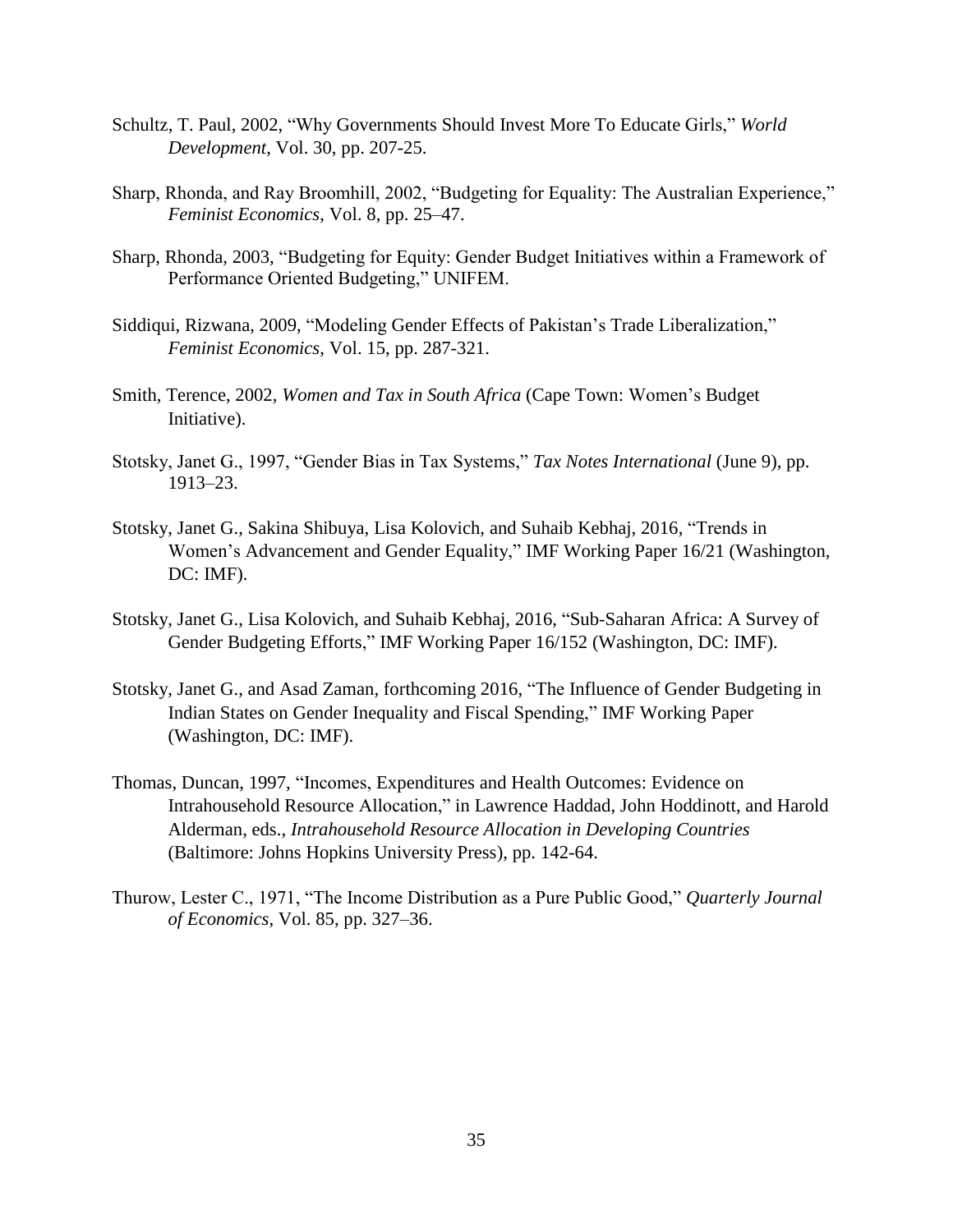- Schultz, T. Paul, 2002, "Why Governments Should Invest More To Educate Girls," *World Development*, Vol. 30, pp. 207-25.
- Sharp, Rhonda, and Ray Broomhill, 2002, "Budgeting for Equality: The Australian Experience," *Feminist Economics*, Vol. 8, pp. 25–47.
- Sharp, Rhonda, 2003, "Budgeting for Equity: Gender Budget Initiatives within a Framework of Performance Oriented Budgeting," UNIFEM.
- Siddiqui, Rizwana, 2009, "Modeling Gender Effects of Pakistan's Trade Liberalization," *Feminist Economics*, Vol. 15, pp. 287-321.
- Smith, Terence, 2002, *Women and Tax in South Africa* (Cape Town: Women's Budget Initiative).
- Stotsky, Janet G., 1997, "Gender Bias in Tax Systems," *Tax Notes International* (June 9), pp. 1913–23.
- Stotsky, Janet G., Sakina Shibuya, Lisa Kolovich, and Suhaib Kebhaj, 2016, "Trends in Women's Advancement and Gender Equality," IMF Working Paper 16/21 (Washington, DC: IMF).
- Stotsky, Janet G., Lisa Kolovich, and Suhaib Kebhaj, 2016, "Sub-Saharan Africa: A Survey of Gender Budgeting Efforts," IMF Working Paper 16/152 (Washington, DC: IMF).
- Stotsky, Janet G., and Asad Zaman, forthcoming 2016, "The Influence of Gender Budgeting in Indian States on Gender Inequality and Fiscal Spending," IMF Working Paper (Washington, DC: IMF).
- Thomas, Duncan, 1997, "Incomes, Expenditures and Health Outcomes: Evidence on Intrahousehold Resource Allocation," in Lawrence Haddad, John Hoddinott, and Harold Alderman, eds., *Intrahousehold Resource Allocation in Developing Countries* (Baltimore: Johns Hopkins University Press), pp. 142-64.
- Thurow, Lester C., 1971, "The Income Distribution as a Pure Public Good," *Quarterly Journal of Economics*, Vol. 85, pp. 327–36.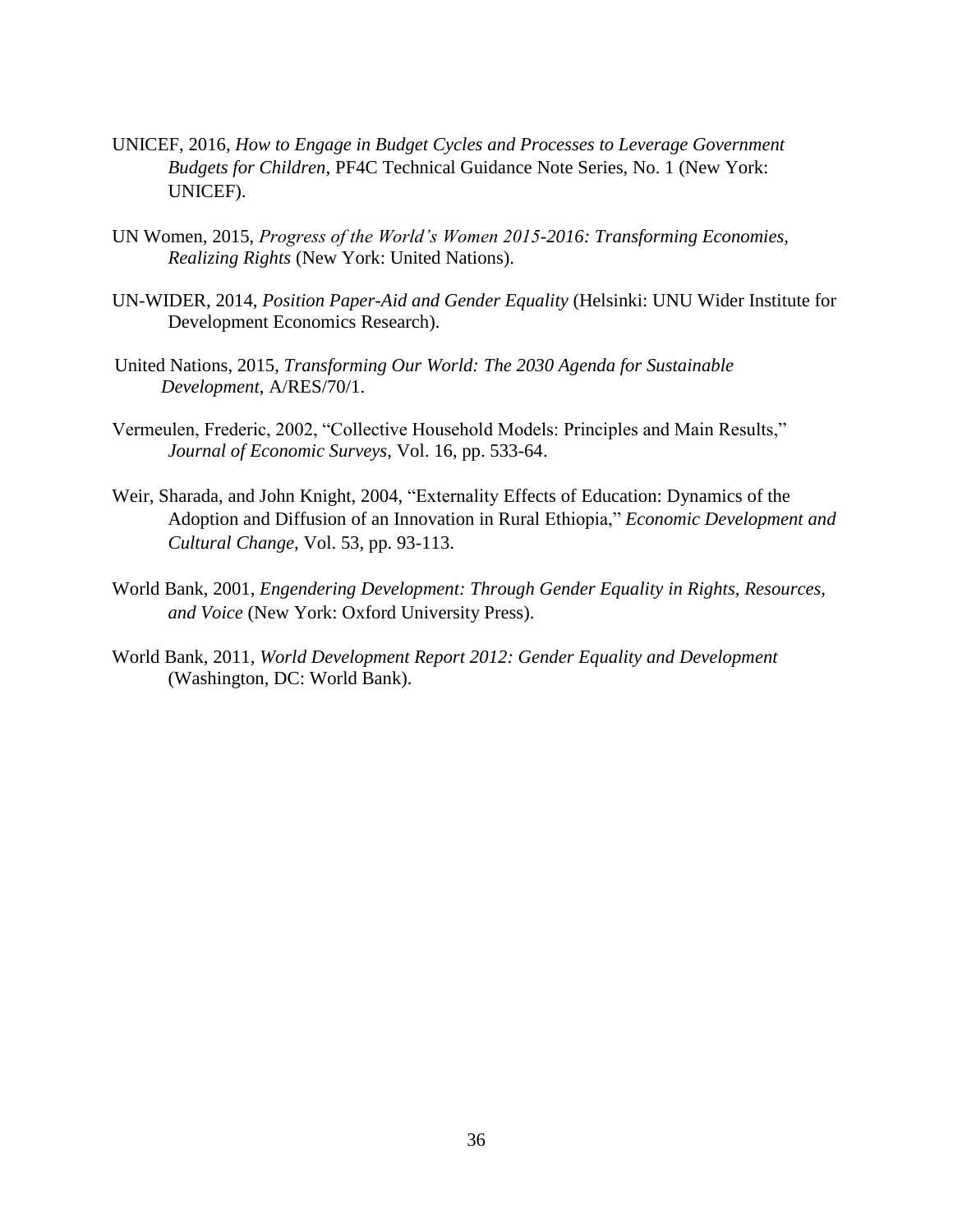- UNICEF, 2016, *How to Engage in Budget Cycles and Processes to Leverage Government Budgets for Children*, PF4C Technical Guidance Note Series, No. 1 (New York: UNICEF).
- UN Women, 2015, *Progress of the World's Women 2015-2016: Transforming Economies, Realizing Rights* (New York: United Nations).
- UN-WIDER, 2014, *Position Paper-Aid and Gender Equality* (Helsinki: UNU Wider Institute for Development Economics Research).
- United Nations, 2015, *Transforming Our World: The 2030 Agenda for Sustainable Development*, A/RES/70/1.
- Vermeulen, Frederic, 2002, "Collective Household Models: Principles and Main Results," *Journal of Economic Surveys*, Vol. 16, pp. 533-64.
- Weir, Sharada, and John Knight, 2004, "Externality Effects of Education: Dynamics of the Adoption and Diffusion of an Innovation in Rural Ethiopia," *Economic Development and Cultural Change*, Vol. 53, pp. 93-113.
- World Bank, 2001, *Engendering Development: Through Gender Equality in Rights, Resources, and Voice* (New York: Oxford University Press).
- World Bank, 2011, *World Development Report 2012: Gender Equality and Development* (Washington, DC: World Bank).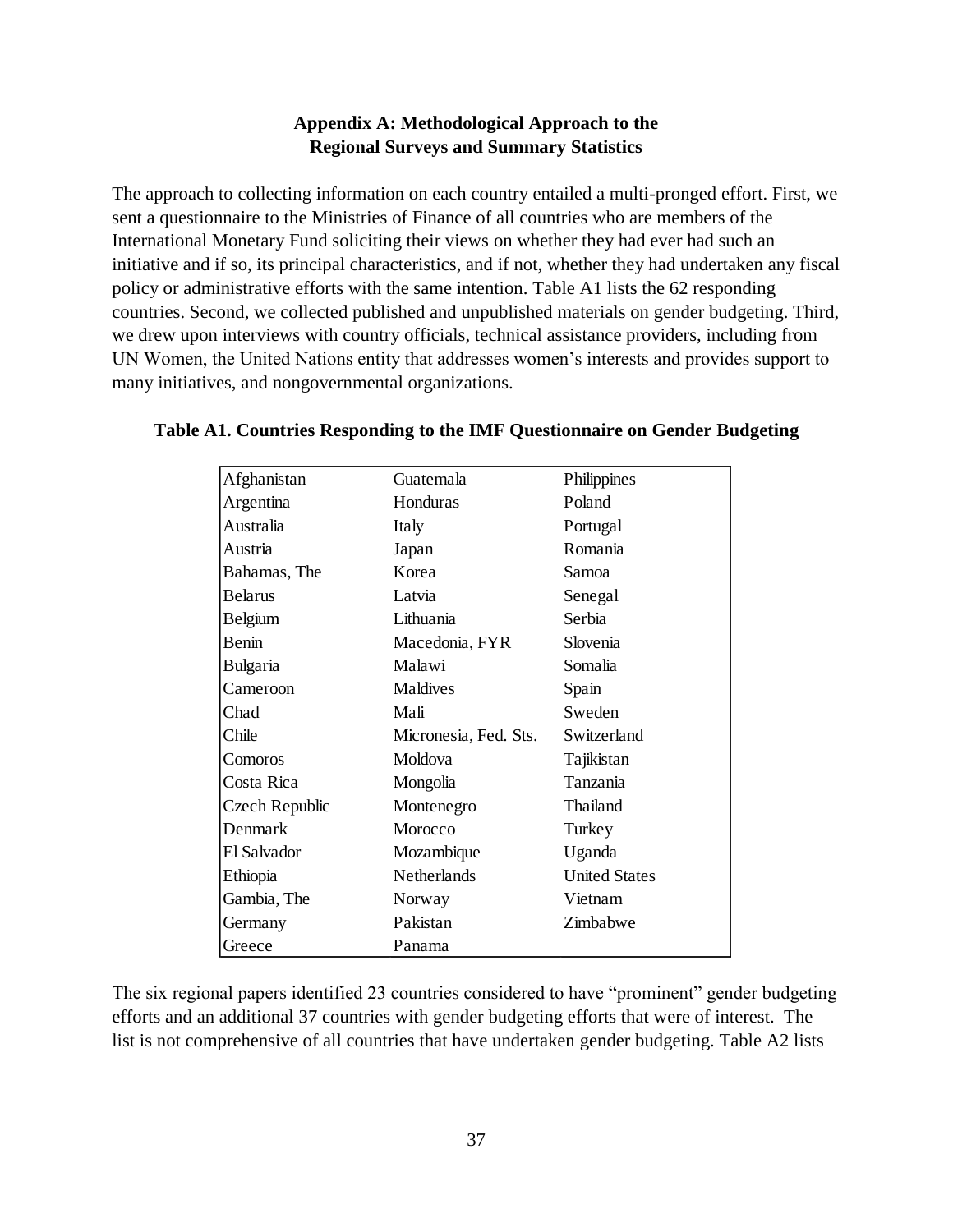# **Appendix A: Methodological Approach to the Regional Surveys and Summary Statistics**

The approach to collecting information on each country entailed a multi-pronged effort. First, we sent a questionnaire to the Ministries of Finance of all countries who are members of the International Monetary Fund soliciting their views on whether they had ever had such an initiative and if so, its principal characteristics, and if not, whether they had undertaken any fiscal policy or administrative efforts with the same intention. Table A1 lists the 62 responding countries. Second, we collected published and unpublished materials on gender budgeting. Third, we drew upon interviews with country officials, technical assistance providers, including from UN Women, the United Nations entity that addresses women's interests and provides support to many initiatives, and nongovernmental organizations.

| Afghanistan    | Guatemala             | Philippines          |
|----------------|-----------------------|----------------------|
| Argentina      | Honduras              | Poland               |
| Australia      | Italy                 | Portugal             |
| Austria        | Japan                 | Romania              |
| Bahamas, The   | Korea                 | Samoa                |
| <b>Belarus</b> | Latvia                | Senegal              |
| Belgium        | Lithuania             | Serbia               |
| Benin          | Macedonia, FYR        | Slovenia             |
| Bulgaria       | Malawi                | Somalia              |
| Cameroon       | Maldives              | Spain                |
| Chad           | Mali                  | Sweden               |
| Chile          | Micronesia, Fed. Sts. | Switzerland          |
| Comoros        | Moldova               | Tajikistan           |
| Costa Rica     | Mongolia              | Tanzania             |
| Czech Republic | Montenegro            | Thailand             |
| Denmark        | Morocco               | Turkey               |
| El Salvador    | Mozambique            | Uganda               |
| Ethiopia       | Netherlands           | <b>United States</b> |
| Gambia, The    | Norway                | Vietnam              |
| Germany        | Pakistan              | Zimbabwe             |
| Greece         | Panama                |                      |

# **Table A1. Countries Responding to the IMF Questionnaire on Gender Budgeting**

The six regional papers identified 23 countries considered to have "prominent" gender budgeting efforts and an additional 37 countries with gender budgeting efforts that were of interest. The list is not comprehensive of all countries that have undertaken gender budgeting. Table A2 lists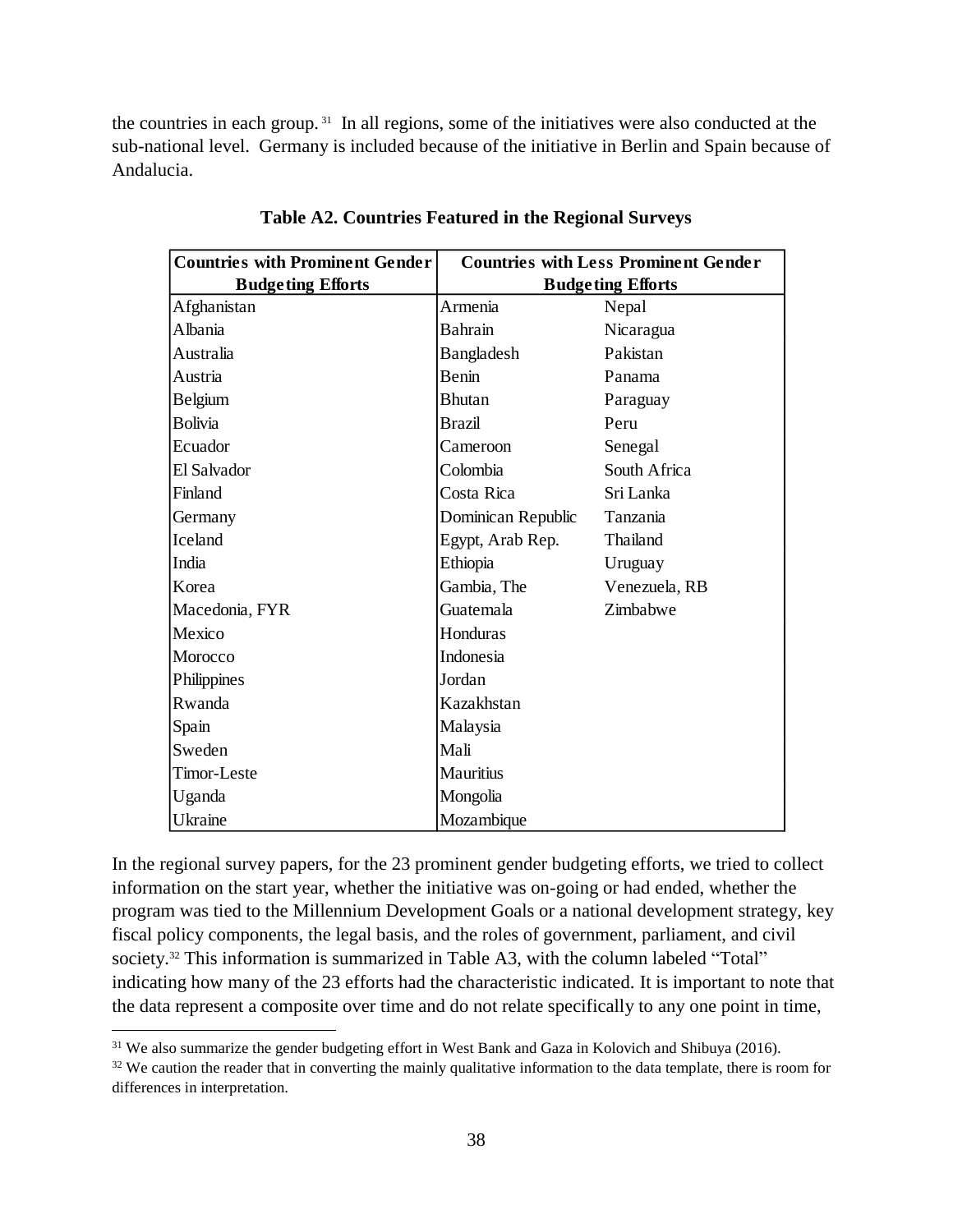the countries in each group. <sup>31</sup> In all regions, some of the initiatives were also conducted at the sub-national level. Germany is included because of the initiative in Berlin and Spain because of Andalucia.

| <b>Countries with Prominent Gender</b> | <b>Countries with Less Prominent Gender</b> |               |  |  |  |  |  |
|----------------------------------------|---------------------------------------------|---------------|--|--|--|--|--|
| <b>Budgeting Efforts</b>               | <b>Budgeting Efforts</b>                    |               |  |  |  |  |  |
| Afghanistan                            | Armenia                                     | Nepal         |  |  |  |  |  |
| Albania                                | <b>Bahrain</b>                              | Nicaragua     |  |  |  |  |  |
| Australia                              | Bangladesh                                  | Pakistan      |  |  |  |  |  |
| Austria                                | Benin                                       | Panama        |  |  |  |  |  |
| <b>Belgium</b>                         | <b>Bhutan</b>                               | Paraguay      |  |  |  |  |  |
| <b>Bolivia</b>                         | Brazil                                      | Peru          |  |  |  |  |  |
| Ecuador                                | Cameroon                                    | Senegal       |  |  |  |  |  |
| El Salvador                            | Colombia                                    | South Africa  |  |  |  |  |  |
| Finland                                | Costa Rica                                  | Sri Lanka     |  |  |  |  |  |
| Germany                                | Dominican Republic                          | Tanzania      |  |  |  |  |  |
| Iceland                                | Egypt, Arab Rep.                            | Thailand      |  |  |  |  |  |
| India                                  | Ethiopia                                    | Uruguay       |  |  |  |  |  |
| Korea                                  | Gambia, The                                 | Venezuela, RB |  |  |  |  |  |
| Macedonia, FYR                         | Guatemala                                   | Zimbabwe      |  |  |  |  |  |
| Mexico                                 | Honduras                                    |               |  |  |  |  |  |
| Morocco                                | Indonesia                                   |               |  |  |  |  |  |
| Philippines                            | Jordan                                      |               |  |  |  |  |  |
| Rwanda                                 | Kazakhstan                                  |               |  |  |  |  |  |
| Spain                                  | Malaysia                                    |               |  |  |  |  |  |
| Sweden                                 | Mali                                        |               |  |  |  |  |  |
| Timor-Leste                            | <b>Mauritius</b>                            |               |  |  |  |  |  |
| Uganda                                 | Mongolia                                    |               |  |  |  |  |  |
| Ukraine                                | Mozambique                                  |               |  |  |  |  |  |

**Table A2. Countries Featured in the Regional Surveys**

In the regional survey papers, for the 23 prominent gender budgeting efforts, we tried to collect information on the start year, whether the initiative was on-going or had ended, whether the program was tied to the Millennium Development Goals or a national development strategy, key fiscal policy components, the legal basis, and the roles of government, parliament, and civil society.<sup>32</sup> This information is summarized in Table A3, with the column labeled "Total" indicating how many of the 23 efforts had the characteristic indicated. It is important to note that the data represent a composite over time and do not relate specifically to any one point in time,

<sup>&</sup>lt;sup>31</sup> We also summarize the gender budgeting effort in West Bank and Gaza in Kolovich and Shibuya (2016).

<sup>&</sup>lt;sup>32</sup> We caution the reader that in converting the mainly qualitative information to the data template, there is room for differences in interpretation.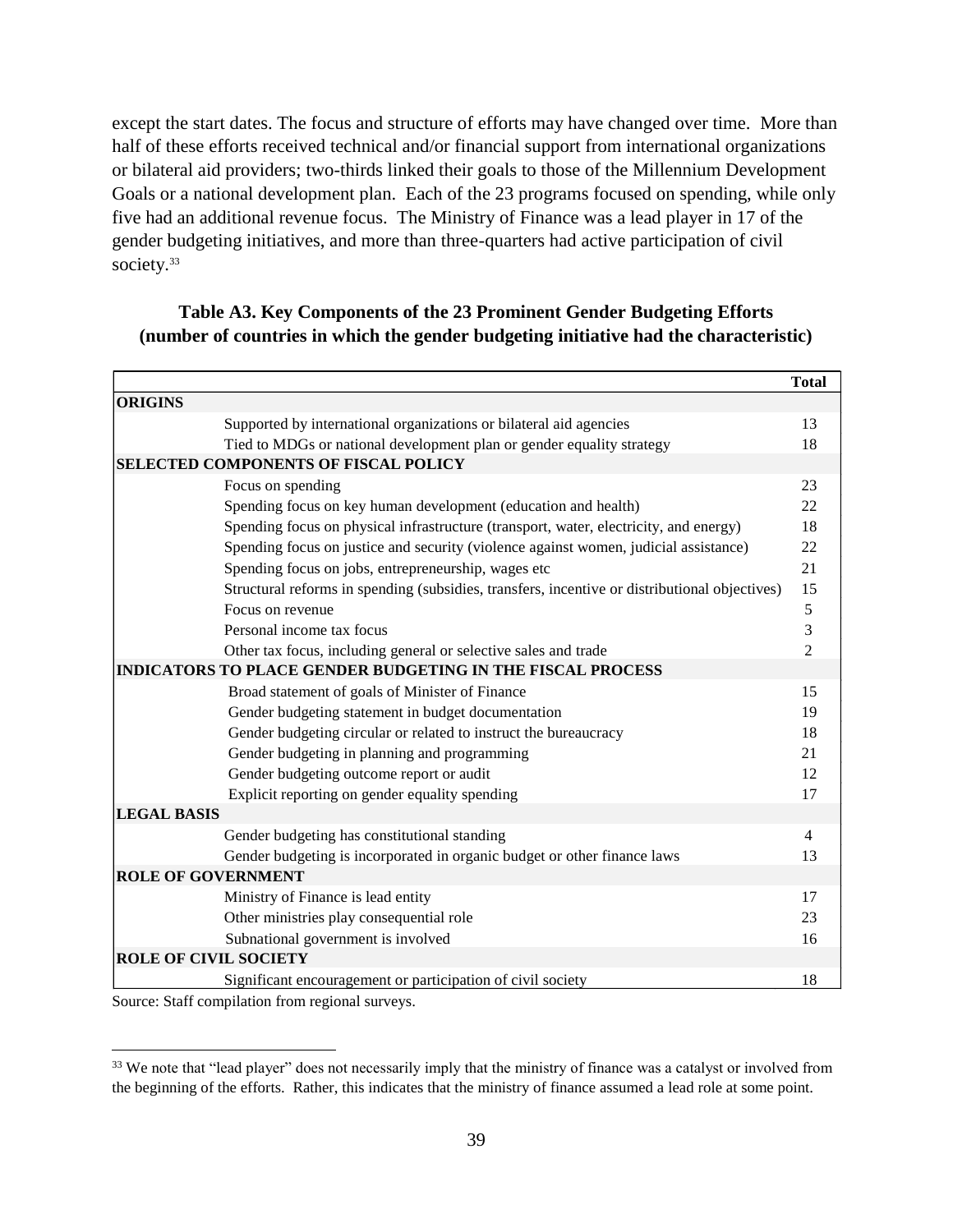except the start dates. The focus and structure of efforts may have changed over time. More than half of these efforts received technical and/or financial support from international organizations or bilateral aid providers; two-thirds linked their goals to those of the Millennium Development Goals or a national development plan. Each of the 23 programs focused on spending, while only five had an additional revenue focus. The Ministry of Finance was a lead player in 17 of the gender budgeting initiatives, and more than three-quarters had active participation of civil society.<sup>33</sup>

# **Table A3. Key Components of the 23 Prominent Gender Budgeting Efforts (number of countries in which the gender budgeting initiative had the characteristic)**

|                              |                                                                                               | <b>Total</b>   |
|------------------------------|-----------------------------------------------------------------------------------------------|----------------|
| <b>ORIGINS</b>               |                                                                                               |                |
|                              | Supported by international organizations or bilateral aid agencies                            | 13             |
|                              | Tied to MDGs or national development plan or gender equality strategy                         | 18             |
|                              | <b>SELECTED COMPONENTS OF FISCAL POLICY</b>                                                   |                |
|                              | Focus on spending                                                                             | 23             |
|                              | Spending focus on key human development (education and health)                                | 22             |
|                              | Spending focus on physical infrastructure (transport, water, electricity, and energy)         | 18             |
|                              | Spending focus on justice and security (violence against women, judicial assistance)          | 22             |
|                              | Spending focus on jobs, entrepreneurship, wages etc                                           | 21             |
|                              | Structural reforms in spending (subsidies, transfers, incentive or distributional objectives) | 15             |
|                              | Focus on revenue                                                                              | 5              |
|                              | Personal income tax focus                                                                     | $\mathfrak{Z}$ |
|                              | Other tax focus, including general or selective sales and trade                               | $\overline{2}$ |
|                              | <b>INDICATORS TO PLACE GENDER BUDGETING IN THE FISCAL PROCESS</b>                             |                |
|                              | Broad statement of goals of Minister of Finance                                               | 15             |
|                              | Gender budgeting statement in budget documentation                                            | 19             |
|                              | Gender budgeting circular or related to instruct the bureaucracy                              | 18             |
|                              | Gender budgeting in planning and programming                                                  | 21             |
|                              | Gender budgeting outcome report or audit                                                      | 12             |
|                              | Explicit reporting on gender equality spending                                                | 17             |
| <b>LEGAL BASIS</b>           |                                                                                               |                |
|                              | Gender budgeting has constitutional standing                                                  | $\overline{4}$ |
|                              | Gender budgeting is incorporated in organic budget or other finance laws                      | 13             |
| <b>ROLE OF GOVERNMENT</b>    |                                                                                               |                |
|                              | Ministry of Finance is lead entity                                                            | 17             |
|                              | Other ministries play consequential role                                                      | 23             |
|                              | Subnational government is involved                                                            | 16             |
| <b>ROLE OF CIVIL SOCIETY</b> |                                                                                               |                |
|                              | Significant encouragement or participation of civil society                                   | 18             |

Source: Staff compilation from regional surveys.

<sup>&</sup>lt;sup>33</sup> We note that "lead player" does not necessarily imply that the ministry of finance was a catalyst or involved from the beginning of the efforts. Rather, this indicates that the ministry of finance assumed a lead role at some point.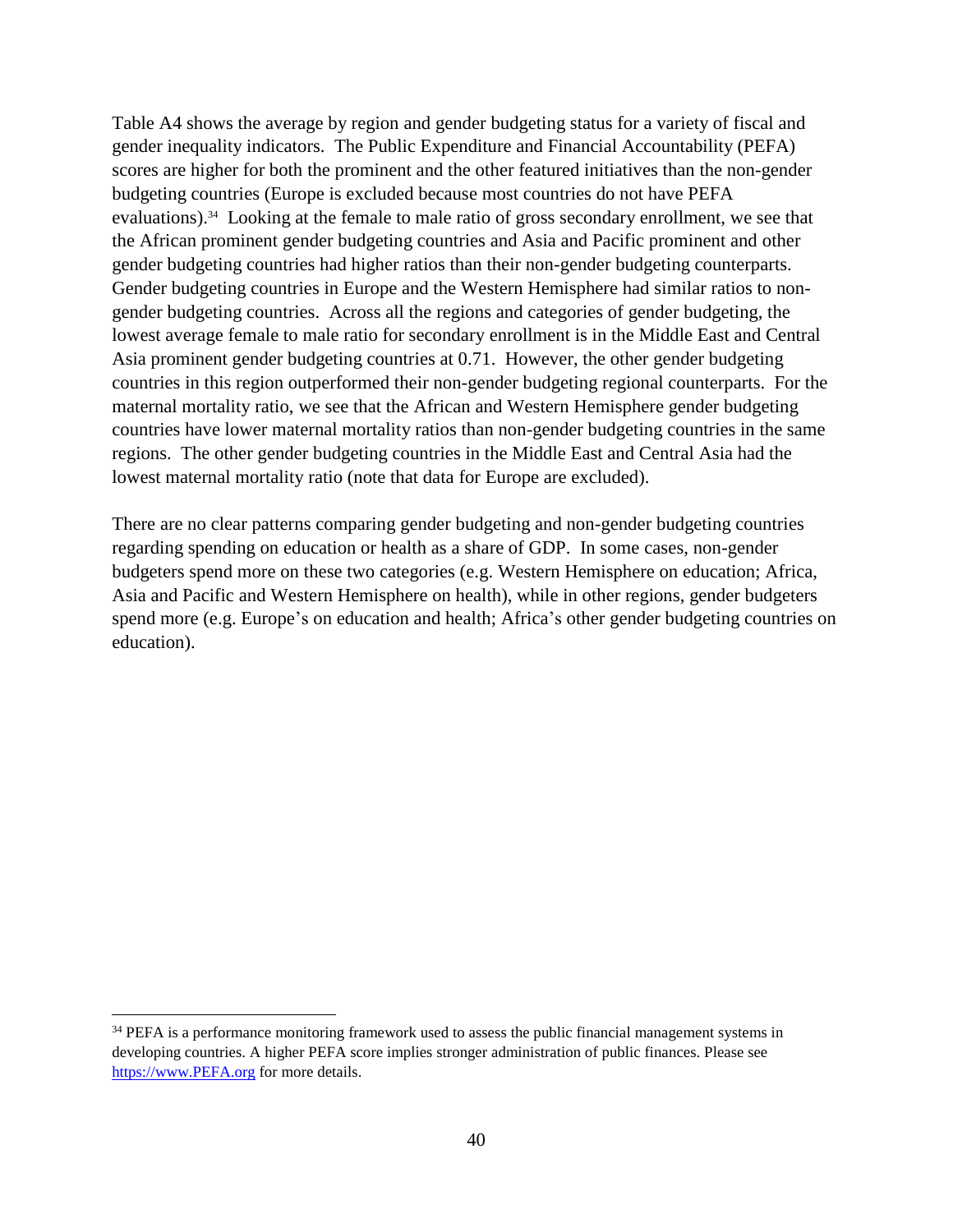Table A4 shows the average by region and gender budgeting status for a variety of fiscal and gender inequality indicators. The Public Expenditure and Financial Accountability (PEFA) scores are higher for both the prominent and the other featured initiatives than the non-gender budgeting countries (Europe is excluded because most countries do not have PEFA evaluations).<sup>34</sup> Looking at the female to male ratio of gross secondary enrollment, we see that the African prominent gender budgeting countries and Asia and Pacific prominent and other gender budgeting countries had higher ratios than their non-gender budgeting counterparts. Gender budgeting countries in Europe and the Western Hemisphere had similar ratios to nongender budgeting countries. Across all the regions and categories of gender budgeting, the lowest average female to male ratio for secondary enrollment is in the Middle East and Central Asia prominent gender budgeting countries at 0.71. However, the other gender budgeting countries in this region outperformed their non-gender budgeting regional counterparts. For the maternal mortality ratio, we see that the African and Western Hemisphere gender budgeting countries have lower maternal mortality ratios than non-gender budgeting countries in the same regions. The other gender budgeting countries in the Middle East and Central Asia had the lowest maternal mortality ratio (note that data for Europe are excluded).

There are no clear patterns comparing gender budgeting and non-gender budgeting countries regarding spending on education or health as a share of GDP. In some cases, non-gender budgeters spend more on these two categories (e.g. Western Hemisphere on education; Africa, Asia and Pacific and Western Hemisphere on health), while in other regions, gender budgeters spend more (e.g. Europe's on education and health; Africa's other gender budgeting countries on education).

<sup>&</sup>lt;sup>34</sup> PEFA is a performance monitoring framework used to assess the public financial management systems in developing countries. A higher PEFA score implies stronger administration of public finances. Please see [https://www.PEFA.org](https://www.pefa.org/) for more details.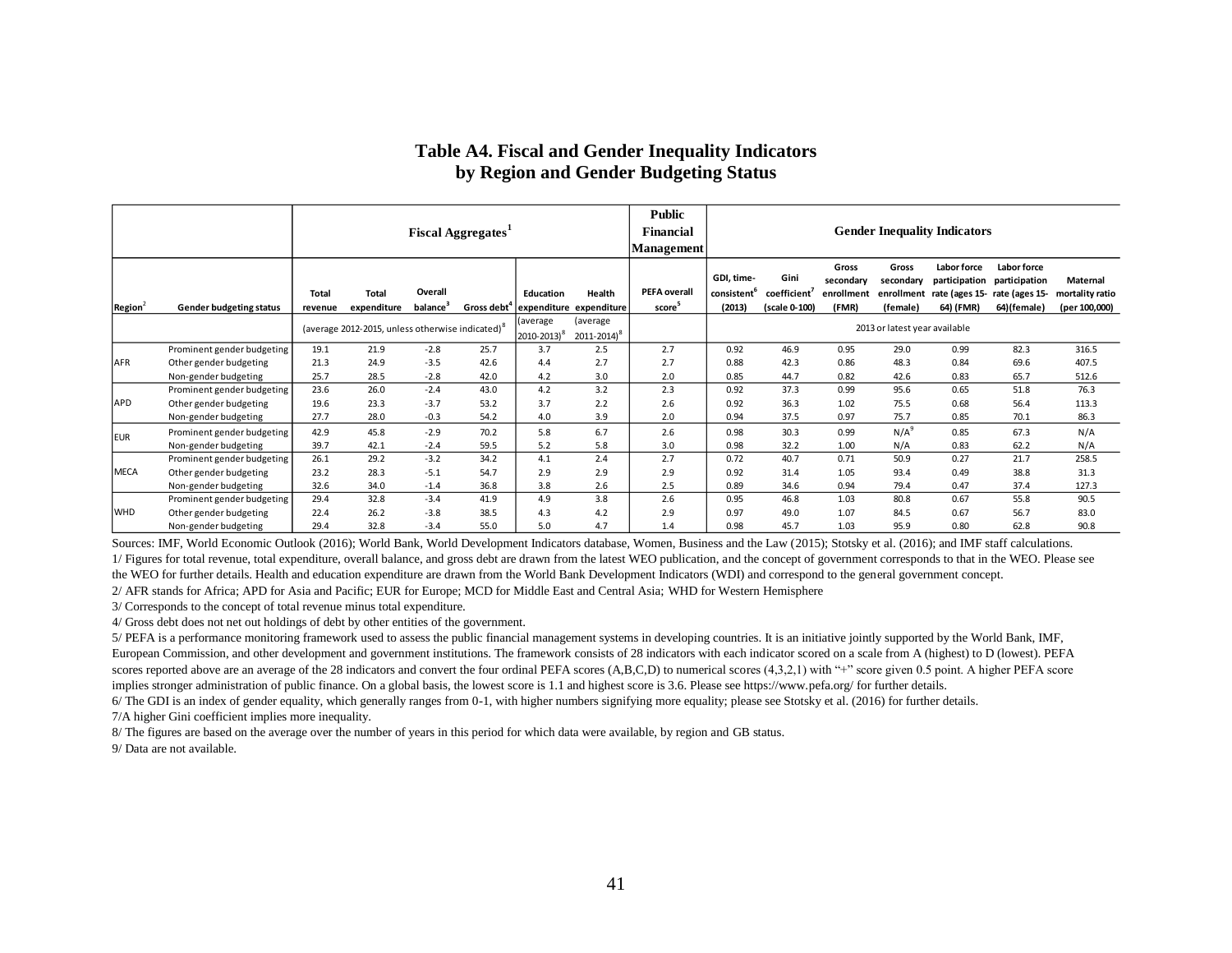#### **Table A4. Fiscal and Gender Inequality Indicators by Region and Gender Budgeting Status**

|                     |                                |                  |                                                              |                                 | <b>Fiscal Aggregates</b> |                                      |                                      | <b>Public</b><br><b>Financial</b><br><b>Management</b> | <b>Gender Inequality Indicators</b>             |                                       |                                           |                                              |                                           |                                                                              |                                              |
|---------------------|--------------------------------|------------------|--------------------------------------------------------------|---------------------------------|--------------------------|--------------------------------------|--------------------------------------|--------------------------------------------------------|-------------------------------------------------|---------------------------------------|-------------------------------------------|----------------------------------------------|-------------------------------------------|------------------------------------------------------------------------------|----------------------------------------------|
| Region <sup>2</sup> | <b>Gender budgeting status</b> | Total<br>revenue | <b>Total</b><br>expenditure                                  | Overall<br>balance <sup>3</sup> | Gross debt <sup>4</sup>  | Education<br>expenditure expenditure | Health                               | <b>PEFA overall</b><br>score <sup>5</sup>              | GDI, time-<br>consistent <sup>6</sup><br>(2013) | Gini<br>coefficient'<br>(scale 0-100) | Gross<br>secondary<br>enrollment<br>(FMR) | Gross<br>secondary<br>enrollment<br>(female) | Labor force<br>participation<br>64) (FMR) | Labor force<br>participation<br>rate (ages 15- rate (ages 15-<br>64)(female) | Maternal<br>mortality ratio<br>(per 100,000) |
|                     |                                |                  | (average 2012-2015, unless otherwise indicated) <sup>8</sup> |                                 |                          | (average<br>2010-2013) <sup>8</sup>  | (average)<br>2011-2014) <sup>8</sup> |                                                        |                                                 |                                       |                                           | 2013 or latest year available                |                                           |                                                                              |                                              |
|                     | Prominent gender budgeting     | 19.1             | 21.9                                                         | $-2.8$                          | 25.7                     | 3.7                                  | 2.5                                  | 2.7                                                    | 0.92                                            | 46.9                                  | 0.95                                      | 29.0                                         | 0.99                                      | 82.3                                                                         | 316.5                                        |
| <b>AFR</b>          | Other gender budgeting         | 21.3             | 24.9                                                         | $-3.5$                          | 42.6                     | 4.4                                  | 2.7                                  | 2.7                                                    | 0.88                                            | 42.3                                  | 0.86                                      | 48.3                                         | 0.84                                      | 69.6                                                                         | 407.5                                        |
|                     | Non-gender budgeting           | 25.7             | 28.5                                                         | $-2.8$                          | 42.0                     | 4.2                                  | 3.0                                  | 2.0                                                    | 0.85                                            | 44.7                                  | 0.82                                      | 42.6                                         | 0.83                                      | 65.7                                                                         | 512.6                                        |
|                     | Prominent gender budgeting     | 23.6             | 26.0                                                         | $-2.4$                          | 43.0                     | 4.2                                  | 3.2                                  | 2.3                                                    | 0.92                                            | 37.3                                  | 0.99                                      | 95.6                                         | 0.65                                      | 51.8                                                                         | 76.3                                         |
| <b>APD</b>          | Other gender budgeting         | 19.6             | 23.3                                                         | $-3.7$                          | 53.2                     | 3.7                                  | 2.2                                  | 2.6                                                    | 0.92                                            | 36.3                                  | 1.02                                      | 75.5                                         | 0.68                                      | 56.4                                                                         | 113.3                                        |
|                     | Non-gender budgeting           | 27.7             | 28.0                                                         | $-0.3$                          | 54.2                     | 4.0                                  | 3.9                                  | 2.0                                                    | 0.94                                            | 37.5                                  | 0.97                                      | 75.7                                         | 0.85                                      | 70.1                                                                         | 86.3                                         |
| <b>EUR</b>          | Prominent gender budgeting     | 42.9             | 45.8                                                         | $-2.9$                          | 70.2                     | 5.8                                  | 6.7                                  | 2.6                                                    | 0.98                                            | 30.3                                  | 0.99                                      | $N/A^9$                                      | 0.85                                      | 67.3                                                                         | N/A                                          |
|                     | Non-gender budgeting           | 39.7             | 42.1                                                         | $-2.4$                          | 59.5                     | 5.2                                  | 5.8                                  | 3.0                                                    | 0.98                                            | 32.2                                  | 1.00                                      | N/A                                          | 0.83                                      | 62.2                                                                         | N/A                                          |
|                     | Prominent gender budgeting     | 26.1             | 29.2                                                         | $-3.2$                          | 34.2                     | 4.1                                  | 2.4                                  | 2.7                                                    | 0.72                                            | 40.7                                  | 0.71                                      | 50.9                                         | 0.27                                      | 21.7                                                                         | 258.5                                        |
| <b>MECA</b>         | Other gender budgeting         | 23.2             | 28.3                                                         | $-5.1$                          | 54.7                     | 2.9                                  | 2.9                                  | 2.9                                                    | 0.92                                            | 31.4                                  | 1.05                                      | 93.4                                         | 0.49                                      | 38.8                                                                         | 31.3                                         |
|                     | Non-gender budgeting           | 32.6             | 34.0                                                         | $-1.4$                          | 36.8                     | 3.8                                  | 2.6                                  | 2.5                                                    | 0.89                                            | 34.6                                  | 0.94                                      | 79.4                                         | 0.47                                      | 37.4                                                                         | 127.3                                        |
|                     | Prominent gender budgeting     | 29.4             | 32.8                                                         | $-3.4$                          | 41.9                     | 4.9                                  | 3.8                                  | 2.6                                                    | 0.95                                            | 46.8                                  | 1.03                                      | 80.8                                         | 0.67                                      | 55.8                                                                         | 90.5                                         |
| <b>WHD</b>          | Other gender budgeting         | 22.4             | 26.2                                                         | $-3.8$                          | 38.5                     | 4.3                                  | 4.2                                  | 2.9                                                    | 0.97                                            | 49.0                                  | 1.07                                      | 84.5                                         | 0.67                                      | 56.7                                                                         | 83.0                                         |
|                     | Non-gender budgeting           | 29.4             | 32.8                                                         | $-3.4$                          | 55.0                     | 5.0                                  | 4.7                                  | 1.4                                                    | 0.98                                            | 45.7                                  | 1.03                                      | 95.9                                         | 0.80                                      | 62.8                                                                         | 90.8                                         |

Sources: IMF, World Economic Outlook (2016); World Bank, World Development Indicators database, Women, Business and the Law (2015); Stotsky et al. (2016); and IMF staff calculations.

1/ Figures for total revenue, total expenditure, overall balance, and gross debt are drawn from the latest WEO publication, and the concept of government corresponds to that in the WEO. Please see the WEO for further details. Health and education expenditure are drawn from the World Bank Development Indicators (WDI) and correspond to the general government concept.

2/ AFR stands for Africa; APD for Asia and Pacific; EUR for Europe; MCD for Middle East and Central Asia; WHD for Western Hemisphere

3/ Corresponds to the concept of total revenue minus total expenditure.

4/ Gross debt does not net out holdings of debt by other entities of the government.

5/ PEFA is a performance monitoring framework used to assess the public financial management systems in developing countries. It is an initiative jointly supported by the World Bank, IMF, European Commission, and other development and government institutions. The framework consists of 28 indicators with each indicator scored on a scale from A (highest) to D (lowest). PEFA scores reported above are an average of the 28 indicators and convert the four ordinal PEFA scores (A,B,C,D) to numerical scores (4,3,2,1) with "+" score given 0.5 point. A higher PEFA score implies stronger administration of public finance. On a global basis, the lowest score is 1.1 and highest score is 3.6. Please see https://www.pefa.org/ for further details.

6/ The GDI is an index of gender equality, which generally ranges from 0-1, with higher numbers signifying more equality; please see Stotsky et al. (2016) for further details.

7/A higher Gini coefficient implies more inequality.

8/ The figures are based on the average over the number of years in this period for which data were available, by region and GB status.

9/ Data are not available.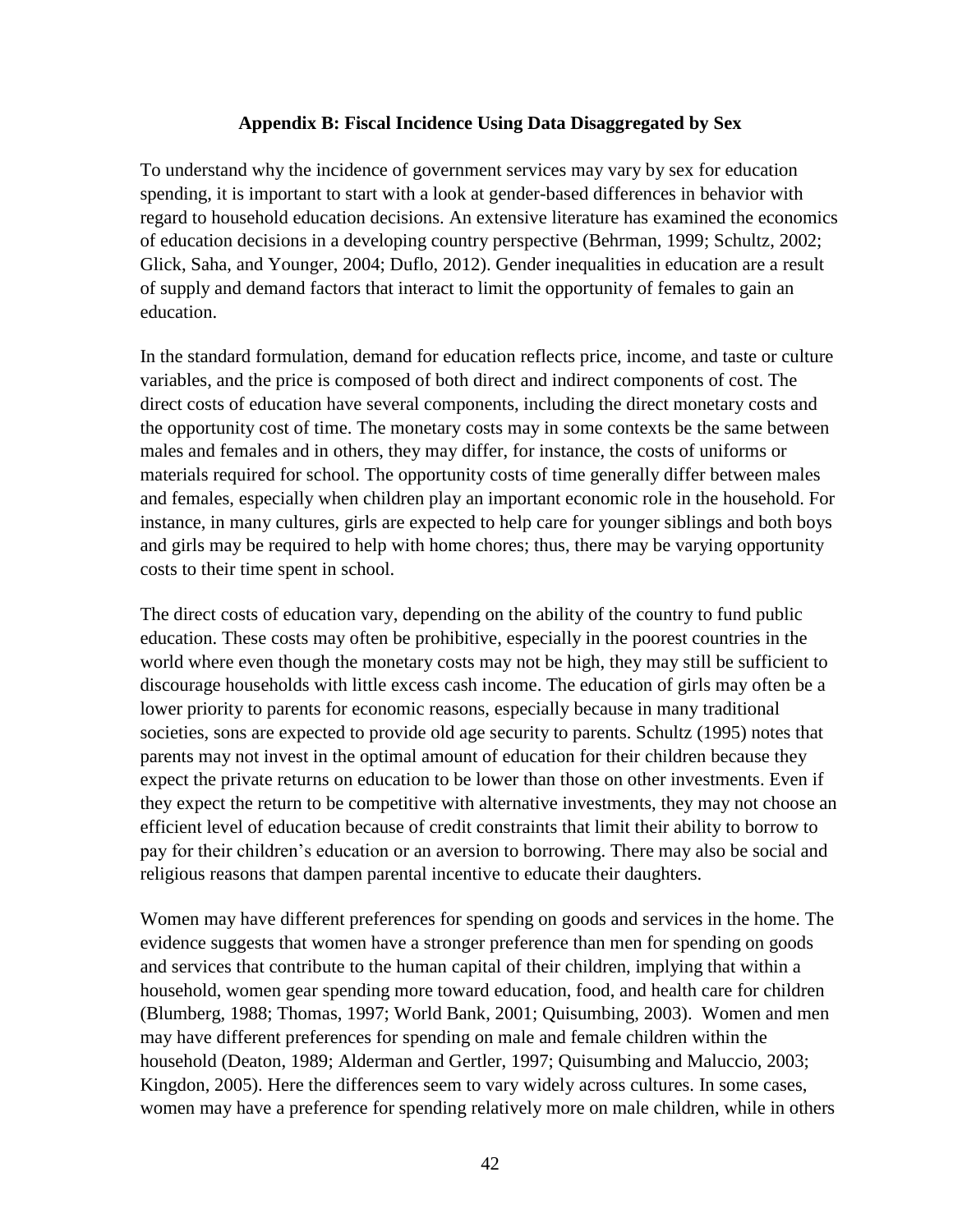### **Appendix B: Fiscal Incidence Using Data Disaggregated by Sex**

To understand why the incidence of government services may vary by sex for education spending, it is important to start with a look at gender-based differences in behavior with regard to household education decisions. An extensive literature has examined the economics of education decisions in a developing country perspective (Behrman, 1999; Schultz, 2002; Glick, Saha, and Younger, 2004; Duflo, 2012). Gender inequalities in education are a result of supply and demand factors that interact to limit the opportunity of females to gain an education.

In the standard formulation, demand for education reflects price, income, and taste or culture variables, and the price is composed of both direct and indirect components of cost. The direct costs of education have several components, including the direct monetary costs and the opportunity cost of time. The monetary costs may in some contexts be the same between males and females and in others, they may differ, for instance, the costs of uniforms or materials required for school. The opportunity costs of time generally differ between males and females, especially when children play an important economic role in the household. For instance, in many cultures, girls are expected to help care for younger siblings and both boys and girls may be required to help with home chores; thus, there may be varying opportunity costs to their time spent in school.

The direct costs of education vary, depending on the ability of the country to fund public education. These costs may often be prohibitive, especially in the poorest countries in the world where even though the monetary costs may not be high, they may still be sufficient to discourage households with little excess cash income. The education of girls may often be a lower priority to parents for economic reasons, especially because in many traditional societies, sons are expected to provide old age security to parents. Schultz (1995) notes that parents may not invest in the optimal amount of education for their children because they expect the private returns on education to be lower than those on other investments. Even if they expect the return to be competitive with alternative investments, they may not choose an efficient level of education because of credit constraints that limit their ability to borrow to pay for their children's education or an aversion to borrowing. There may also be social and religious reasons that dampen parental incentive to educate their daughters.

Women may have different preferences for spending on goods and services in the home. The evidence suggests that women have a stronger preference than men for spending on goods and services that contribute to the human capital of their children, implying that within a household, women gear spending more toward education, food, and health care for children (Blumberg, 1988; Thomas, 1997; World Bank, 2001; Quisumbing, 2003). Women and men may have different preferences for spending on male and female children within the household (Deaton, 1989; Alderman and Gertler, 1997; Quisumbing and Maluccio, 2003; Kingdon, 2005). Here the differences seem to vary widely across cultures. In some cases, women may have a preference for spending relatively more on male children, while in others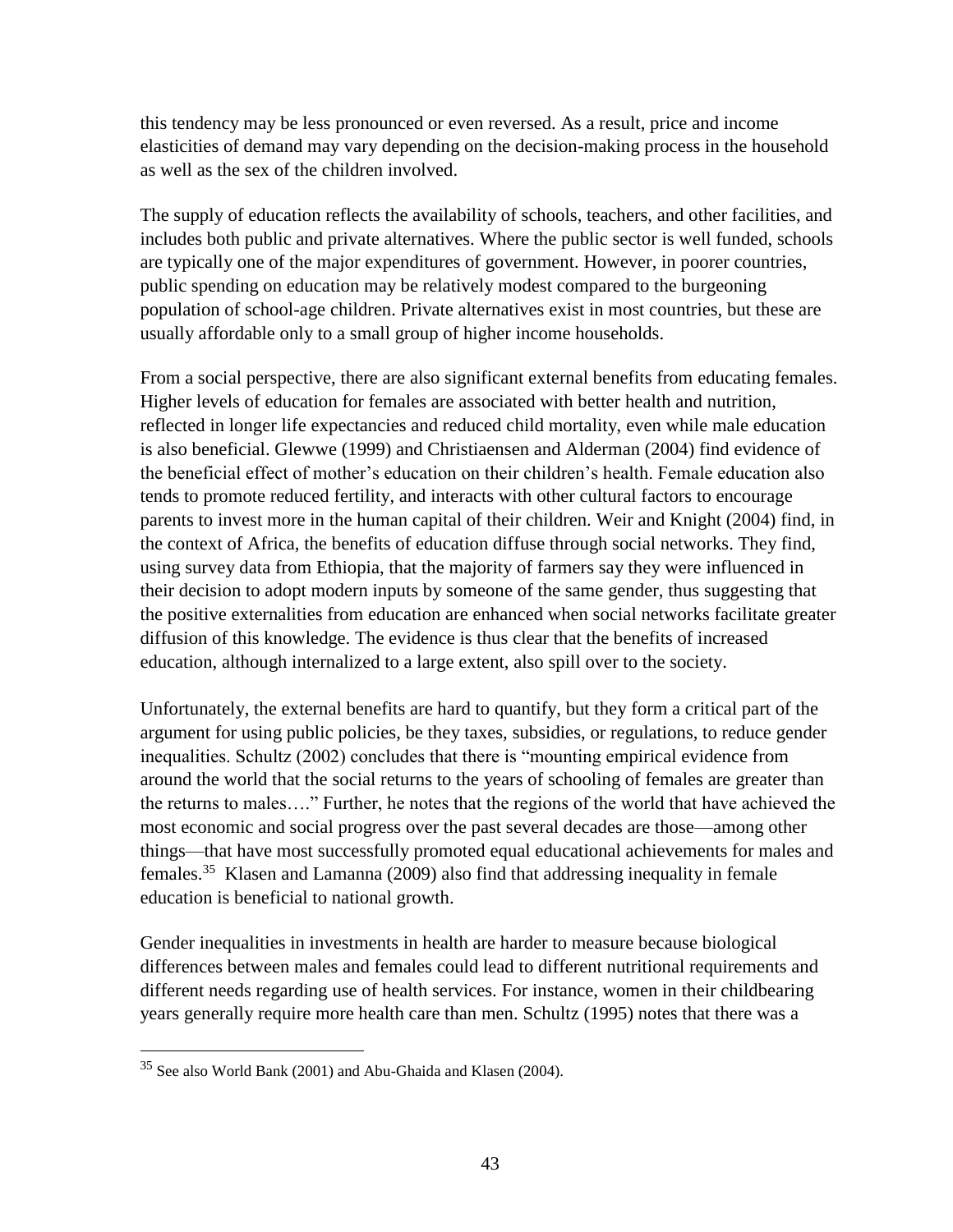this tendency may be less pronounced or even reversed. As a result, price and income elasticities of demand may vary depending on the decision-making process in the household as well as the sex of the children involved.

The supply of education reflects the availability of schools, teachers, and other facilities, and includes both public and private alternatives. Where the public sector is well funded, schools are typically one of the major expenditures of government. However, in poorer countries, public spending on education may be relatively modest compared to the burgeoning population of school-age children. Private alternatives exist in most countries, but these are usually affordable only to a small group of higher income households.

From a social perspective, there are also significant external benefits from educating females. Higher levels of education for females are associated with better health and nutrition, reflected in longer life expectancies and reduced child mortality, even while male education is also beneficial. Glewwe (1999) and Christiaensen and Alderman (2004) find evidence of the beneficial effect of mother's education on their children's health. Female education also tends to promote reduced fertility, and interacts with other cultural factors to encourage parents to invest more in the human capital of their children. Weir and Knight (2004) find, in the context of Africa, the benefits of education diffuse through social networks. They find, using survey data from Ethiopia, that the majority of farmers say they were influenced in their decision to adopt modern inputs by someone of the same gender, thus suggesting that the positive externalities from education are enhanced when social networks facilitate greater diffusion of this knowledge. The evidence is thus clear that the benefits of increased education, although internalized to a large extent, also spill over to the society.

Unfortunately, the external benefits are hard to quantify, but they form a critical part of the argument for using public policies, be they taxes, subsidies, or regulations, to reduce gender inequalities. Schultz (2002) concludes that there is "mounting empirical evidence from around the world that the social returns to the years of schooling of females are greater than the returns to males…." Further, he notes that the regions of the world that have achieved the most economic and social progress over the past several decades are those—among other things—that have most successfully promoted equal educational achievements for males and females.<sup>35</sup> Klasen and Lamanna (2009) also find that addressing inequality in female education is beneficial to national growth.

Gender inequalities in investments in health are harder to measure because biological differences between males and females could lead to different nutritional requirements and different needs regarding use of health services. For instance, women in their childbearing years generally require more health care than men. Schultz (1995) notes that there was a

<sup>&</sup>lt;sup>35</sup> See also World Bank (2001) and Abu-Ghaida and Klasen (2004).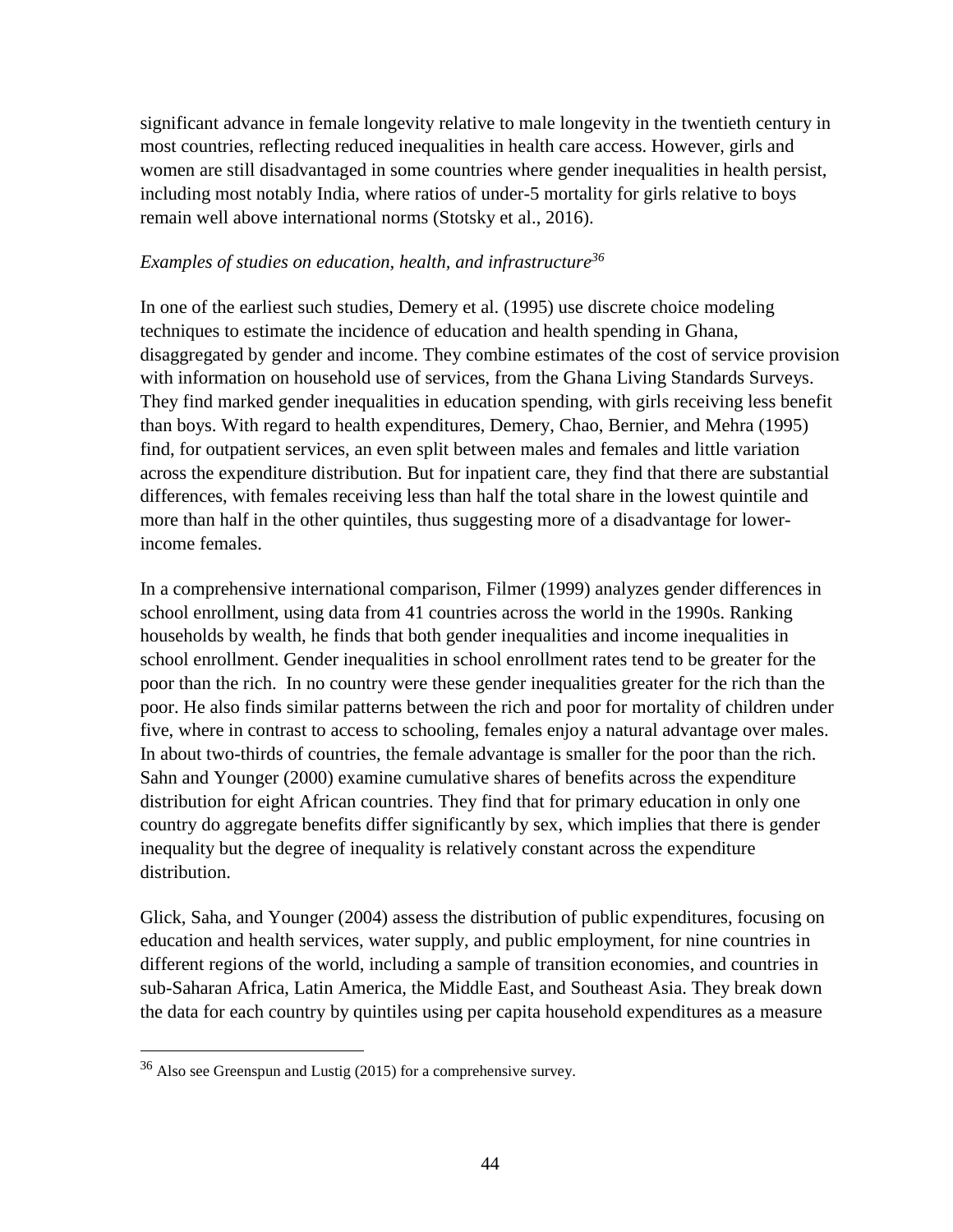significant advance in female longevity relative to male longevity in the twentieth century in most countries, reflecting reduced inequalities in health care access. However, girls and women are still disadvantaged in some countries where gender inequalities in health persist, including most notably India, where ratios of under-5 mortality for girls relative to boys remain well above international norms (Stotsky et al., 2016).

### *Examples of studies on education, health, and infrastructure<sup>36</sup>*

In one of the earliest such studies, Demery et al. (1995) use discrete choice modeling techniques to estimate the incidence of education and health spending in Ghana, disaggregated by gender and income. They combine estimates of the cost of service provision with information on household use of services, from the Ghana Living Standards Surveys. They find marked gender inequalities in education spending, with girls receiving less benefit than boys. With regard to health expenditures, Demery, Chao, Bernier, and Mehra (1995) find, for outpatient services, an even split between males and females and little variation across the expenditure distribution. But for inpatient care, they find that there are substantial differences, with females receiving less than half the total share in the lowest quintile and more than half in the other quintiles, thus suggesting more of a disadvantage for lowerincome females.

In a comprehensive international comparison, Filmer (1999) analyzes gender differences in school enrollment, using data from 41 countries across the world in the 1990s. Ranking households by wealth, he finds that both gender inequalities and income inequalities in school enrollment. Gender inequalities in school enrollment rates tend to be greater for the poor than the rich. In no country were these gender inequalities greater for the rich than the poor. He also finds similar patterns between the rich and poor for mortality of children under five, where in contrast to access to schooling, females enjoy a natural advantage over males. In about two-thirds of countries, the female advantage is smaller for the poor than the rich. Sahn and Younger (2000) examine cumulative shares of benefits across the expenditure distribution for eight African countries. They find that for primary education in only one country do aggregate benefits differ significantly by sex, which implies that there is gender inequality but the degree of inequality is relatively constant across the expenditure distribution.

Glick, Saha, and Younger (2004) assess the distribution of public expenditures, focusing on education and health services, water supply, and public employment, for nine countries in different regions of the world, including a sample of transition economies, and countries in sub-Saharan Africa, Latin America, the Middle East, and Southeast Asia. They break down the data for each country by quintiles using per capita household expenditures as a measure

 $36$  Also see Greenspun and Lustig (2015) for a comprehensive survey.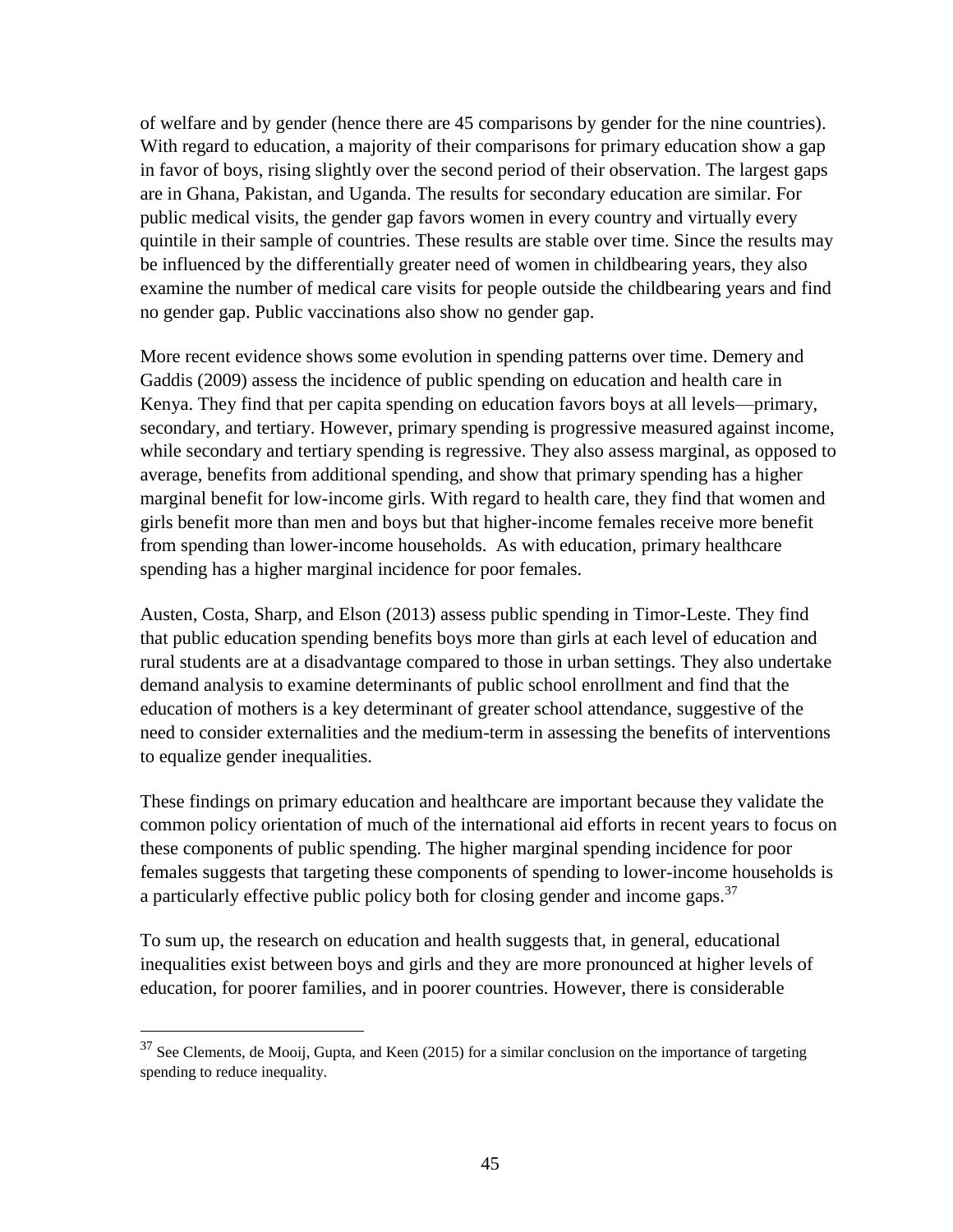of welfare and by gender (hence there are 45 comparisons by gender for the nine countries). With regard to education, a majority of their comparisons for primary education show a gap in favor of boys, rising slightly over the second period of their observation. The largest gaps are in Ghana, Pakistan, and Uganda. The results for secondary education are similar. For public medical visits, the gender gap favors women in every country and virtually every quintile in their sample of countries. These results are stable over time. Since the results may be influenced by the differentially greater need of women in childbearing years, they also examine the number of medical care visits for people outside the childbearing years and find no gender gap. Public vaccinations also show no gender gap.

More recent evidence shows some evolution in spending patterns over time. Demery and Gaddis (2009) assess the incidence of public spending on education and health care in Kenya. They find that per capita spending on education favors boys at all levels—primary, secondary, and tertiary. However, primary spending is progressive measured against income, while secondary and tertiary spending is regressive. They also assess marginal, as opposed to average, benefits from additional spending, and show that primary spending has a higher marginal benefit for low-income girls. With regard to health care, they find that women and girls benefit more than men and boys but that higher-income females receive more benefit from spending than lower-income households. As with education, primary healthcare spending has a higher marginal incidence for poor females.

Austen, Costa, Sharp, and Elson (2013) assess public spending in Timor-Leste. They find that public education spending benefits boys more than girls at each level of education and rural students are at a disadvantage compared to those in urban settings. They also undertake demand analysis to examine determinants of public school enrollment and find that the education of mothers is a key determinant of greater school attendance, suggestive of the need to consider externalities and the medium-term in assessing the benefits of interventions to equalize gender inequalities.

These findings on primary education and healthcare are important because they validate the common policy orientation of much of the international aid efforts in recent years to focus on these components of public spending. The higher marginal spending incidence for poor females suggests that targeting these components of spending to lower-income households is a particularly effective public policy both for closing gender and income gaps.<sup>37</sup>

To sum up, the research on education and health suggests that, in general, educational inequalities exist between boys and girls and they are more pronounced at higher levels of education, for poorer families, and in poorer countries. However, there is considerable

 $37$  See Clements, de Mooij, Gupta, and Keen (2015) for a similar conclusion on the importance of targeting spending to reduce inequality.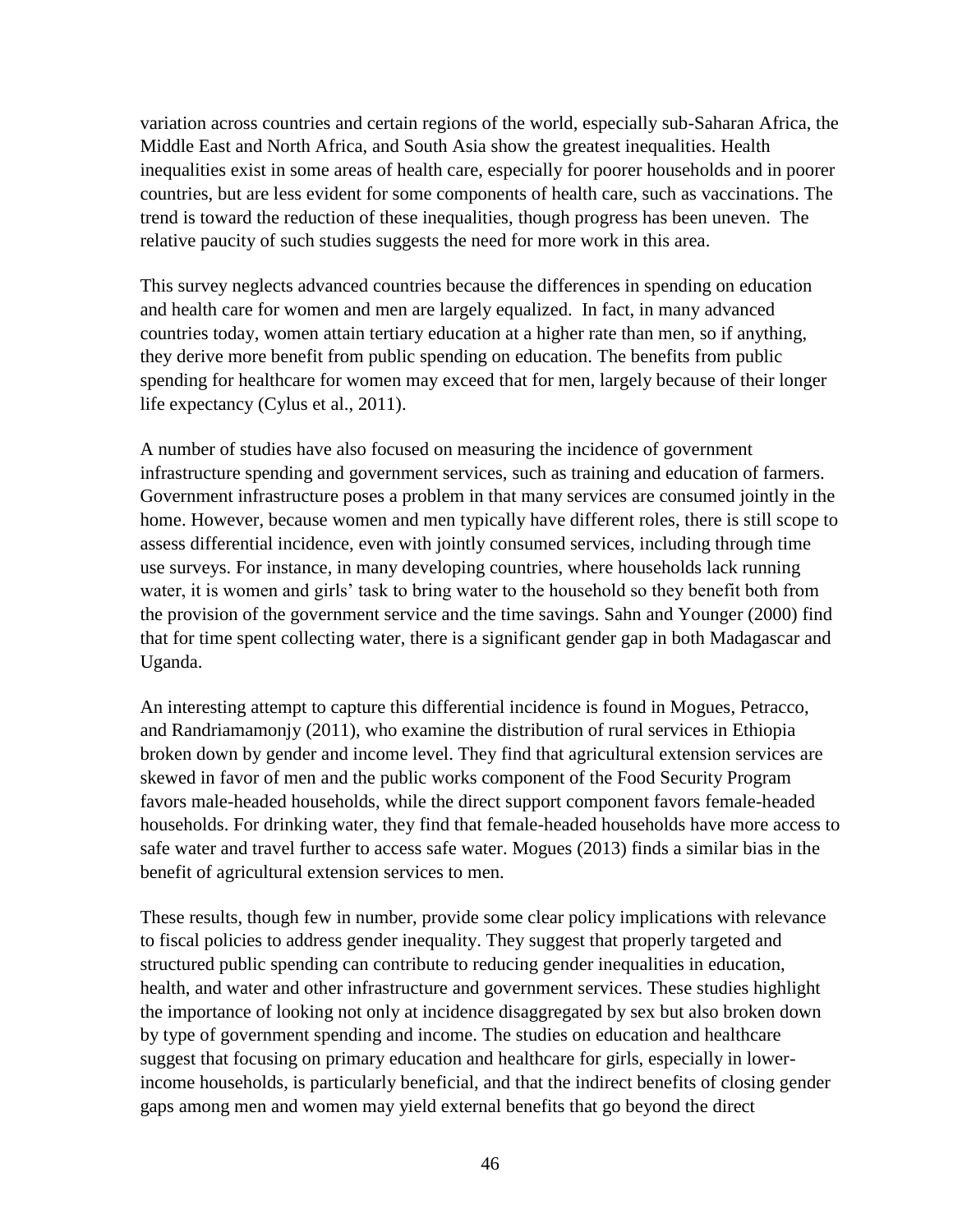variation across countries and certain regions of the world, especially sub-Saharan Africa, the Middle East and North Africa, and South Asia show the greatest inequalities. Health inequalities exist in some areas of health care, especially for poorer households and in poorer countries, but are less evident for some components of health care, such as vaccinations. The trend is toward the reduction of these inequalities, though progress has been uneven. The relative paucity of such studies suggests the need for more work in this area.

This survey neglects advanced countries because the differences in spending on education and health care for women and men are largely equalized. In fact, in many advanced countries today, women attain tertiary education at a higher rate than men, so if anything, they derive more benefit from public spending on education. The benefits from public spending for healthcare for women may exceed that for men, largely because of their longer life expectancy (Cylus et al., 2011).

A number of studies have also focused on measuring the incidence of government infrastructure spending and government services, such as training and education of farmers. Government infrastructure poses a problem in that many services are consumed jointly in the home. However, because women and men typically have different roles, there is still scope to assess differential incidence, even with jointly consumed services, including through time use surveys. For instance, in many developing countries, where households lack running water, it is women and girls' task to bring water to the household so they benefit both from the provision of the government service and the time savings. Sahn and Younger (2000) find that for time spent collecting water, there is a significant gender gap in both Madagascar and Uganda.

An interesting attempt to capture this differential incidence is found in Mogues, Petracco, and Randriamamonjy (2011), who examine the distribution of rural services in Ethiopia broken down by gender and income level. They find that agricultural extension services are skewed in favor of men and the public works component of the Food Security Program favors male-headed households, while the direct support component favors female-headed households. For drinking water, they find that female-headed households have more access to safe water and travel further to access safe water. Mogues (2013) finds a similar bias in the benefit of agricultural extension services to men.

These results, though few in number, provide some clear policy implications with relevance to fiscal policies to address gender inequality. They suggest that properly targeted and structured public spending can contribute to reducing gender inequalities in education, health, and water and other infrastructure and government services. These studies highlight the importance of looking not only at incidence disaggregated by sex but also broken down by type of government spending and income. The studies on education and healthcare suggest that focusing on primary education and healthcare for girls, especially in lowerincome households, is particularly beneficial, and that the indirect benefits of closing gender gaps among men and women may yield external benefits that go beyond the direct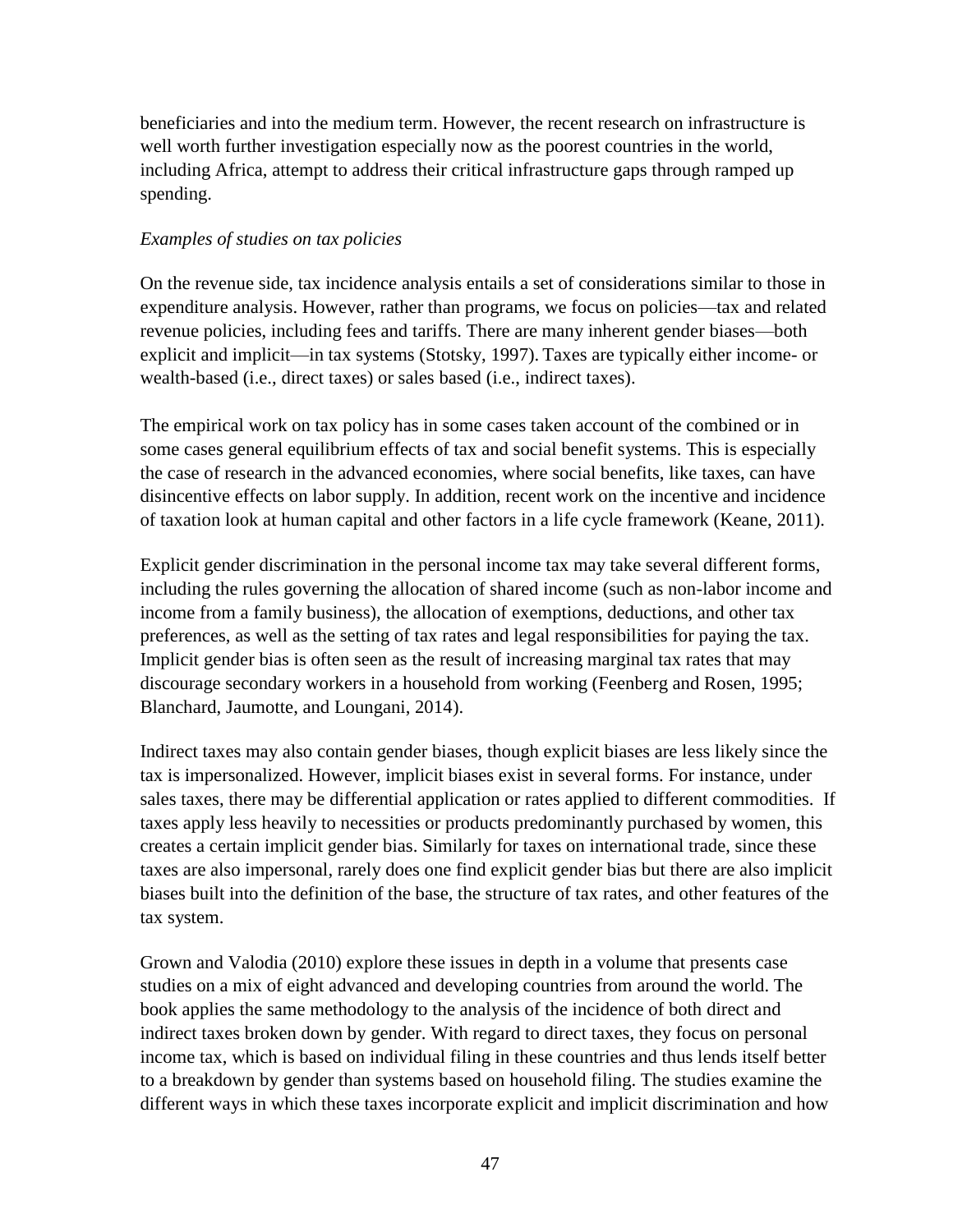beneficiaries and into the medium term. However, the recent research on infrastructure is well worth further investigation especially now as the poorest countries in the world, including Africa, attempt to address their critical infrastructure gaps through ramped up spending.

# *Examples of studies on tax policies*

On the revenue side, tax incidence analysis entails a set of considerations similar to those in expenditure analysis. However, rather than programs, we focus on policies—tax and related revenue policies, including fees and tariffs. There are many inherent gender biases—both explicit and implicit—in tax systems (Stotsky, 1997). Taxes are typically either income- or wealth-based (i.e., direct taxes) or sales based (i.e., indirect taxes).

The empirical work on tax policy has in some cases taken account of the combined or in some cases general equilibrium effects of tax and social benefit systems. This is especially the case of research in the advanced economies, where social benefits, like taxes, can have disincentive effects on labor supply. In addition, recent work on the incentive and incidence of taxation look at human capital and other factors in a life cycle framework (Keane, 2011).

Explicit gender discrimination in the personal income tax may take several different forms, including the rules governing the allocation of shared income (such as non-labor income and income from a family business), the allocation of exemptions, deductions, and other tax preferences, as well as the setting of tax rates and legal responsibilities for paying the tax. Implicit gender bias is often seen as the result of increasing marginal tax rates that may discourage secondary workers in a household from working (Feenberg and Rosen, 1995; Blanchard, Jaumotte, and Loungani, 2014).

Indirect taxes may also contain gender biases, though explicit biases are less likely since the tax is impersonalized. However, implicit biases exist in several forms. For instance, under sales taxes, there may be differential application or rates applied to different commodities. If taxes apply less heavily to necessities or products predominantly purchased by women, this creates a certain implicit gender bias. Similarly for taxes on international trade, since these taxes are also impersonal, rarely does one find explicit gender bias but there are also implicit biases built into the definition of the base, the structure of tax rates, and other features of the tax system.

Grown and Valodia (2010) explore these issues in depth in a volume that presents case studies on a mix of eight advanced and developing countries from around the world. The book applies the same methodology to the analysis of the incidence of both direct and indirect taxes broken down by gender. With regard to direct taxes, they focus on personal income tax, which is based on individual filing in these countries and thus lends itself better to a breakdown by gender than systems based on household filing. The studies examine the different ways in which these taxes incorporate explicit and implicit discrimination and how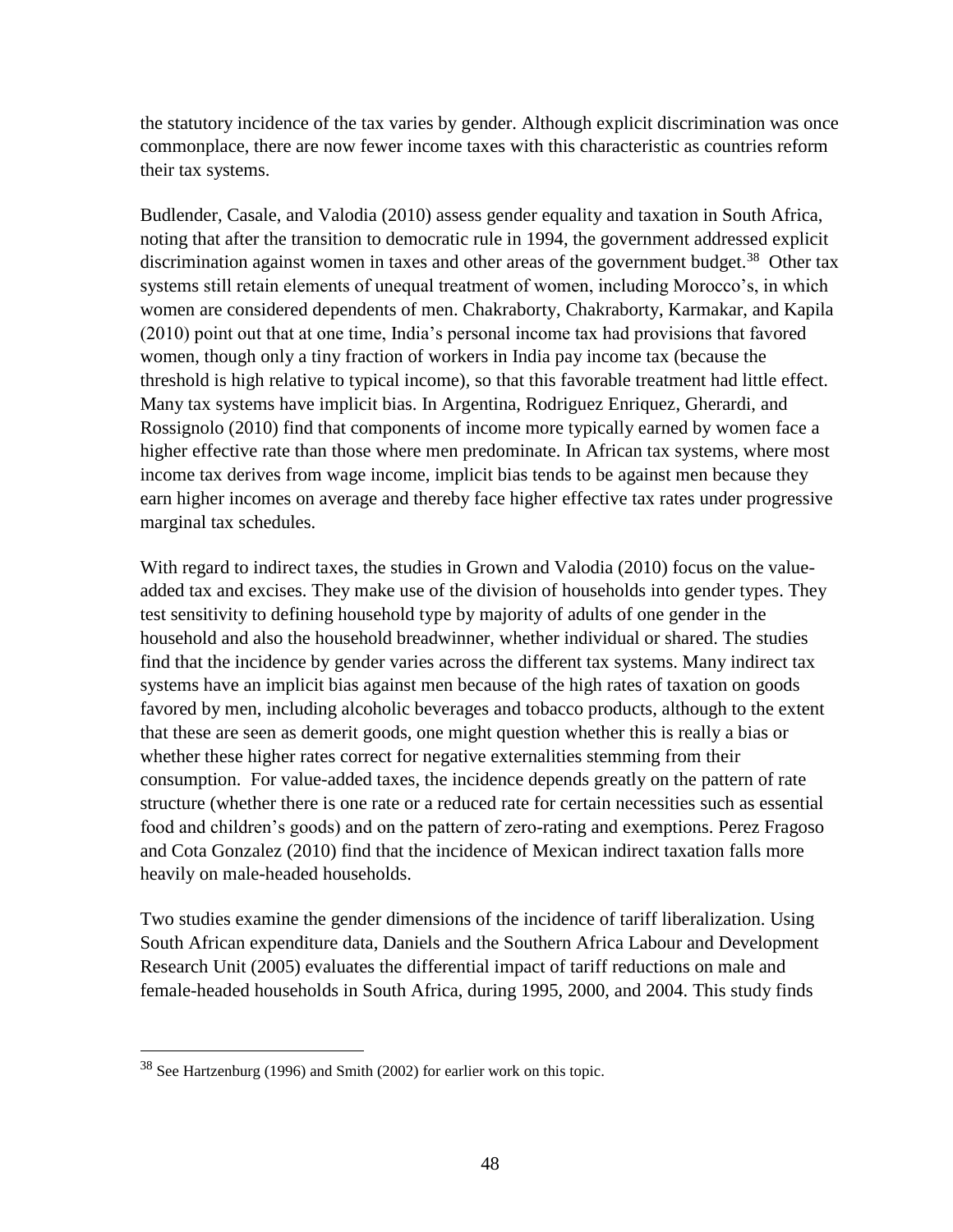the statutory incidence of the tax varies by gender. Although explicit discrimination was once commonplace, there are now fewer income taxes with this characteristic as countries reform their tax systems.

Budlender, Casale, and Valodia (2010) assess gender equality and taxation in South Africa, noting that after the transition to democratic rule in 1994, the government addressed explicit discrimination against women in taxes and other areas of the government budget.<sup>38</sup> Other tax systems still retain elements of unequal treatment of women, including Morocco's, in which women are considered dependents of men. Chakraborty, Chakraborty, Karmakar, and Kapila (2010) point out that at one time, India's personal income tax had provisions that favored women, though only a tiny fraction of workers in India pay income tax (because the threshold is high relative to typical income), so that this favorable treatment had little effect. Many tax systems have implicit bias. In Argentina, Rodriguez Enriquez, Gherardi, and Rossignolo (2010) find that components of income more typically earned by women face a higher effective rate than those where men predominate. In African tax systems, where most income tax derives from wage income, implicit bias tends to be against men because they earn higher incomes on average and thereby face higher effective tax rates under progressive marginal tax schedules.

With regard to indirect taxes, the studies in Grown and Valodia (2010) focus on the valueadded tax and excises. They make use of the division of households into gender types. They test sensitivity to defining household type by majority of adults of one gender in the household and also the household breadwinner, whether individual or shared. The studies find that the incidence by gender varies across the different tax systems. Many indirect tax systems have an implicit bias against men because of the high rates of taxation on goods favored by men, including alcoholic beverages and tobacco products, although to the extent that these are seen as demerit goods, one might question whether this is really a bias or whether these higher rates correct for negative externalities stemming from their consumption. For value-added taxes, the incidence depends greatly on the pattern of rate structure (whether there is one rate or a reduced rate for certain necessities such as essential food and children's goods) and on the pattern of zero-rating and exemptions. Perez Fragoso and Cota Gonzalez (2010) find that the incidence of Mexican indirect taxation falls more heavily on male-headed households.

Two studies examine the gender dimensions of the incidence of tariff liberalization. Using South African expenditure data, Daniels and the Southern Africa Labour and Development Research Unit (2005) evaluates the differential impact of tariff reductions on male and female-headed households in South Africa, during 1995, 2000, and 2004. This study finds

<sup>38</sup> See Hartzenburg (1996) and Smith (2002) for earlier work on this topic.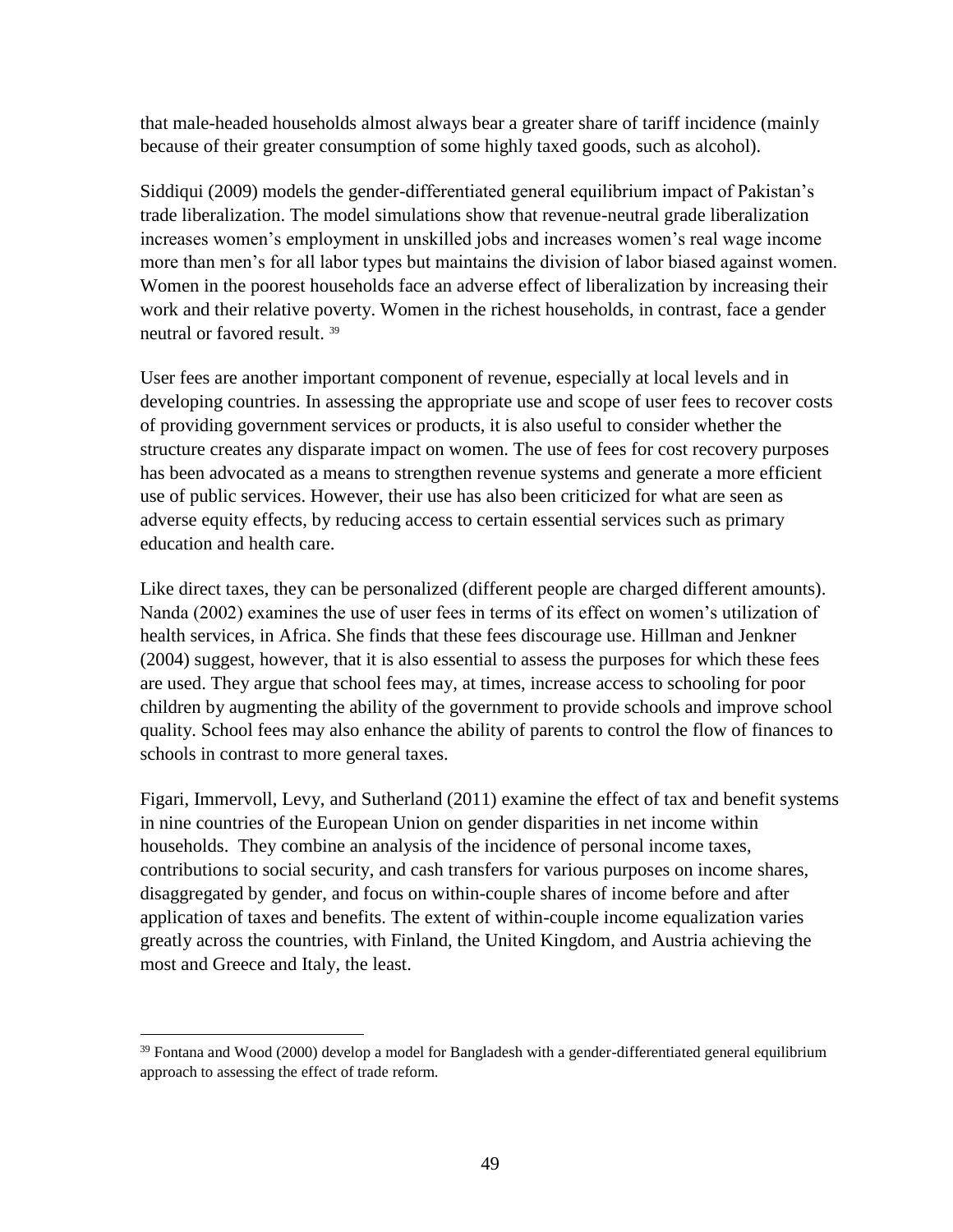that male-headed households almost always bear a greater share of tariff incidence (mainly because of their greater consumption of some highly taxed goods, such as alcohol).

Siddiqui (2009) models the gender-differentiated general equilibrium impact of Pakistan's trade liberalization. The model simulations show that revenue-neutral grade liberalization increases women's employment in unskilled jobs and increases women's real wage income more than men's for all labor types but maintains the division of labor biased against women. Women in the poorest households face an adverse effect of liberalization by increasing their work and their relative poverty. Women in the richest households, in contrast, face a gender neutral or favored result. <sup>39</sup>

User fees are another important component of revenue, especially at local levels and in developing countries. In assessing the appropriate use and scope of user fees to recover costs of providing government services or products, it is also useful to consider whether the structure creates any disparate impact on women. The use of fees for cost recovery purposes has been advocated as a means to strengthen revenue systems and generate a more efficient use of public services. However, their use has also been criticized for what are seen as adverse equity effects, by reducing access to certain essential services such as primary education and health care.

Like direct taxes, they can be personalized (different people are charged different amounts). Nanda (2002) examines the use of user fees in terms of its effect on women's utilization of health services, in Africa. She finds that these fees discourage use. Hillman and Jenkner (2004) suggest, however, that it is also essential to assess the purposes for which these fees are used. They argue that school fees may, at times, increase access to schooling for poor children by augmenting the ability of the government to provide schools and improve school quality. School fees may also enhance the ability of parents to control the flow of finances to schools in contrast to more general taxes.

Figari, Immervoll, Levy, and Sutherland (2011) examine the effect of tax and benefit systems in nine countries of the European Union on gender disparities in net income within households. They combine an analysis of the incidence of personal income taxes, contributions to social security, and cash transfers for various purposes on income shares, disaggregated by gender, and focus on within-couple shares of income before and after application of taxes and benefits. The extent of within-couple income equalization varies greatly across the countries, with Finland, the United Kingdom, and Austria achieving the most and Greece and Italy, the least.

<sup>&</sup>lt;sup>39</sup> Fontana and Wood (2000) develop a model for Bangladesh with a gender-differentiated general equilibrium approach to assessing the effect of trade reform.